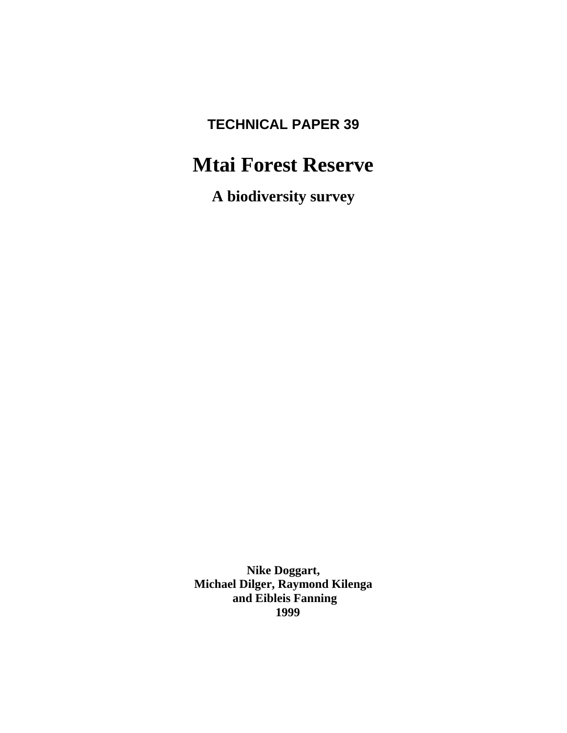# **TECHNICAL PAPER 39**

# **Mtai Forest Reserve**

**A biodiversity survey**

**Nike Doggart, Michael Dilger, Raymond Kilenga and Eibleis Fanning 1999**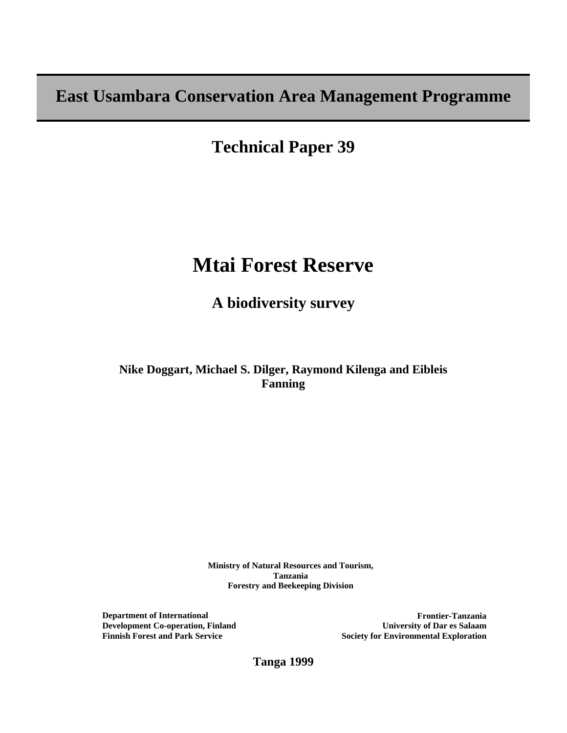**East Usambara Conservation Area Management Programme**

**Technical Paper 39** 

# **Mtai Forest Reserve**

**A biodiversity survey**

**Nike Doggart, Michael S. Dilger, Raymond Kilenga and Eibleis Fanning**

> **Ministry of Natural Resources and Tourism, Tanzania Forestry and Beekeeping Division**

**Department of International Development Co-operation, Finland Finnish Forest and Park Service** 

**Frontier-Tanzania University of Dar es Salaam Society for Environmental Exploration** 

**Tanga 1999**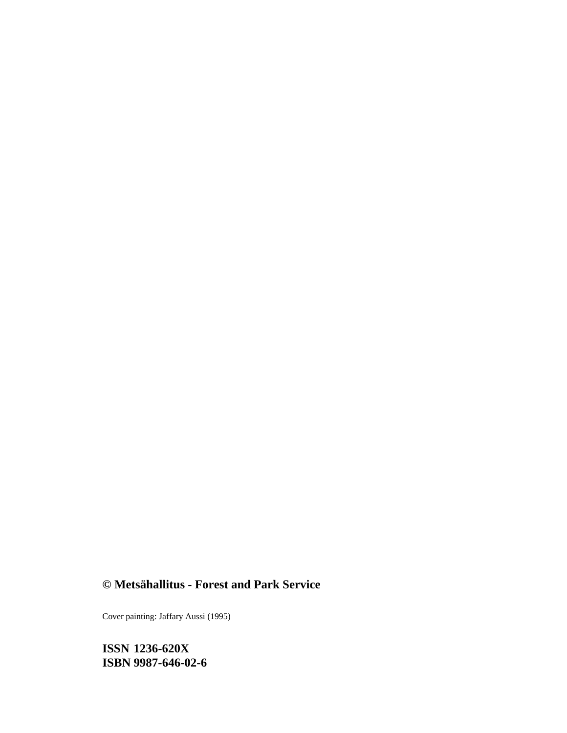# **© Metsähallitus - Forest and Park Service**

Cover painting: Jaffary Aussi (1995)

**ISSN 1236-620X ISBN 9987-646-02-6**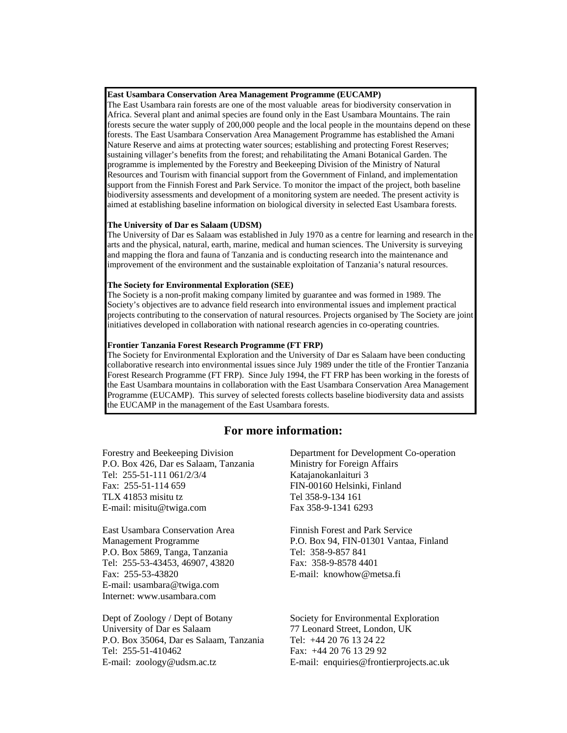#### **East Usambara Conservation Area Management Programme (EUCAMP)**

The East Usambara rain forests are one of the most valuable areas for biodiversity conservation in Africa. Several plant and animal species are found only in the East Usambara Mountains. The rain forests secure the water supply of 200,000 people and the local people in the mountains depend on these forests. The East Usambara Conservation Area Management Programme has established the Amani Nature Reserve and aims at protecting water sources; establishing and protecting Forest Reserves; sustaining villager's benefits from the forest; and rehabilitating the Amani Botanical Garden. The programme is implemented by the Forestry and Beekeeping Division of the Ministry of Natural Resources and Tourism with financial support from the Government of Finland, and implementation support from the Finnish Forest and Park Service. To monitor the impact of the project, both baseline biodiversity assessments and development of a monitoring system are needed. The present activity is aimed at establishing baseline information on biological diversity in selected East Usambara forests.

#### **The University of Dar es Salaam (UDSM)**

The University of Dar es Salaam was established in July 1970 as a centre for learning and research in the arts and the physical, natural, earth, marine, medical and human sciences. The University is surveying and mapping the flora and fauna of Tanzania and is conducting research into the maintenance and improvement of the environment and the sustainable exploitation of Tanzania's natural resources.

#### **The Society for Environmental Exploration (SEE)**

The Society is a non-profit making company limited by guarantee and was formed in 1989. The Society's objectives are to advance field research into environmental issues and implement practical projects contributing to the conservation of natural resources. Projects organised by The Society are joint initiatives developed in collaboration with national research agencies in co-operating countries.

#### **Frontier Tanzania Forest Research Programme (FT FRP)**

The Society for Environmental Exploration and the University of Dar es Salaam have been conducting collaborative research into environmental issues since July 1989 under the title of the Frontier Tanzania Forest Research Programme (FT FRP). Since July 1994, the FT FRP has been working in the forests of the East Usambara mountains in collaboration with the East Usambara Conservation Area Management Programme (EUCAMP). This survey of selected forests collects baseline biodiversity data and assists the EUCAMP in the management of the East Usambara forests.

## **For more information:**

Forestry and Beekeeping Division P.O. Box 426, Dar es Salaam, Tanzania Tel: 255-51-111 061/2/3/4 Fax: 255-51-114 659 TLX 41853 misitu tz E-mail: misitu@twiga.com

East Usambara Conservation Area Management Programme P.O. Box 5869, Tanga, Tanzania Tel: 255-53-43453, 46907, 43820 Fax: 255-53-43820 E-mail: usambara@twiga.com Internet: www.usambara.com

Dept of Zoology / Dept of Botany University of Dar es Salaam P.O. Box 35064, Dar es Salaam, Tanzania Tel: 255-51-410462 E-mail: zoology@udsm.ac.tz

Department for Development Co-operation Ministry for Foreign Affairs Katajanokanlaituri 3 FIN-00160 Helsinki, Finland Tel 358-9-134 161 Fax 358-9-1341 6293

Finnish Forest and Park Service P.O. Box 94, FIN-01301 Vantaa, Finland Tel: 358-9-857 841 Fax: 358-9-8578 4401 E-mail: knowhow@metsa.fi

Society for Environmental Exploration 77 Leonard Street, London, UK Tel: +44 20 76 13 24 22 Fax: +44 20 76 13 29 92 E-mail: enquiries@frontierprojects.ac.uk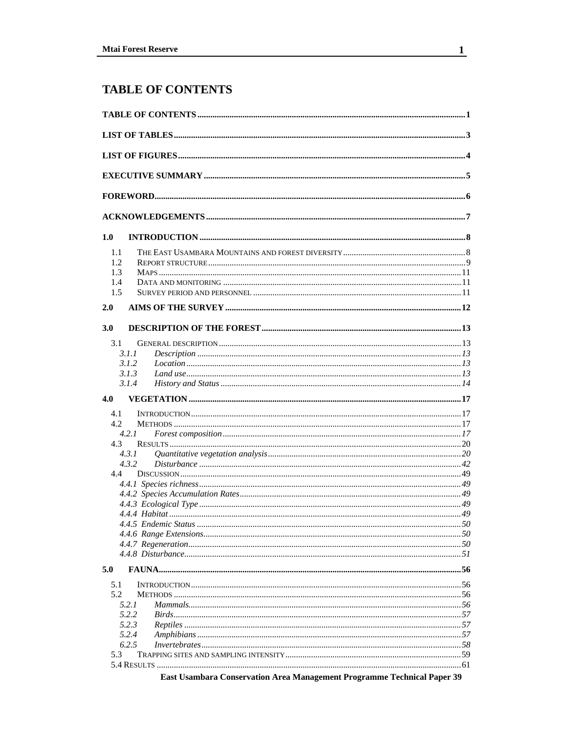# **TABLE OF CONTENTS**

| 1.0                             |                                       |  |
|---------------------------------|---------------------------------------|--|
| 1.1<br>1.2<br>1.3<br>1.4<br>1.5 |                                       |  |
| 2.0                             |                                       |  |
| 3.0                             |                                       |  |
| 3.1                             |                                       |  |
|                                 | 3.1.1<br>3.1.2                        |  |
|                                 | 3.1.3                                 |  |
|                                 | 3.1.4                                 |  |
| 4.0                             |                                       |  |
| 4.1                             |                                       |  |
| 4.2                             |                                       |  |
|                                 | 4.2.1                                 |  |
| 4.3                             |                                       |  |
|                                 | 4.3.1                                 |  |
| 4.4                             | 4.3.2                                 |  |
|                                 |                                       |  |
|                                 |                                       |  |
|                                 |                                       |  |
|                                 |                                       |  |
|                                 |                                       |  |
|                                 |                                       |  |
|                                 |                                       |  |
|                                 |                                       |  |
| 5.0                             |                                       |  |
| 5.1                             |                                       |  |
| 5.2                             |                                       |  |
|                                 | 5.2.1                                 |  |
|                                 | 5.2.2                                 |  |
|                                 | 5.2.3<br>5.2.4                        |  |
|                                 | 6.2.5                                 |  |
| 5.3                             |                                       |  |
|                                 |                                       |  |
|                                 | $\sim$ $\sim$<br>$\sim$ $\sim$ $\sim$ |  |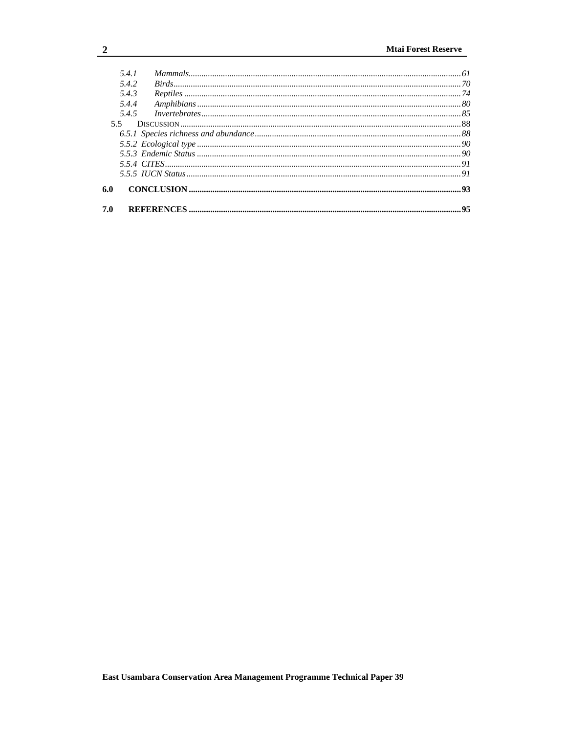|     | 5.4.1 |     |
|-----|-------|-----|
|     | 5.4.2 |     |
|     | 5.4.3 |     |
|     | 5.4.4 |     |
|     | 545   |     |
| 5.5 |       |     |
|     |       |     |
|     |       |     |
|     |       |     |
|     |       |     |
|     |       |     |
| 6.0 |       |     |
| 7.0 |       | .95 |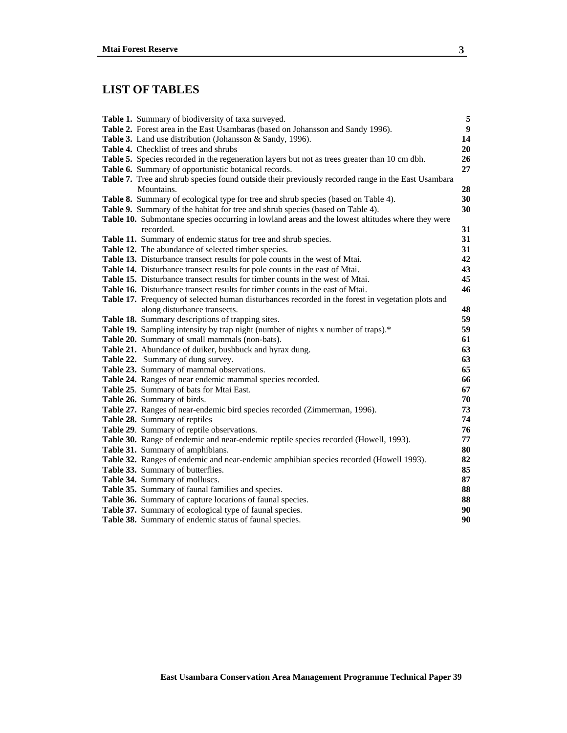## **LIST OF TABLES**

| Table 1. Summary of biodiversity of taxa surveyed.                                                 | $\sqrt{5}$       |
|----------------------------------------------------------------------------------------------------|------------------|
| Table 2. Forest area in the East Usambaras (based on Johansson and Sandy 1996).                    | $\boldsymbol{9}$ |
| Table 3. Land use distribution (Johansson & Sandy, 1996).                                          | 14               |
| <b>Table 4.</b> Checklist of trees and shrubs                                                      | 20               |
| Table 5. Species recorded in the regeneration layers but not as trees greater than 10 cm dbh.      | 26               |
| Table 6. Summary of opportunistic botanical records.                                               | 27               |
| Table 7. Tree and shrub species found outside their previously recorded range in the East Usambara |                  |
| Mountains.                                                                                         | 28               |
| Table 8. Summary of ecological type for tree and shrub species (based on Table 4).                 | 30               |
| Table 9. Summary of the habitat for tree and shrub species (based on Table 4).                     | 30               |
| Table 10. Submontane species occurring in lowland areas and the lowest altitudes where they were   |                  |
| recorded.                                                                                          | 31               |
| Table 11. Summary of endemic status for tree and shrub species.                                    | 31               |
| Table 12. The abundance of selected timber species.                                                | 31               |
| Table 13. Disturbance transect results for pole counts in the west of Mtai.                        | 42               |
| Table 14. Disturbance transect results for pole counts in the east of Mtai.                        | 43               |
| Table 15. Disturbance transect results for timber counts in the west of Mtai.                      | 45               |
| Table 16. Disturbance transect results for timber counts in the east of Mtai.                      | 46               |
| Table 17. Frequency of selected human disturbances recorded in the forest in vegetation plots and  |                  |
| along disturbance transects.                                                                       | 48               |
| Table 18. Summary descriptions of trapping sites.                                                  | 59               |
| Table 19. Sampling intensity by trap night (number of nights x number of traps).*                  | 59               |
| Table 20. Summary of small mammals (non-bats).                                                     | 61<br>63         |
| Table 21. Abundance of duiker, bushbuck and hyrax dung.<br>Table 22. Summary of dung survey.       | 63               |
| Table 23. Summary of mammal observations.                                                          | 65               |
| Table 24. Ranges of near endemic mammal species recorded.                                          | 66               |
| Table 25. Summary of bats for Mtai East.                                                           | 67               |
| Table 26. Summary of birds.                                                                        | 70               |
| Table 27. Ranges of near-endemic bird species recorded (Zimmerman, 1996).                          | 73               |
| Table 28. Summary of reptiles                                                                      | 74               |
| Table 29. Summary of reptile observations.                                                         | 76               |
| Table 30. Range of endemic and near-endemic reptile species recorded (Howell, 1993).               | 77               |
| Table 31. Summary of amphibians.                                                                   | 80               |
| Table 32. Ranges of endemic and near-endemic amphibian species recorded (Howell 1993).             | 82               |
| Table 33. Summary of butterflies.                                                                  | 85               |
| Table 34. Summary of molluscs.                                                                     | 87               |
| Table 35. Summary of faunal families and species.                                                  | 88               |
| Table 36. Summary of capture locations of faunal species.                                          | 88               |
| Table 37. Summary of ecological type of faunal species.                                            | 90               |
| Table 38. Summary of endemic status of faunal species.                                             | 90               |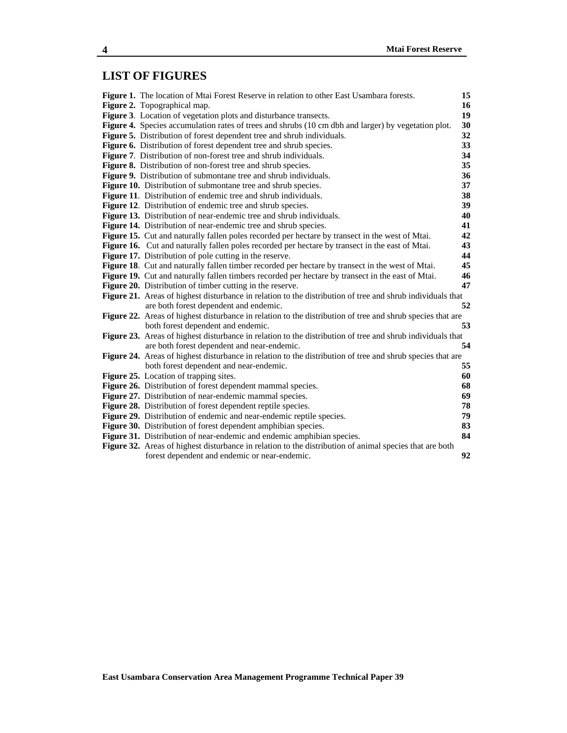## **LIST OF FIGURES**

| Figure 1. The location of Mtai Forest Reserve in relation to other East Usambara forests.                  | 15 |
|------------------------------------------------------------------------------------------------------------|----|
| Figure 2. Topographical map.                                                                               | 16 |
| <b>Figure 3.</b> Location of vegetation plots and disturbance transects.                                   | 19 |
| Figure 4. Species accumulation rates of trees and shrubs (10 cm dbh and larger) by vegetation plot.        | 30 |
| Figure 5. Distribution of forest dependent tree and shrub individuals.                                     | 32 |
| <b>Figure 6.</b> Distribution of forest dependent tree and shrub species.                                  | 33 |
| Figure 7. Distribution of non-forest tree and shrub individuals.                                           | 34 |
| <b>Figure 8.</b> Distribution of non-forest tree and shrub species.                                        | 35 |
| <b>Figure 9.</b> Distribution of submontane tree and shrub individuals.                                    | 36 |
| Figure 10. Distribution of submontane tree and shrub species.                                              | 37 |
| <b>Figure 11.</b> Distribution of endemic tree and shrub individuals.                                      | 38 |
| <b>Figure 12.</b> Distribution of endemic tree and shrub species.                                          | 39 |
| Figure 13. Distribution of near-endemic tree and shrub individuals.                                        | 40 |
| <b>Figure 14.</b> Distribution of near-endemic tree and shrub species.                                     | 41 |
| Figure 15. Cut and naturally fallen poles recorded per hectare by transect in the west of Mtai.            | 42 |
| Figure 16. Cut and naturally fallen poles recorded per hectare by transect in the east of Mtai.            | 43 |
| <b>Figure 17.</b> Distribution of pole cutting in the reserve.                                             | 44 |
| <b>Figure 18.</b> Cut and naturally fallen timber recorded per hectare by transect in the west of Mtai.    | 45 |
| Figure 19. Cut and naturally fallen timbers recorded per hectare by transect in the east of Mtai.          | 46 |
| <b>Figure 20.</b> Distribution of timber cutting in the reserve.                                           | 47 |
| Figure 21. Areas of highest disturbance in relation to the distribution of tree and shrub individuals that |    |
| are both forest dependent and endemic.                                                                     | 52 |
| Figure 22. Areas of highest disturbance in relation to the distribution of tree and shrub species that are |    |
| both forest dependent and endemic.                                                                         | 53 |
| Figure 23. Areas of highest disturbance in relation to the distribution of tree and shrub individuals that |    |
| are both forest dependent and near-endemic.                                                                | 54 |
| Figure 24. Areas of highest disturbance in relation to the distribution of tree and shrub species that are |    |
| both forest dependent and near-endemic.                                                                    | 55 |
| Figure 25. Location of trapping sites.                                                                     | 60 |
| Figure 26. Distribution of forest dependent mammal species.                                                | 68 |
| Figure 27. Distribution of near-endemic mammal species.                                                    | 69 |
| Figure 28. Distribution of forest dependent reptile species.                                               | 78 |
| Figure 29. Distribution of endemic and near-endemic reptile species.                                       | 79 |
| Figure 30. Distribution of forest dependent amphibian species.                                             | 83 |
| Figure 31. Distribution of near-endemic and endemic amphibian species.                                     | 84 |
| Figure 32. Areas of highest disturbance in relation to the distribution of animal species that are both    |    |
| forest dependent and endemic or near-endemic.                                                              | 92 |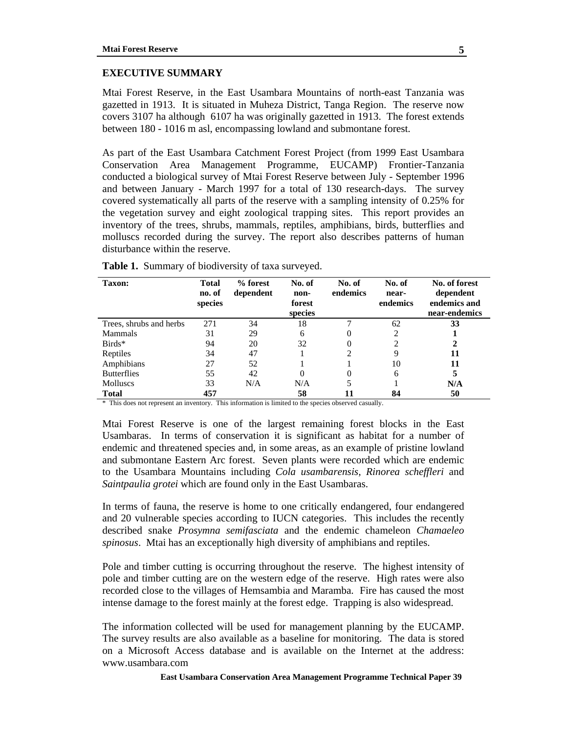#### **EXECUTIVE SUMMARY**

Mtai Forest Reserve, in the East Usambara Mountains of north-east Tanzania was gazetted in 1913. It is situated in Muheza District, Tanga Region. The reserve now covers 3107 ha although 6107 ha was originally gazetted in 1913. The forest extends between 180 - 1016 m asl, encompassing lowland and submontane forest.

As part of the East Usambara Catchment Forest Project (from 1999 East Usambara Conservation Area Management Programme, EUCAMP) Frontier-Tanzania conducted a biological survey of Mtai Forest Reserve between July - September 1996 and between January - March 1997 for a total of 130 research-days. The survey covered systematically all parts of the reserve with a sampling intensity of 0.25% for the vegetation survey and eight zoological trapping sites. This report provides an inventory of the trees, shrubs, mammals, reptiles, amphibians, birds, butterflies and molluscs recorded during the survey. The report also describes patterns of human disturbance within the reserve.

| <b>Taxon:</b>           | <b>Total</b><br>no. of<br>species | % forest<br>dependent | No. of<br>non-<br>forest<br>species | No. of<br>endemics | No. of<br>near-<br>endemics | No. of forest<br>dependent<br>endemics and<br>near-endemics |
|-------------------------|-----------------------------------|-----------------------|-------------------------------------|--------------------|-----------------------------|-------------------------------------------------------------|
| Trees, shrubs and herbs | 271                               | 34                    | 18                                  |                    | 62                          | 33                                                          |
| Mammals                 | 31                                | 29                    | 6                                   | $\theta$           | 2                           |                                                             |
| $Birds*$                | 94                                | 20                    | 32                                  | 0                  | ∍                           | 2                                                           |
| Reptiles                | 34                                | 47                    |                                     | 2                  | 9                           | 11                                                          |
| Amphibians              | 27                                | 52                    |                                     |                    | 10                          | 11                                                          |
| <b>Butterflies</b>      | 55                                | 42                    | $\Omega$                            | $\Omega$           | 6                           | 5                                                           |
| <b>Molluscs</b>         | 33                                | N/A                   | N/A                                 | 5                  |                             | N/A                                                         |
| <b>Total</b>            | 457                               |                       | 58                                  | 11                 | 84                          | 50                                                          |

**Table 1.** Summary of biodiversity of taxa surveyed.

\* This does not represent an inventory. This information is limited to the species observed casually.

Mtai Forest Reserve is one of the largest remaining forest blocks in the East Usambaras. In terms of conservation it is significant as habitat for a number of endemic and threatened species and, in some areas, as an example of pristine lowland and submontane Eastern Arc forest. Seven plants were recorded which are endemic to the Usambara Mountains including *Cola usambarensis, Rinorea scheffleri* and *Saintpaulia grotei* which are found only in the East Usambaras.

In terms of fauna, the reserve is home to one critically endangered, four endangered and 20 vulnerable species according to IUCN categories. This includes the recently described snake *Prosymna semifasciata* and the endemic chameleon *Chamaeleo spinosus*. Mtai has an exceptionally high diversity of amphibians and reptiles.

Pole and timber cutting is occurring throughout the reserve. The highest intensity of pole and timber cutting are on the western edge of the reserve. High rates were also recorded close to the villages of Hemsambia and Maramba. Fire has caused the most intense damage to the forest mainly at the forest edge. Trapping is also widespread.

The information collected will be used for management planning by the EUCAMP. The survey results are also available as a baseline for monitoring. The data is stored on a Microsoft Access database and is available on the Internet at the address: www.usambara.com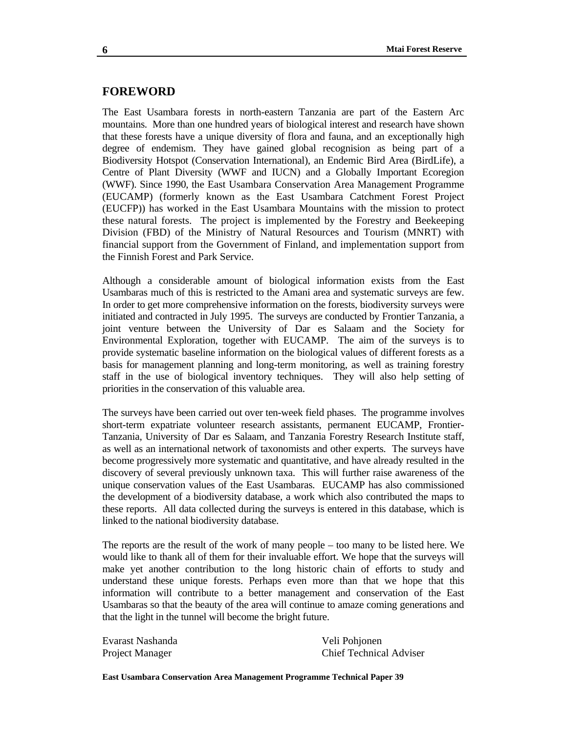## **FOREWORD**

The East Usambara forests in north-eastern Tanzania are part of the Eastern Arc mountains. More than one hundred years of biological interest and research have shown that these forests have a unique diversity of flora and fauna, and an exceptionally high degree of endemism. They have gained global recognision as being part of a Biodiversity Hotspot (Conservation International), an Endemic Bird Area (BirdLife), a Centre of Plant Diversity (WWF and IUCN) and a Globally Important Ecoregion (WWF). Since 1990, the East Usambara Conservation Area Management Programme (EUCAMP) (formerly known as the East Usambara Catchment Forest Project (EUCFP)) has worked in the East Usambara Mountains with the mission to protect these natural forests. The project is implemented by the Forestry and Beekeeping Division (FBD) of the Ministry of Natural Resources and Tourism (MNRT) with financial support from the Government of Finland, and implementation support from the Finnish Forest and Park Service.

Although a considerable amount of biological information exists from the East Usambaras much of this is restricted to the Amani area and systematic surveys are few. In order to get more comprehensive information on the forests, biodiversity surveys were initiated and contracted in July 1995. The surveys are conducted by Frontier Tanzania, a joint venture between the University of Dar es Salaam and the Society for Environmental Exploration, together with EUCAMP. The aim of the surveys is to provide systematic baseline information on the biological values of different forests as a basis for management planning and long-term monitoring, as well as training forestry staff in the use of biological inventory techniques. They will also help setting of priorities in the conservation of this valuable area.

The surveys have been carried out over ten-week field phases. The programme involves short-term expatriate volunteer research assistants, permanent EUCAMP, Frontier-Tanzania, University of Dar es Salaam, and Tanzania Forestry Research Institute staff, as well as an international network of taxonomists and other experts. The surveys have become progressively more systematic and quantitative, and have already resulted in the discovery of several previously unknown taxa. This will further raise awareness of the unique conservation values of the East Usambaras. EUCAMP has also commissioned the development of a biodiversity database, a work which also contributed the maps to these reports. All data collected during the surveys is entered in this database, which is linked to the national biodiversity database.

The reports are the result of the work of many people – too many to be listed here. We would like to thank all of them for their invaluable effort. We hope that the surveys will make yet another contribution to the long historic chain of efforts to study and understand these unique forests. Perhaps even more than that we hope that this information will contribute to a better management and conservation of the East Usambaras so that the beauty of the area will continue to amaze coming generations and that the light in the tunnel will become the bright future.

Evarast Nashanda Veli Pohjonen

Project Manager Chief Technical Adviser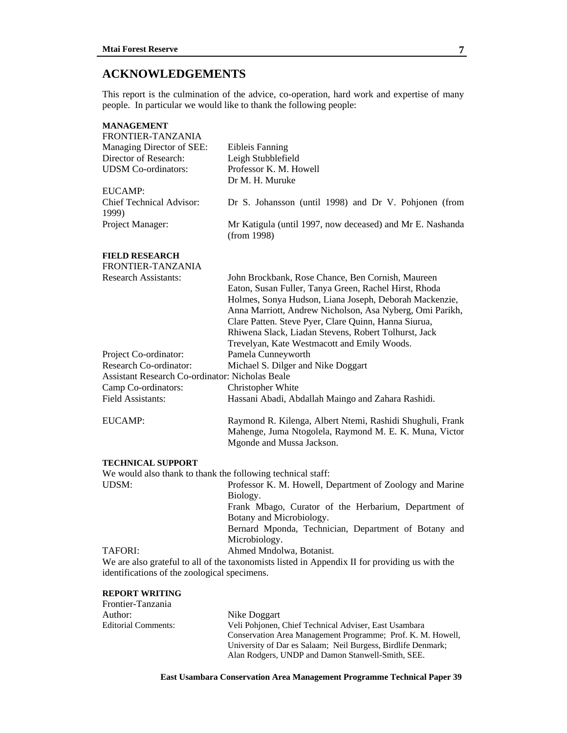## **ACKNOWLEDGEMENTS**

This report is the culmination of the advice, co-operation, hard work and expertise of many people. In particular we would like to thank the following people:

| <b>MANAGEMENT</b>                                           |                                                                                                                                                                                                                                                                                                                                                                                                 |
|-------------------------------------------------------------|-------------------------------------------------------------------------------------------------------------------------------------------------------------------------------------------------------------------------------------------------------------------------------------------------------------------------------------------------------------------------------------------------|
| FRONTIER-TANZANIA                                           |                                                                                                                                                                                                                                                                                                                                                                                                 |
| Managing Director of SEE:<br>Director of Research:          | <b>Eibleis Fanning</b><br>Leigh Stubblefield                                                                                                                                                                                                                                                                                                                                                    |
| <b>UDSM</b> Co-ordinators:                                  | Professor K. M. Howell                                                                                                                                                                                                                                                                                                                                                                          |
|                                                             | Dr M. H. Muruke                                                                                                                                                                                                                                                                                                                                                                                 |
| EUCAMP:                                                     |                                                                                                                                                                                                                                                                                                                                                                                                 |
| <b>Chief Technical Advisor:</b><br>1999)                    | Dr S. Johansson (until 1998) and Dr V. Pohjonen (from                                                                                                                                                                                                                                                                                                                                           |
| Project Manager:                                            | Mr Katigula (until 1997, now deceased) and Mr E. Nashanda<br>(from 1998)                                                                                                                                                                                                                                                                                                                        |
| <b>FIELD RESEARCH</b><br>FRONTIER-TANZANIA                  |                                                                                                                                                                                                                                                                                                                                                                                                 |
| <b>Research Assistants:</b>                                 | John Brockbank, Rose Chance, Ben Cornish, Maureen<br>Eaton, Susan Fuller, Tanya Green, Rachel Hirst, Rhoda<br>Holmes, Sonya Hudson, Liana Joseph, Deborah Mackenzie,<br>Anna Marriott, Andrew Nicholson, Asa Nyberg, Omi Parikh,<br>Clare Patten. Steve Pyer, Clare Quinn, Hanna Siurua,<br>Rhiwena Slack, Liadan Stevens, Robert Tolhurst, Jack<br>Trevelyan, Kate Westmacott and Emily Woods. |
| Project Co-ordinator:                                       | Pamela Cunneyworth                                                                                                                                                                                                                                                                                                                                                                              |
| Research Co-ordinator:                                      | Michael S. Dilger and Nike Doggart                                                                                                                                                                                                                                                                                                                                                              |
| <b>Assistant Research Co-ordinator: Nicholas Beale</b>      |                                                                                                                                                                                                                                                                                                                                                                                                 |
| Camp Co-ordinators:                                         | Christopher White                                                                                                                                                                                                                                                                                                                                                                               |
| Field Assistants:                                           | Hassani Abadi, Abdallah Maingo and Zahara Rashidi.                                                                                                                                                                                                                                                                                                                                              |
| EUCAMP:                                                     | Raymond R. Kilenga, Albert Ntemi, Rashidi Shughuli, Frank<br>Mahenge, Juma Ntogolela, Raymond M. E. K. Muna, Victor<br>Mgonde and Mussa Jackson.                                                                                                                                                                                                                                                |
| <b>TECHNICAL SUPPORT</b>                                    |                                                                                                                                                                                                                                                                                                                                                                                                 |
| We would also thank to thank the following technical staff: |                                                                                                                                                                                                                                                                                                                                                                                                 |
| UDSM:                                                       | Professor K. M. Howell, Department of Zoology and Marine<br>Biology.                                                                                                                                                                                                                                                                                                                            |
|                                                             | Frank Mbago, Curator of the Herbarium, Department of                                                                                                                                                                                                                                                                                                                                            |
|                                                             | Botany and Microbiology.                                                                                                                                                                                                                                                                                                                                                                        |
|                                                             | Bernard Mponda, Technician, Department of Botany and<br>Microbiology.                                                                                                                                                                                                                                                                                                                           |
| TAFORI:                                                     | Ahmed Mndolwa, Botanist.                                                                                                                                                                                                                                                                                                                                                                        |
| identifications of the zoological specimens.                | We are also grateful to all of the taxonomists listed in Appendix II for providing us with the                                                                                                                                                                                                                                                                                                  |
| <b>REPORT WRITING</b>                                       |                                                                                                                                                                                                                                                                                                                                                                                                 |

Frontier-Tanzania Author: Nike Doggart Editorial Comments: Veli Pohjonen, Chief Technical Adviser, East Usambara Conservation Area Management Programme; Prof. K. M. Howell, University of Dar es Salaam; Neil Burgess, Birdlife Denmark; Alan Rodgers, UNDP and Damon Stanwell-Smith, SEE.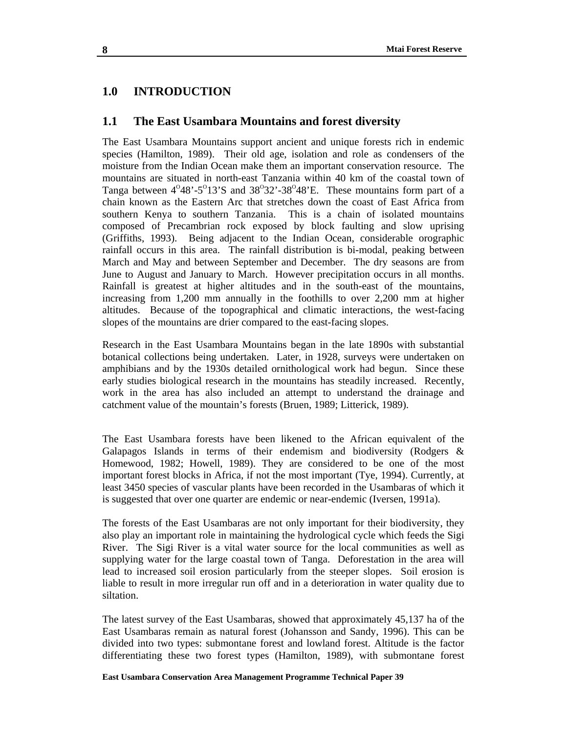## **1.0 INTRODUCTION**

#### **1.1 The East Usambara Mountains and forest diversity**

The East Usambara Mountains support ancient and unique forests rich in endemic species (Hamilton, 1989). Their old age, isolation and role as condensers of the moisture from the Indian Ocean make them an important conservation resource. The mountains are situated in north-east Tanzania within 40 km of the coastal town of Tanga between  $4^{\circ}48'$ -5 $^{\circ}13'$ S and  $38^{\circ}32'$ -38 $^{\circ}48'$ E. These mountains form part of a chain known as the Eastern Arc that stretches down the coast of East Africa from southern Kenya to southern Tanzania. This is a chain of isolated mountains composed of Precambrian rock exposed by block faulting and slow uprising (Griffiths, 1993). Being adjacent to the Indian Ocean, considerable orographic rainfall occurs in this area. The rainfall distribution is bi-modal, peaking between March and May and between September and December. The dry seasons are from June to August and January to March. However precipitation occurs in all months. Rainfall is greatest at higher altitudes and in the south-east of the mountains, increasing from 1,200 mm annually in the foothills to over 2,200 mm at higher altitudes. Because of the topographical and climatic interactions, the west-facing slopes of the mountains are drier compared to the east-facing slopes.

Research in the East Usambara Mountains began in the late 1890s with substantial botanical collections being undertaken. Later, in 1928, surveys were undertaken on amphibians and by the 1930s detailed ornithological work had begun. Since these early studies biological research in the mountains has steadily increased. Recently, work in the area has also included an attempt to understand the drainage and catchment value of the mountain's forests (Bruen, 1989; Litterick, 1989).

The East Usambara forests have been likened to the African equivalent of the Galapagos Islands in terms of their endemism and biodiversity (Rodgers & Homewood, 1982; Howell, 1989). They are considered to be one of the most important forest blocks in Africa, if not the most important (Tye, 1994). Currently, at least 3450 species of vascular plants have been recorded in the Usambaras of which it is suggested that over one quarter are endemic or near-endemic (Iversen, 1991a).

The forests of the East Usambaras are not only important for their biodiversity, they also play an important role in maintaining the hydrological cycle which feeds the Sigi River. The Sigi River is a vital water source for the local communities as well as supplying water for the large coastal town of Tanga. Deforestation in the area will lead to increased soil erosion particularly from the steeper slopes. Soil erosion is liable to result in more irregular run off and in a deterioration in water quality due to siltation.

The latest survey of the East Usambaras, showed that approximately 45,137 ha of the East Usambaras remain as natural forest (Johansson and Sandy, 1996). This can be divided into two types: submontane forest and lowland forest. Altitude is the factor differentiating these two forest types (Hamilton, 1989), with submontane forest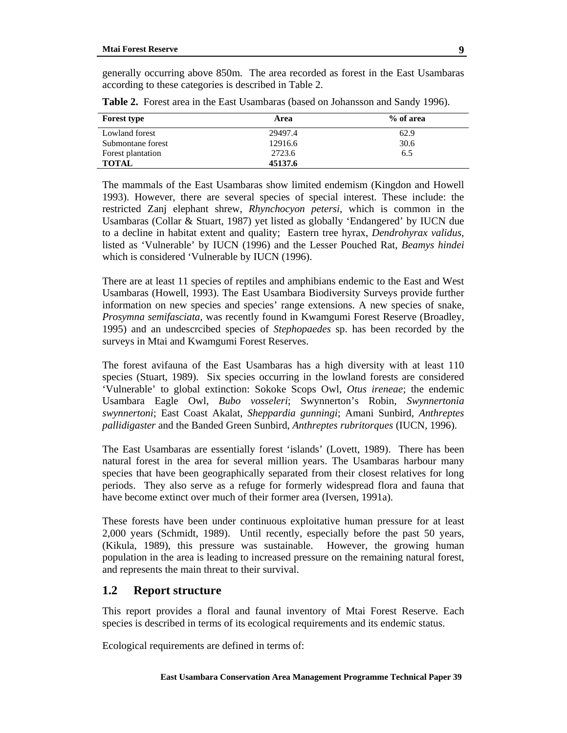generally occurring above 850m. The area recorded as forest in the East Usambaras according to these categories is described in Table 2.

| <b>Forest type</b> | Area    | % of area |
|--------------------|---------|-----------|
| Lowland forest     | 29497.4 | 62.9      |
| Submontane forest  | 12916.6 | 30.6      |
| Forest plantation  | 2723.6  | 6.5       |
| <b>TOTAL</b>       | 45137.6 |           |

**Table 2.** Forest area in the East Usambaras (based on Johansson and Sandy 1996).

The mammals of the East Usambaras show limited endemism (Kingdon and Howell 1993). However, there are several species of special interest. These include: the restricted Zanj elephant shrew, *Rhynchocyon petersi,* which is common in the Usambaras (Collar & Stuart, 1987) yet listed as globally 'Endangered' by IUCN due to a decline in habitat extent and quality; Eastern tree hyrax, *Dendrohyrax validus*, listed as 'Vulnerable' by IUCN (1996) and the Lesser Pouched Rat, *Beamys hindei*  which is considered 'Vulnerable by IUCN (1996).

There are at least 11 species of reptiles and amphibians endemic to the East and West Usambaras (Howell, 1993). The East Usambara Biodiversity Surveys provide further information on new species and species' range extensions. A new species of snake, *Prosymna semifasciata,* was recently found in Kwamgumi Forest Reserve (Broadley, 1995) and an undescrcibed species of *Stephopaedes* sp. has been recorded by the surveys in Mtai and Kwamgumi Forest Reserves.

The forest avifauna of the East Usambaras has a high diversity with at least 110 species (Stuart, 1989). Six species occurring in the lowland forests are considered 'Vulnerable' to global extinction: Sokoke Scops Owl, *Otus ireneae*; the endemic Usambara Eagle Owl, *Bubo vosseleri*; Swynnerton's Robin, *Swynnertonia swynnertoni*; East Coast Akalat, *Sheppardia gunningi*; Amani Sunbird, *Anthreptes pallidigaster* and the Banded Green Sunbird, *Anthreptes rubritorques* (IUCN*,* 1996).

The East Usambaras are essentially forest 'islands' (Lovett, 1989). There has been natural forest in the area for several million years. The Usambaras harbour many species that have been geographically separated from their closest relatives for long periods. They also serve as a refuge for formerly widespread flora and fauna that have become extinct over much of their former area (Iversen, 1991a).

These forests have been under continuous exploitative human pressure for at least 2,000 years (Schmidt, 1989). Until recently, especially before the past 50 years, (Kikula, 1989), this pressure was sustainable. However, the growing human population in the area is leading to increased pressure on the remaining natural forest, and represents the main threat to their survival.

## **1.2 Report structure**

This report provides a floral and faunal inventory of Mtai Forest Reserve. Each species is described in terms of its ecological requirements and its endemic status.

Ecological requirements are defined in terms of: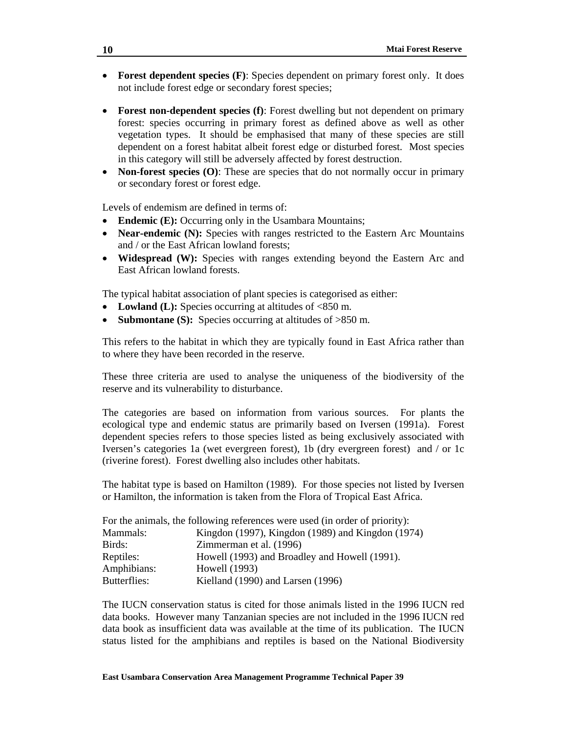- **Forest dependent species (F)**: Species dependent on primary forest only. It does not include forest edge or secondary forest species;
- **Forest non-dependent species (f)**: Forest dwelling but not dependent on primary forest: species occurring in primary forest as defined above as well as other vegetation types. It should be emphasised that many of these species are still dependent on a forest habitat albeit forest edge or disturbed forest. Most species in this category will still be adversely affected by forest destruction.
- **Non-forest species (O)**: These are species that do not normally occur in primary or secondary forest or forest edge.

Levels of endemism are defined in terms of:

- **Endemic (E):** Occurring only in the Usambara Mountains;
- **Near-endemic (N):** Species with ranges restricted to the Eastern Arc Mountains and / or the East African lowland forests;
- **Widespread (W):** Species with ranges extending beyond the Eastern Arc and East African lowland forests.

The typical habitat association of plant species is categorised as either:

- Lowland (L): Species occurring at altitudes of  $<850$  m.
- **Submontane (S):** Species occurring at altitudes of >850 m.

This refers to the habitat in which they are typically found in East Africa rather than to where they have been recorded in the reserve.

These three criteria are used to analyse the uniqueness of the biodiversity of the reserve and its vulnerability to disturbance.

The categories are based on information from various sources. For plants the ecological type and endemic status are primarily based on Iversen (1991a). Forest dependent species refers to those species listed as being exclusively associated with Iversen's categories 1a (wet evergreen forest), 1b (dry evergreen forest) and / or 1c (riverine forest). Forest dwelling also includes other habitats.

The habitat type is based on Hamilton (1989). For those species not listed by Iversen or Hamilton, the information is taken from the Flora of Tropical East Africa.

|              | For the animals, the following references were used (in order of priority): |
|--------------|-----------------------------------------------------------------------------|
| Mammals:     | Kingdon (1997), Kingdon (1989) and Kingdon (1974)                           |
| Birds:       | Zimmerman et al. (1996)                                                     |
| Reptiles:    | Howell (1993) and Broadley and Howell (1991).                               |
| Amphibians:  | Howell (1993)                                                               |
| Butterflies: | Kielland (1990) and Larsen (1996)                                           |

The IUCN conservation status is cited for those animals listed in the 1996 IUCN red data books. However many Tanzanian species are not included in the 1996 IUCN red data book as insufficient data was available at the time of its publication. The IUCN status listed for the amphibians and reptiles is based on the National Biodiversity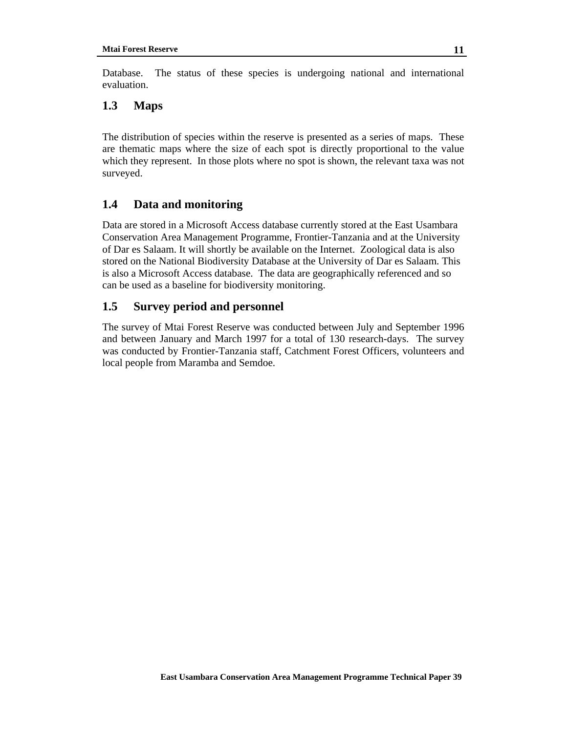Database. The status of these species is undergoing national and international evaluation.

## **1.3 Maps**

The distribution of species within the reserve is presented as a series of maps. These are thematic maps where the size of each spot is directly proportional to the value which they represent. In those plots where no spot is shown, the relevant taxa was not surveyed.

## **1.4 Data and monitoring**

Data are stored in a Microsoft Access database currently stored at the East Usambara Conservation Area Management Programme, Frontier-Tanzania and at the University of Dar es Salaam. It will shortly be available on the Internet. Zoological data is also stored on the National Biodiversity Database at the University of Dar es Salaam. This is also a Microsoft Access database. The data are geographically referenced and so can be used as a baseline for biodiversity monitoring.

## **1.5 Survey period and personnel**

The survey of Mtai Forest Reserve was conducted between July and September 1996 and between January and March 1997 for a total of 130 research-days. The survey was conducted by Frontier-Tanzania staff, Catchment Forest Officers, volunteers and local people from Maramba and Semdoe.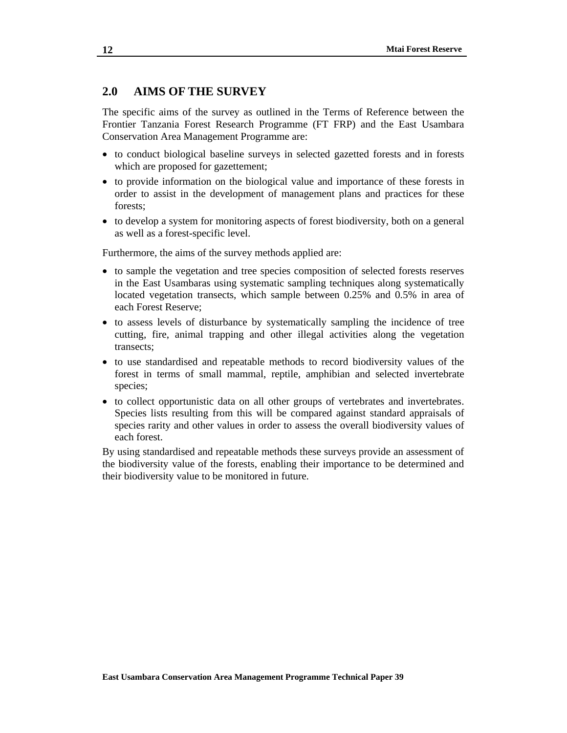## **2.0 AIMS OF THE SURVEY**

The specific aims of the survey as outlined in the Terms of Reference between the Frontier Tanzania Forest Research Programme (FT FRP) and the East Usambara Conservation Area Management Programme are:

- to conduct biological baseline surveys in selected gazetted forests and in forests which are proposed for gazettement;
- to provide information on the biological value and importance of these forests in order to assist in the development of management plans and practices for these forests;
- to develop a system for monitoring aspects of forest biodiversity, both on a general as well as a forest-specific level.

Furthermore, the aims of the survey methods applied are:

- to sample the vegetation and tree species composition of selected forests reserves in the East Usambaras using systematic sampling techniques along systematically located vegetation transects, which sample between 0.25% and 0.5% in area of each Forest Reserve;
- to assess levels of disturbance by systematically sampling the incidence of tree cutting, fire, animal trapping and other illegal activities along the vegetation transects;
- to use standardised and repeatable methods to record biodiversity values of the forest in terms of small mammal, reptile, amphibian and selected invertebrate species;
- to collect opportunistic data on all other groups of vertebrates and invertebrates. Species lists resulting from this will be compared against standard appraisals of species rarity and other values in order to assess the overall biodiversity values of each forest.

By using standardised and repeatable methods these surveys provide an assessment of the biodiversity value of the forests, enabling their importance to be determined and their biodiversity value to be monitored in future.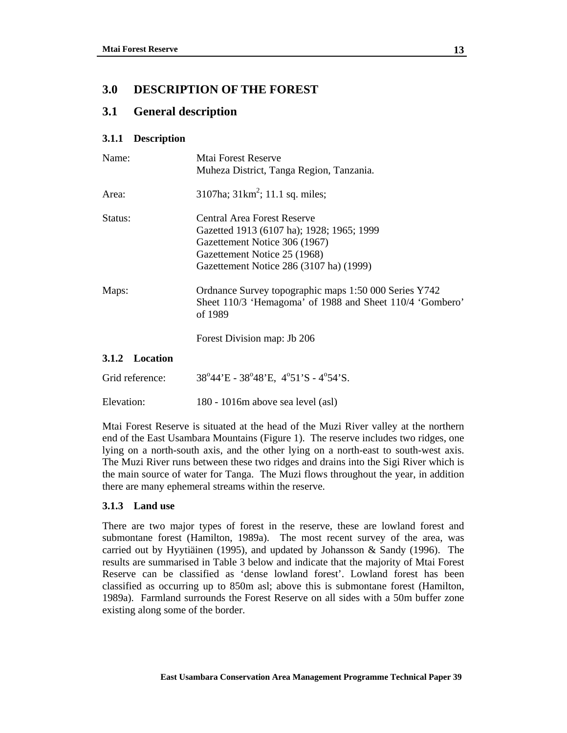## **3.0 DESCRIPTION OF THE FOREST**

## **3.1 General description**

#### **3.1.1 Description**

| Name:           | Mtai Forest Reserve                                                                                                                                                                  |  |  |
|-----------------|--------------------------------------------------------------------------------------------------------------------------------------------------------------------------------------|--|--|
|                 | Muheza District, Tanga Region, Tanzania.                                                                                                                                             |  |  |
| Area:           | 3107ha; $31km^2$ ; 11.1 sq. miles;                                                                                                                                                   |  |  |
| Status:         | Central Area Forest Reserve<br>Gazetted 1913 (6107 ha); 1928; 1965; 1999<br>Gazettement Notice 306 (1967)<br>Gazettement Notice 25 (1968)<br>Gazettement Notice 286 (3107 ha) (1999) |  |  |
| Maps:           | Ordnance Survey topographic maps 1:50 000 Series Y742<br>Sheet 110/3 'Hemagoma' of 1988 and Sheet 110/4 'Gombero'<br>of 1989<br>Forest Division map: Jb 206                          |  |  |
| 3.1.2 Location  |                                                                                                                                                                                      |  |  |
| Grid reference: | $38^{\circ}44'E - 38^{\circ}48'E$ , $4^{\circ}51'S - 4^{\circ}54'S$ .                                                                                                                |  |  |
| Elevation:      | 180 - 1016m above sea level (asl)                                                                                                                                                    |  |  |

Mtai Forest Reserve is situated at the head of the Muzi River valley at the northern end of the East Usambara Mountains (Figure 1). The reserve includes two ridges, one lying on a north-south axis, and the other lying on a north-east to south-west axis. The Muzi River runs between these two ridges and drains into the Sigi River which is the main source of water for Tanga. The Muzi flows throughout the year, in addition there are many ephemeral streams within the reserve.

#### **3.1.3 Land use**

There are two major types of forest in the reserve, these are lowland forest and submontane forest (Hamilton, 1989a). The most recent survey of the area, was carried out by Hyytiäinen (1995), and updated by Johansson & Sandy (1996). The results are summarised in Table 3 below and indicate that the majority of Mtai Forest Reserve can be classified as 'dense lowland forest'. Lowland forest has been classified as occurring up to 850m asl; above this is submontane forest (Hamilton, 1989a).Farmland surrounds the Forest Reserve on all sides with a 50m buffer zone existing along some of the border.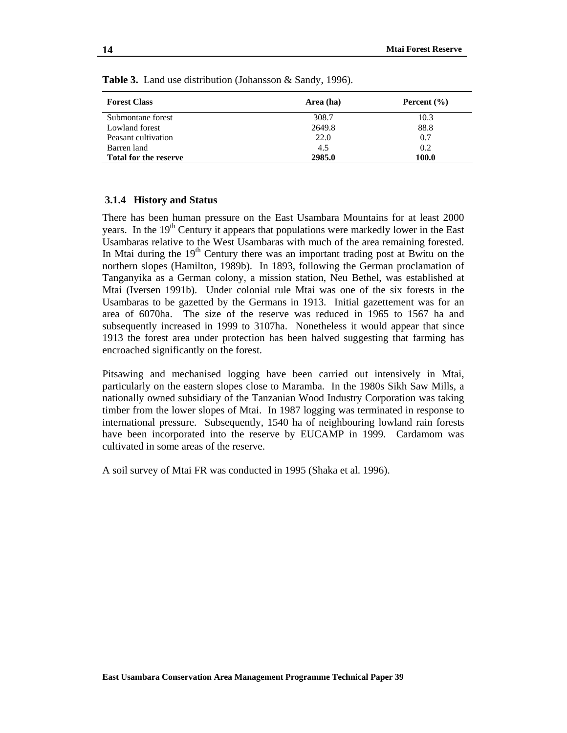| <b>Forest Class</b>          | Area (ha) | Percent $(\% )$ |
|------------------------------|-----------|-----------------|
| Submontane forest            | 308.7     | 10.3            |
| Lowland forest               | 2649.8    | 88.8            |
| Peasant cultivation          | 22.0      | 0.7             |
| Barren land                  | 4.5       | 0.2             |
| <b>Total for the reserve</b> | 2985.0    | 100.0           |

**Table 3.** Land use distribution (Johansson & Sandy, 1996).

#### **3.1.4 History and Status**

There has been human pressure on the East Usambara Mountains for at least 2000 years. In the 19<sup>th</sup> Century it appears that populations were markedly lower in the East Usambaras relative to the West Usambaras with much of the area remaining forested. In Mtai during the  $19<sup>th</sup>$  Century there was an important trading post at Bwitu on the northern slopes (Hamilton, 1989b). In 1893, following the German proclamation of Tanganyika as a German colony, a mission station, Neu Bethel, was established at Mtai (Iversen 1991b). Under colonial rule Mtai was one of the six forests in the Usambaras to be gazetted by the Germans in 1913. Initial gazettement was for an area of 6070ha. The size of the reserve was reduced in 1965 to 1567 ha and subsequently increased in 1999 to 3107ha. Nonetheless it would appear that since 1913 the forest area under protection has been halved suggesting that farming has encroached significantly on the forest.

Pitsawing and mechanised logging have been carried out intensively in Mtai, particularly on the eastern slopes close to Maramba. In the 1980s Sikh Saw Mills, a nationally owned subsidiary of the Tanzanian Wood Industry Corporation was taking timber from the lower slopes of Mtai. In 1987 logging was terminated in response to international pressure. Subsequently, 1540 ha of neighbouring lowland rain forests have been incorporated into the reserve by EUCAMP in 1999. Cardamom was cultivated in some areas of the reserve.

A soil survey of Mtai FR was conducted in 1995 (Shaka et al. 1996).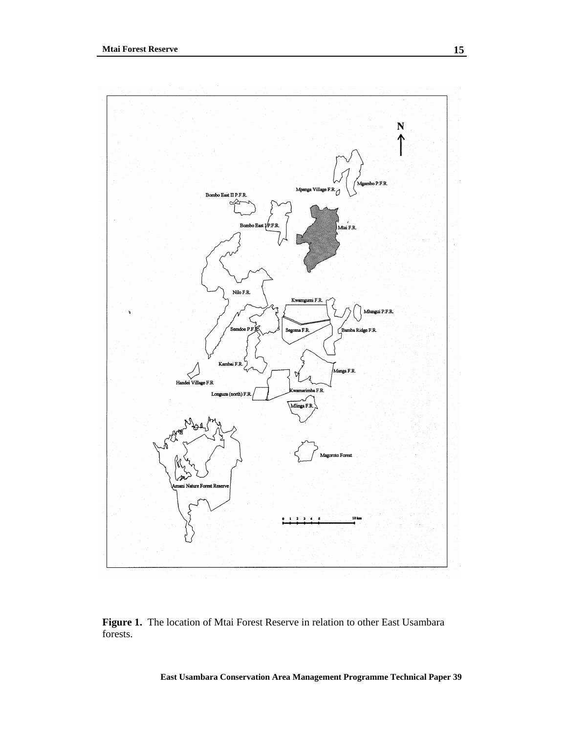

Figure 1. The location of Mtai Forest Reserve in relation to other East Usambara forests.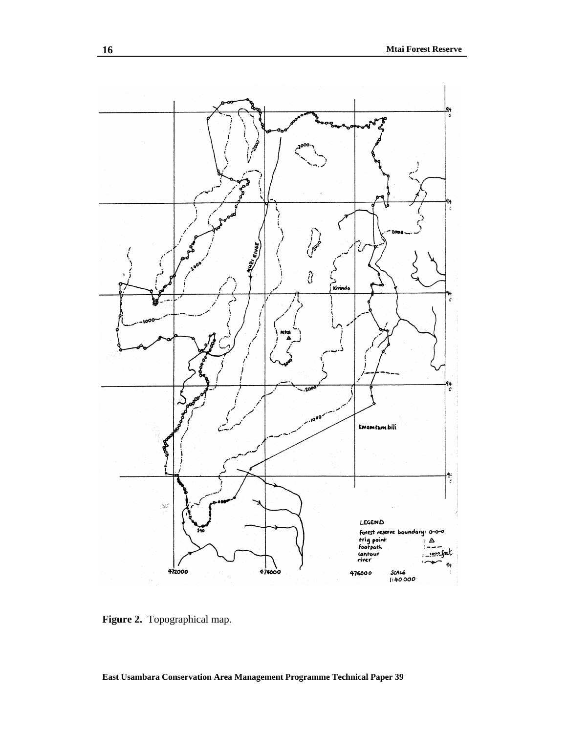

Figure 2. Topographical map.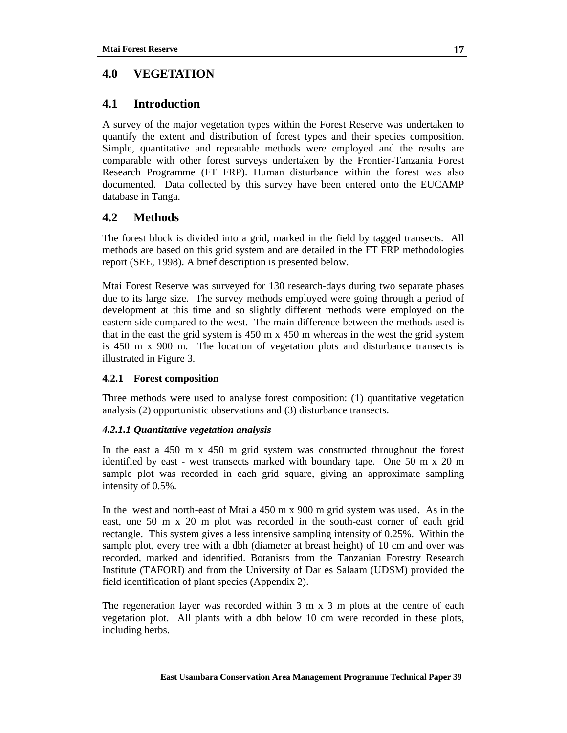## **4.0 VEGETATION**

## **4.1 Introduction**

A survey of the major vegetation types within the Forest Reserve was undertaken to quantify the extent and distribution of forest types and their species composition. Simple, quantitative and repeatable methods were employed and the results are comparable with other forest surveys undertaken by the Frontier-Tanzania Forest Research Programme (FT FRP). Human disturbance within the forest was also documented. Data collected by this survey have been entered onto the EUCAMP database in Tanga.

## **4.2 Methods**

The forest block is divided into a grid, marked in the field by tagged transects. All methods are based on this grid system and are detailed in the FT FRP methodologies report (SEE, 1998). A brief description is presented below.

Mtai Forest Reserve was surveyed for 130 research-days during two separate phases due to its large size. The survey methods employed were going through a period of development at this time and so slightly different methods were employed on the eastern side compared to the west. The main difference between the methods used is that in the east the grid system is 450 m x 450 m whereas in the west the grid system is 450 m x 900 m. The location of vegetation plots and disturbance transects is illustrated in Figure 3.

#### **4.2.1 Forest composition**

Three methods were used to analyse forest composition: (1) quantitative vegetation analysis (2) opportunistic observations and (3) disturbance transects.

#### *4.2.1.1 Quantitative vegetation analysis*

In the east a 450 m x 450 m grid system was constructed throughout the forest identified by east - west transects marked with boundary tape. One 50 m x 20 m sample plot was recorded in each grid square, giving an approximate sampling intensity of 0.5%.

In the west and north-east of Mtai a 450 m x 900 m grid system was used. As in the east, one 50 m x 20 m plot was recorded in the south-east corner of each grid rectangle. This system gives a less intensive sampling intensity of 0.25%. Within the sample plot, every tree with a dbh (diameter at breast height) of 10 cm and over was recorded, marked and identified. Botanists from the Tanzanian Forestry Research Institute (TAFORI) and from the University of Dar es Salaam (UDSM) provided the field identification of plant species (Appendix 2).

The regeneration layer was recorded within 3 m x 3 m plots at the centre of each vegetation plot. All plants with a dbh below 10 cm were recorded in these plots, including herbs.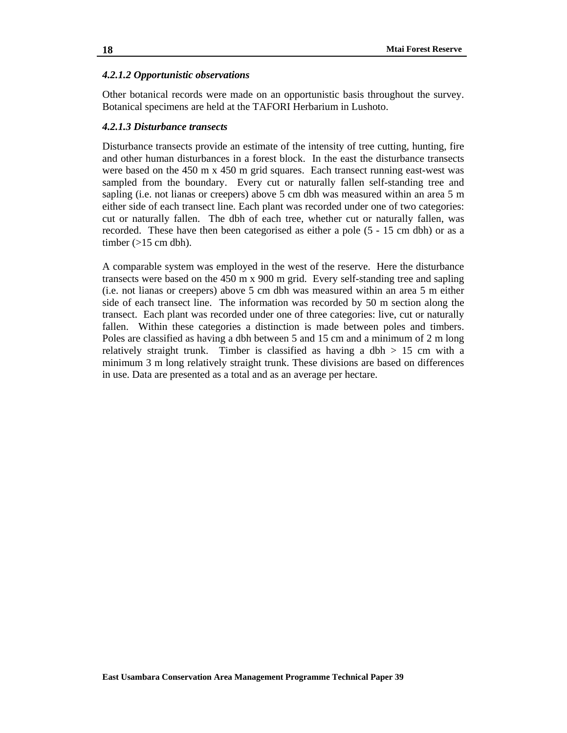#### *4.2.1.2 Opportunistic observations*

Other botanical records were made on an opportunistic basis throughout the survey. Botanical specimens are held at the TAFORI Herbarium in Lushoto.

#### *4.2.1.3 Disturbance transects*

Disturbance transects provide an estimate of the intensity of tree cutting, hunting, fire and other human disturbances in a forest block. In the east the disturbance transects were based on the  $450 \text{ m} \times 450 \text{ m}$  grid squares. Each transect running east-west was sampled from the boundary. Every cut or naturally fallen self-standing tree and sapling (i.e. not lianas or creepers) above 5 cm dbh was measured within an area 5 m either side of each transect line. Each plant was recorded under one of two categories: cut or naturally fallen. The dbh of each tree, whether cut or naturally fallen, was recorded. These have then been categorised as either a pole (5 - 15 cm dbh) or as a timber  $(>15$  cm dbh).

A comparable system was employed in the west of the reserve. Here the disturbance transects were based on the 450 m x 900 m grid. Every self-standing tree and sapling (i.e. not lianas or creepers) above 5 cm dbh was measured within an area 5 m either side of each transect line. The information was recorded by 50 m section along the transect. Each plant was recorded under one of three categories: live, cut or naturally fallen. Within these categories a distinction is made between poles and timbers. Poles are classified as having a dbh between 5 and 15 cm and a minimum of 2 m long relatively straight trunk. Timber is classified as having a dbh  $> 15$  cm with a minimum 3 m long relatively straight trunk. These divisions are based on differences in use. Data are presented as a total and as an average per hectare.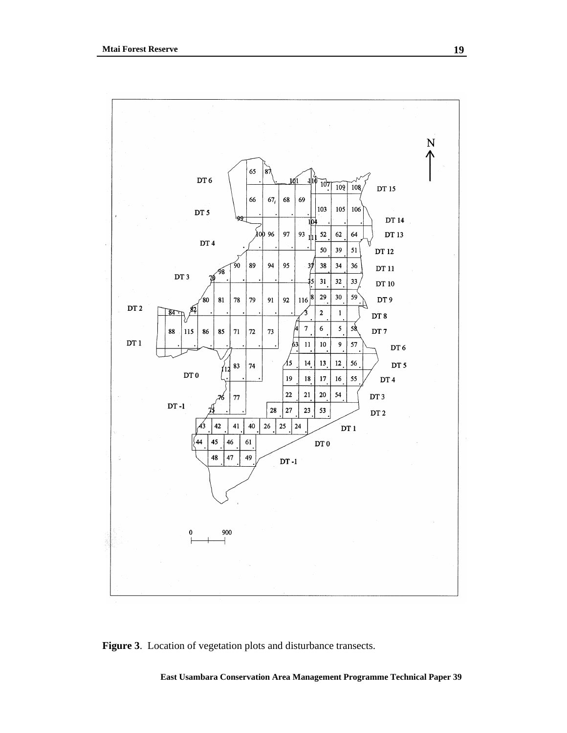

**Figure 3**. Location of vegetation plots and disturbance transects.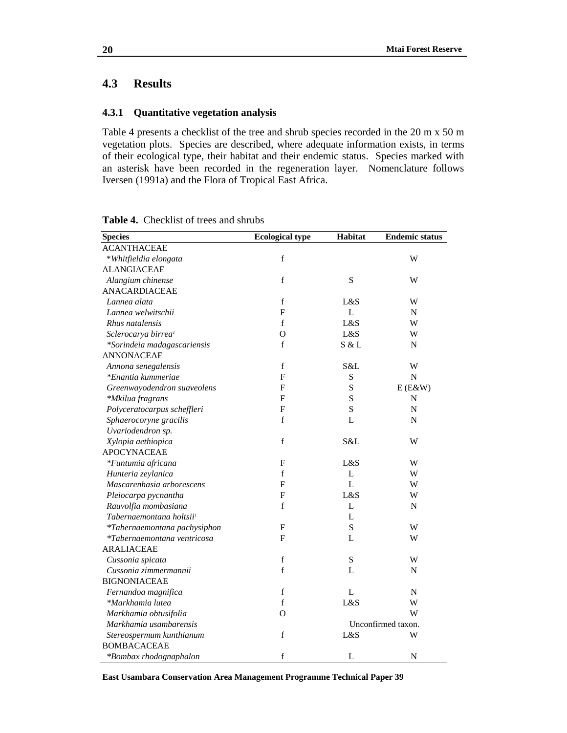## **4.3 Results**

#### **4.3.1 Quantitative vegetation analysis**

Table 4 presents a checklist of the tree and shrub species recorded in the 20 m x 50 m vegetation plots. Species are described, where adequate information exists, in terms of their ecological type, their habitat and their endemic status. Species marked with an asterisk have been recorded in the regeneration layer. Nomenclature follows Iversen (1991a) and the Flora of Tropical East Africa.

| <b>Species</b>                       | <b>Ecological type</b> | <b>Habitat</b> | <b>Endemic status</b> |
|--------------------------------------|------------------------|----------------|-----------------------|
| <b>ACANTHACEAE</b>                   |                        |                |                       |
| *Whitfieldia elongata                | f                      |                | W                     |
| <b>ALANGIACEAE</b>                   |                        |                |                       |
| Alangium chinense                    | f                      | S              | W                     |
| ANACARDIACEAE                        |                        |                |                       |
| Lannea alata                         | $\mathbf f$            | L&S            | W                     |
| Lannea welwitschii                   | $\mathbf{F}$           | L              | N                     |
| Rhus natalensis                      | $\mathbf f$            | L&S            | W                     |
| Sclerocarya birrea <sup>1</sup>      | O                      | L&S            | W                     |
| *Sorindeia madagascariensis          | f                      | S & L          | ${\bf N}$             |
| <b>ANNONACEAE</b>                    |                        |                |                       |
| Annona senegalensis                  | f                      | S&L            | W                     |
| *Enantia kummeriae                   | F                      | ${\bf S}$      | $\mathbf N$           |
| Greenwayodendron suaveolens          | F                      | S              | $E(E\&W)$             |
| *Mkilua fragrans                     | F                      | S              | $\mathbf N$           |
| Polyceratocarpus scheffleri          | F                      | S              | $\mathbf N$           |
| Sphaerocoryne gracilis               | f                      | L              | $\mathbf N$           |
| Uvariodendron sp.                    |                        |                |                       |
| Xylopia aethiopica                   | $\mathbf f$            | S&L            | W                     |
| <b>APOCYNACEAE</b>                   |                        |                |                       |
| *Funtumia africana                   | F                      | L&S            | W                     |
| Hunteria zeylanica                   | f                      | L              | W                     |
| Mascarenhasia arborescens            | F                      | L              | W                     |
| Pleiocarpa pycnantha                 | F                      | L&S            | W                     |
| Rauvolfia mombasiana                 | f                      | L              | N                     |
| Tabernaemontana holtsii <sup>1</sup> |                        | L              |                       |
| *Tabernaemontana pachysiphon         | F                      | ${\bf S}$      | W                     |
| *Tabernaemontana ventricosa          | F                      | L              | W                     |
| <b>ARALIACEAE</b>                    |                        |                |                       |
| Cussonia spicata                     | $\mathbf f$            | S              | W                     |
| Cussonia zimmermannii                | f                      | L              | N                     |
| <b>BIGNONIACEAE</b>                  |                        |                |                       |
| Fernandoa magnifica                  | $\mathbf f$            | L              | ${\bf N}$             |
| *Markhamia lutea                     | f                      | L&S            | W                     |
| Markhamia obtusifolia                | $\Omega$               |                | W                     |
| Markhamia usambarensis               |                        |                | Unconfirmed taxon.    |
| Stereospermum kunthianum             | f                      | L&S            | W                     |
| <b>BOMBACACEAE</b>                   |                        |                |                       |
| *Bombax rhodognaphalon               | $\mathbf f$            | L              | N                     |

**Table 4.** Checklist of trees and shrubs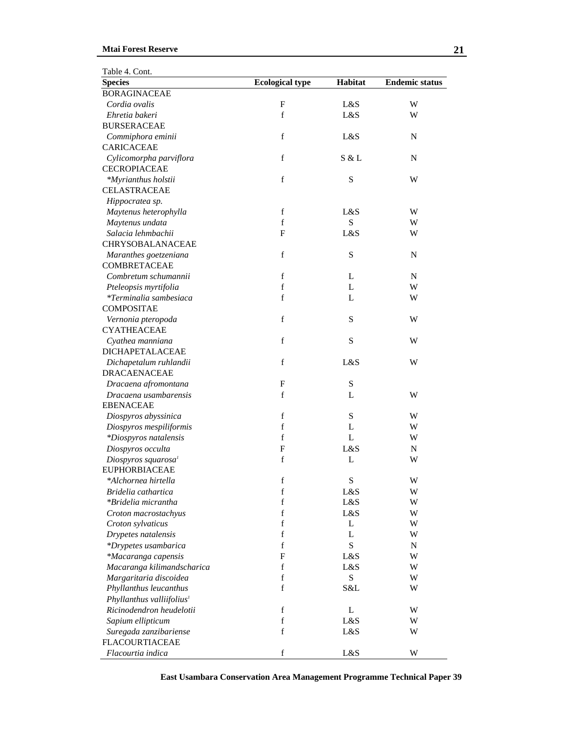| Table 4. Cont.                        |                        |              |                       |
|---------------------------------------|------------------------|--------------|-----------------------|
| <b>Species</b>                        | <b>Ecological type</b> | Habitat      | <b>Endemic status</b> |
| <b>BORAGINACEAE</b>                   |                        |              |                       |
| Cordia ovalis                         | F                      | L&S          | W                     |
| Ehretia bakeri                        | $\mathbf f$            | L&S          | W                     |
| <b>BURSERACEAE</b>                    |                        |              |                       |
| Commiphora eminii                     | $\mathbf f$            | L&S          | ${\bf N}$             |
| <b>CARICACEAE</b>                     |                        |              |                       |
| Cylicomorpha parviflora               | $\mathbf f$            | S & L        | N                     |
| <b>CECROPIACEAE</b>                   |                        |              |                       |
| *Myrianthus holstii                   | $\mathbf f$            | S            | W                     |
| <b>CELASTRACEAE</b>                   |                        |              |                       |
| Hippocratea sp.                       |                        |              |                       |
| Maytenus heterophylla                 | $\mathbf f$            | L&S          | W                     |
| Maytenus undata                       | f                      | S            | W                     |
| Salacia lehmbachii                    | $\mathbf{F}$           | L&S          | W                     |
| <b>CHRYSOBALANACEAE</b>               |                        |              |                       |
| Maranthes goetzeniana                 | $\mathbf f$            | S            | ${\bf N}$             |
| COMBRETACEAE                          |                        |              |                       |
| Combretum schumannii                  | f                      | L            | N                     |
| Pteleopsis myrtifolia                 | $\mathbf f$            | L            | W                     |
| <i>*Terminalia sambesiaca</i>         | $\mathbf f$            | L            | W                     |
| <b>COMPOSITAE</b>                     |                        |              |                       |
| Vernonia pteropoda                    | $\mathbf f$            | S            | W                     |
| <b>CYATHEACEAE</b>                    |                        |              |                       |
| Cyathea manniana                      | $\mathbf f$            | S            | W                     |
| <b>DICHAPETALACEAE</b>                |                        |              |                       |
| Dichapetalum ruhlandii                | $\mathbf f$            | L&S          | W                     |
| <b>DRACAENACEAE</b>                   |                        |              |                       |
| Dracaena afromontana                  | $\mathbf{F}$           | S            |                       |
| Dracaena usambarensis                 | $\mathbf f$            | L            | W                     |
| <b>EBENACEAE</b>                      |                        |              |                       |
| Diospyros abyssinica                  | f                      | S            | W                     |
| Diospyros mespiliformis               | $\mathbf f$            | L            | W                     |
| *Diospyros natalensis                 | f                      | $\mathbf{L}$ | W                     |
| Diospyros occulta                     | F                      | L&S          | N                     |
| Diospyros squarosa <sup>1</sup>       | $\mathbf f$            | L            | W                     |
| <b>EUPHORBIACEAE</b>                  |                        |              |                       |
| *Alchornea hirtella                   | f                      | S            | W                     |
| Bridelia cathartica                   | $\mathbf f$            | L&S          | W                     |
| *Bridelia micrantha                   | $\mathbf f$            | L&S          | W                     |
| Croton macrostachyus                  | $\mathbf f$            | L&S          | W                     |
| Croton sylvaticus                     | $\mathbf f$            | L            | W                     |
| Drypetes natalensis                   | $\mathbf f$            | L            | W                     |
| *Drypetes usambarica                  | $\mathbf f$            | S            | ${\bf N}$             |
| *Macaranga capensis                   | $\mathbf{F}$           | L&S          | W                     |
| Macaranga kilimandscharica            | $\mathbf f$            | L&S          | W                     |
| Margaritaria discoidea                | $\mathbf f$            | $\mathbf S$  | W                     |
| Phyllanthus leucanthus                | $\mathbf f$            | S&L          | W                     |
| Phyllanthus valliifolius <sup>1</sup> |                        |              |                       |
| Ricinodendron heudelotii              | f                      | L            | W                     |
| Sapium ellipticum                     | $\mathbf f$            | L&S          | W                     |
| Suregada zanzibariense                | $\mathbf f$            | L&S          | W                     |
| <b>FLACOURTIACEAE</b>                 |                        |              |                       |
| Flacourtia indica                     | $\mathbf f$            | L&S          | W                     |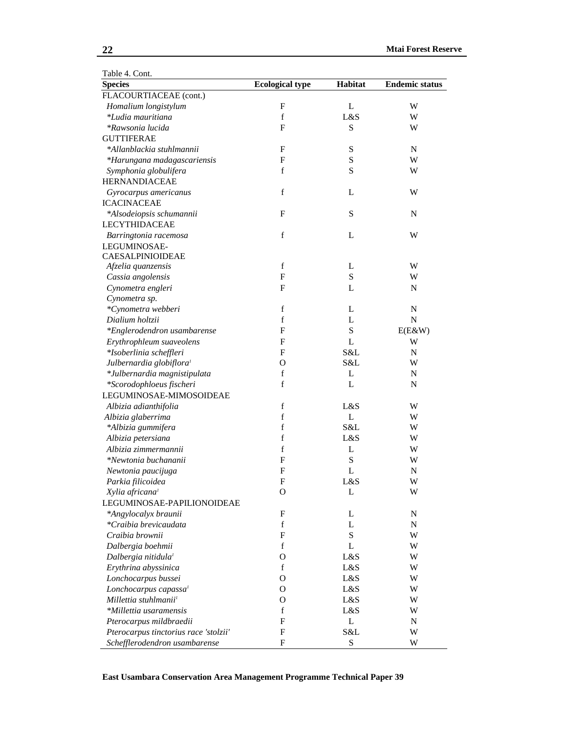| Table 4. Cont.                        |                           |             |                       |
|---------------------------------------|---------------------------|-------------|-----------------------|
| <b>Species</b>                        | <b>Ecological type</b>    | Habitat     | <b>Endemic status</b> |
| FLACOURTIACEAE (cont.)                |                           |             |                       |
| Homalium longistylum                  | F                         | L           | W                     |
| *Ludia mauritiana                     | $\mathbf f$               | L&S         | W                     |
| *Rawsonia lucida                      | $\mathbf{F}$              | S           | W                     |
| <b>GUTTIFERAE</b>                     |                           |             |                       |
| *Allanblackia stuhlmannii             | F                         | S           | ${\bf N}$             |
| *Harungana madagascariensis           | $\mathbf{F}$              | S           | W                     |
| Symphonia globulifera                 | f                         | S           | W                     |
| <b>HERNANDIACEAE</b>                  |                           |             |                       |
| Gyrocarpus americanus                 | f                         | L           | W                     |
| <b>ICACINACEAE</b>                    |                           |             |                       |
| *Alsodeiopsis schumannii              | $\mathbf{F}$              | S           | N                     |
| LECYTHIDACEAE                         |                           |             |                       |
| Barringtonia racemosa                 | $\mathbf f$               | L           | W                     |
| LEGUMINOSAE-                          |                           |             |                       |
| CAESALPINIOIDEAE                      |                           |             |                       |
| Afzelia quanzensis                    | $\mathbf f$               | L           | W                     |
| Cassia angolensis                     | $\mathbf{F}$              | S           | W                     |
| Cynometra engleri                     | $\mathbf{F}$              | L           | N                     |
| Cynometra sp.                         |                           |             |                       |
| *Cynometra webberi                    | $\mathbf f$               | L           | ${\bf N}$             |
| Dialium holtzii                       | f                         | L           | $\mathbf N$           |
| *Englerodendron usambarense           | $\mathbf{F}$              | S           | $E(E\&W)$             |
| Erythrophleum suaveolens              | $\mathbf{F}$              | L           | W                     |
| *Isoberlinia scheffleri               | $\mathbf{F}$              | S&L         | ${\bf N}$             |
| Julbernardia globiflora <sup>1</sup>  | O                         | S&L         | W                     |
| *Julbernardia magnistipulata          | $\mathbf f$               | L           | ${\bf N}$             |
| *Scorodophloeus fischeri              | $\mathbf f$               | L           | N                     |
| LEGUMINOSAE-MIMOSOIDEAE               |                           |             |                       |
| Albizia adianthifolia                 | $\mathbf f$               | L&S         | W                     |
| Albizia glaberrima                    | $\mathbf f$               | L           | W                     |
| *Albizia gummifera                    | $\mathbf f$               | S&L         | W                     |
| Albizia petersiana                    | $\mathbf f$               | L&S         | W                     |
| Albizia zimmermannii                  | f                         | L           | W                     |
| *Newtonia buchananii                  | F                         | $\mathbf S$ | W                     |
| Newtonia paucijuga                    | F                         | L           | N                     |
| Parkia filicoidea                     | F                         | L&S         | W                     |
| Xylia africana <sup>1</sup>           | О                         | L           | W                     |
| LEGUMINOSAE-PAPILIONOIDEAE            |                           |             |                       |
| *Angylocalyx braunii                  | F                         | L           | N                     |
| *Craibia brevicaudata                 | $\mathbf f$               | L           | $\mathbf N$           |
| Craibia brownii                       | $\mathbf F$               | S           | W                     |
| Dalbergia boehmii                     | $\mathbf f$               | L           | W                     |
| Dalbergia nitidula <sup>1</sup>       | O                         | L&S         | W                     |
| Erythrina abyssinica                  | $\mathbf f$               | L&S         | W                     |
| Lonchocarpus bussei                   | О                         | L&S         | W                     |
| Lonchocarpus capassa <sup>1</sup>     | $\mathbf{O}$              | L&S         | W                     |
| Millettia stuhlmanii <sup>1</sup>     | O                         | L&S         | W                     |
| *Millettia usaramensis                | f                         | L&S         | W                     |
| Pterocarpus mildbraedii               | F                         | L           | N                     |
| Pterocarpus tinctorius race 'stolzii' | F                         | S&L         | W                     |
| Schefflerodendron usambarense         | $\boldsymbol{\mathrm{F}}$ | S           | W                     |
|                                       |                           |             |                       |

<u> 1980 - Johann Stoff, deutscher Stoffen und der Stoffen und der Stoffen und der Stoffen und der Stoffen und de</u>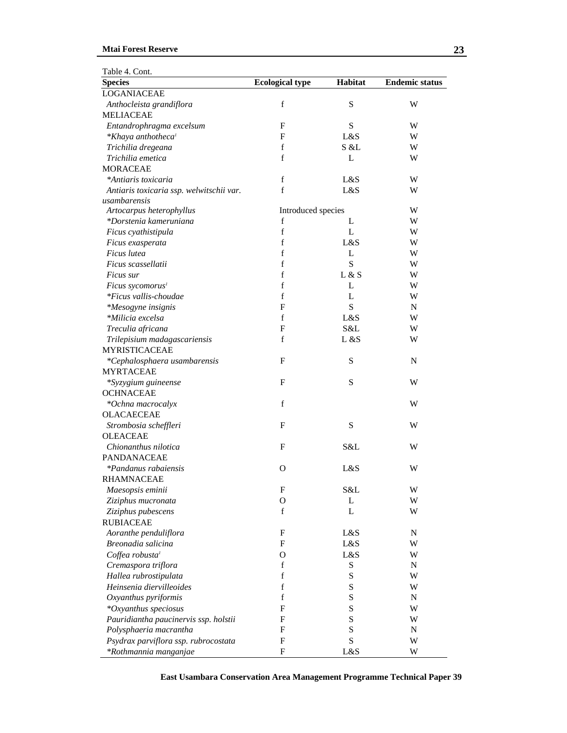#### **Mtai Forest Reserve**

| Table 4. Cont.                           |                           |         |                       |
|------------------------------------------|---------------------------|---------|-----------------------|
| <b>Species</b>                           | <b>Ecological type</b>    | Habitat | <b>Endemic status</b> |
| LOGANIACEAE                              |                           |         |                       |
| Anthocleista grandiflora                 | $\mathbf f$               | S       | W                     |
| <b>MELIACEAE</b>                         |                           |         |                       |
| Entandrophragma excelsum                 | F                         | S       | W                     |
| *Khaya anthotheca <sup>1</sup>           | F                         | L&S     | W                     |
| Trichilia dregeana                       | f                         | S &L    | W                     |
| Trichilia emetica                        | $\mathbf f$               | L       | W                     |
| <b>MORACEAE</b>                          |                           |         |                       |
| *Antiaris toxicaria                      | $\mathbf f$               | L&S     | W                     |
| Antiaris toxicaria ssp. welwitschii var. | $\mathbf f$               | L&S     | W                     |
| usambarensis                             |                           |         |                       |
| Artocarpus heterophyllus                 | Introduced species        |         | W                     |
| *Dorstenia kameruniana                   | f                         | L       | W                     |
| Ficus cyathistipula                      | $\mathbf f$               | L       | W                     |
| Ficus exasperata                         | $\mathbf f$               | L&S     | W                     |
| Ficus lutea                              | $\mathbf f$               | L       | W                     |
| Ficus scassellatii                       | f                         | S       | W                     |
| Ficus sur                                | f                         | L & S   | W                     |
| Ficus sycomorus <sup>1</sup>             | f                         | L       | W                     |
| *Ficus vallis-choudae                    | f                         | L       | W                     |
| *Mesogyne insignis                       | F                         | S       | ${\bf N}$             |
| *Milicia excelsa                         | $\mathbf f$               | L&S     | W                     |
| Treculia africana                        | F                         | S&L     | W                     |
| Trilepisium madagascariensis             | $\mathbf f$               | L &S    | W                     |
| <b>MYRISTICACEAE</b>                     |                           |         |                       |
| *Cephalosphaera usambarensis             | F                         | S       | N                     |
| <b>MYRTACEAE</b>                         |                           |         |                       |
| *Syzygium guineense                      | F                         | S       | W                     |
| <b>OCHNACEAE</b>                         |                           |         |                       |
| *Ochna macrocalyx                        | f                         |         | W                     |
| <b>OLACAECEAE</b>                        |                           |         |                       |
| Strombosia scheffleri                    | $\mathbf{F}$              | S       | W                     |
| <b>OLEACEAE</b>                          |                           |         |                       |
| Chionanthus nilotica                     | F                         | S&L     | W                     |
| PANDANACEAE                              |                           |         |                       |
| *Pandanus rabaiensis                     | O                         | L&S     | W                     |
| <b>RHAMNACEAE</b>                        |                           |         |                       |
| Maesopsis eminii                         | $\boldsymbol{\mathrm{F}}$ | S&L     | W                     |
| Ziziphus mucronata                       | $\mathbf O$               | L       | W                     |
| Ziziphus pubescens                       | $\mathbf f$               | L       | W                     |
| <b>RUBIACEAE</b>                         |                           |         |                       |
| Aoranthe penduliflora                    | $\mathbf F$               | L&S     | ${\bf N}$             |
| Breonadia salicina                       | $\mathbf F$               | L&S     | W                     |
| Coffea robusta <sup>1</sup>              | $\mathbf{O}$              | L&S     | W                     |
| Cremaspora triflora                      | f                         | S       | N                     |
| Hallea rubrostipulata                    | $\mathbf f$               | S       | W                     |
|                                          |                           |         |                       |
| Heinsenia diervilleoides                 | $\mathbf f$<br>f          | S<br>S  | W<br>N                |
| Oxyanthus pyriformis                     | F                         |         |                       |
| *Oxyanthus speciosus                     | F                         | S<br>S  | W                     |
| Pauridiantha paucinervis ssp. holstii    |                           |         | W                     |
| Polysphaeria macrantha                   | $\mathbf{F}$              | S       | N                     |
| Psydrax parviflora ssp. rubrocostata     | $\mathbf{F}$              | S       | W                     |
| *Rothmannia manganjae                    | $\boldsymbol{\mathrm{F}}$ | L&S     | W                     |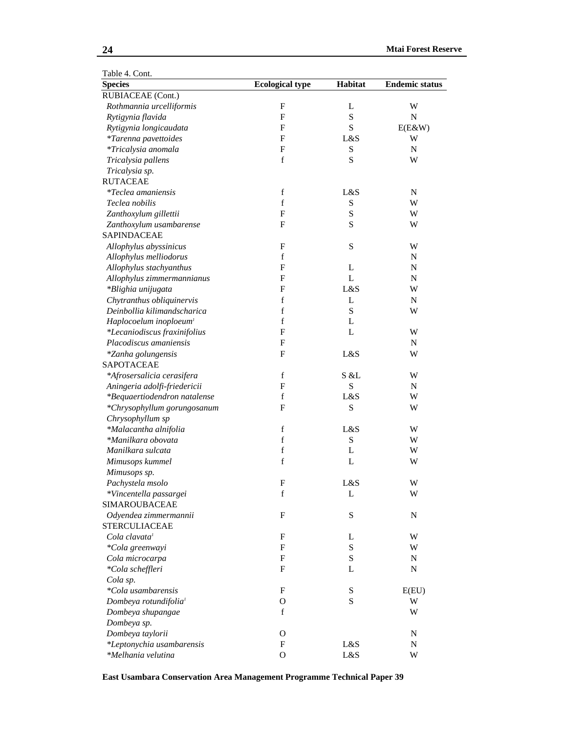| Table 4. Cont.                     |                           |             |                       |
|------------------------------------|---------------------------|-------------|-----------------------|
| <b>Species</b>                     | <b>Ecological type</b>    | Habitat     | <b>Endemic status</b> |
| RUBIACEAE (Cont.)                  |                           |             |                       |
| Rothmannia urcelliformis           | $\mathbf F$               | L           | W                     |
| Rytigynia flavida                  | $\mathbf F$               | ${\bf S}$   | ${\bf N}$             |
| Rytigynia longicaudata             | $\mathbf F$               | ${\bf S}$   | $E(E\&W)$             |
| *Tarenna pavettoides               | $\mathbf F$               | L&S         | W                     |
| *Tricalysia anomala                | $\mathbf F$               | S           | ${\bf N}$             |
| Tricalysia pallens                 | f                         | S           | W                     |
| Tricalysia sp.                     |                           |             |                       |
| <b>RUTACEAE</b>                    |                           |             |                       |
| <i>*Teclea amaniensis</i>          | $\mathbf f$               | L&S         | N                     |
| Teclea nobilis                     | $\mathbf f$               | S           | W                     |
| Zanthoxylum gillettii              | ${\bf F}$                 | ${\bf S}$   | W                     |
| Zanthoxylum usambarense            | $\mathbf{F}$              | ${\bf S}$   | W                     |
| <b>SAPINDACEAE</b>                 |                           |             |                       |
| Allophylus abyssinicus             | $\mathbf{F}$              | S           | W                     |
| Allophylus melliodorus             | $\mathbf f$               |             | N                     |
| Allophylus stachyanthus            | F                         | L           | N                     |
| Allophylus zimmermannianus         | $\mathbf{F}$              | L           | N                     |
| *Blighia unijugata                 | $\mathbf{F}$              | L&S         | W                     |
| Chytranthus obliquinervis          | $\mathbf f$               | L           | N                     |
| Deinbollia kilimandscharica        | f                         | ${\bf S}$   | W                     |
| Haplocoelum inoploeum <sup>1</sup> | f                         | L           |                       |
| *Lecaniodiscus fraxinifolius       | $\mathbf F$               | L           | W                     |
| Placodiscus amaniensis             | $\mathbf F$               |             | N                     |
| *Zanha golungensis                 | $\mathbf F$               | L&S         | W                     |
| SAPOTACEAE                         |                           |             |                       |
| *Afrosersalicia cerasifera         | $\mathbf f$               | S & L       | W                     |
| Aningeria adolfi-friedericii       | ${\bf F}$                 | ${\bf S}$   | N                     |
| *Bequaertiodendron natalense       | $\mathbf f$               | L&S         | W                     |
| *Chrysophyllum gorungosanum        | ${\bf F}$                 | S           | W                     |
| Chrysophyllum sp                   |                           |             |                       |
| *Malacantha alnifolia              | $\mathbf f$               | L&S         | W                     |
| *Manilkara obovata                 | $\mathbf f$               | ${\bf S}$   | W                     |
| Manilkara sulcata                  | $\mathbf f$               | L           | W                     |
| Mimusops kummel                    | $\mathbf f$               | L           | W                     |
| Mimusops sp.                       |                           |             |                       |
| Pachystela msolo                   | F                         | L&S         | W                     |
| *Vincentella passargei             | $\mathbf f$               | L           | W                     |
| <b>SIMAROUBACEAE</b>               |                           |             |                       |
| Odyendea zimmermannii              | $\mathbf F$               | S           | N                     |
| <b>STERCULIACEAE</b>               |                           |             |                       |
| Cola clavata <sup>1</sup>          | $\boldsymbol{\mathrm{F}}$ | L           | W                     |
|                                    | $\boldsymbol{\mathrm{F}}$ | ${\bf S}$   | W                     |
| *Cola greenwayi<br>Cola microcarpa | ${\bf F}$                 | ${\bf S}$   |                       |
|                                    | $\mathbf F$               | L           | N                     |
| *Cola scheffleri<br>Cola sp.       |                           |             | N                     |
| *Cola usambarensis                 | $\mathbf F$               | $\mathbf S$ | E(EU)                 |
|                                    |                           | ${\bf S}$   |                       |
| Dombeya rotundifolia <sup>1</sup>  | $\mathbf O$               |             | W                     |
| Dombeya shupangae                  | f                         |             | W                     |
| Dombeya sp.                        |                           |             |                       |
| Dombeya taylorii                   | $\mathbf{O}$              |             | N                     |
| *Leptonychia usambarensis          | $\mathbf{F}$              | L&S         | N                     |
| *Melhania velutina                 | $\mathbf O$               | L&S         | W                     |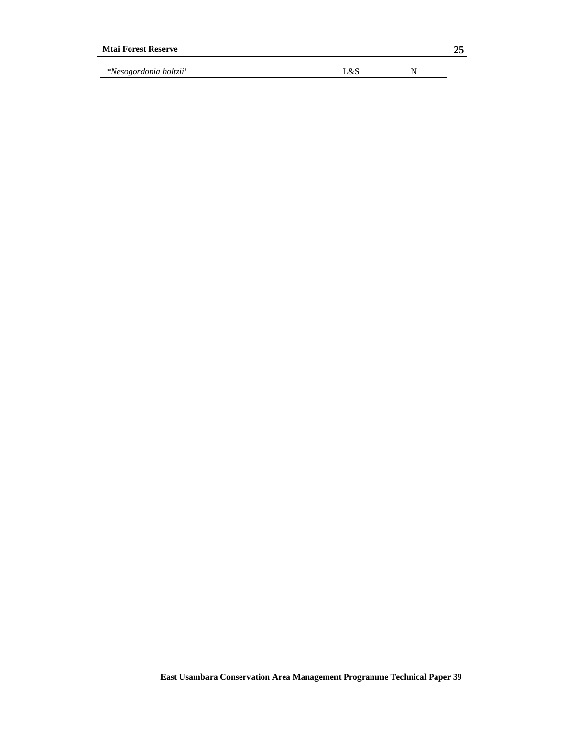| <b>Mtai Forest Reserve</b>               |     | 25 |
|------------------------------------------|-----|----|
| <i>*Nesogordonia holtzii<sup>1</sup></i> | L&S |    |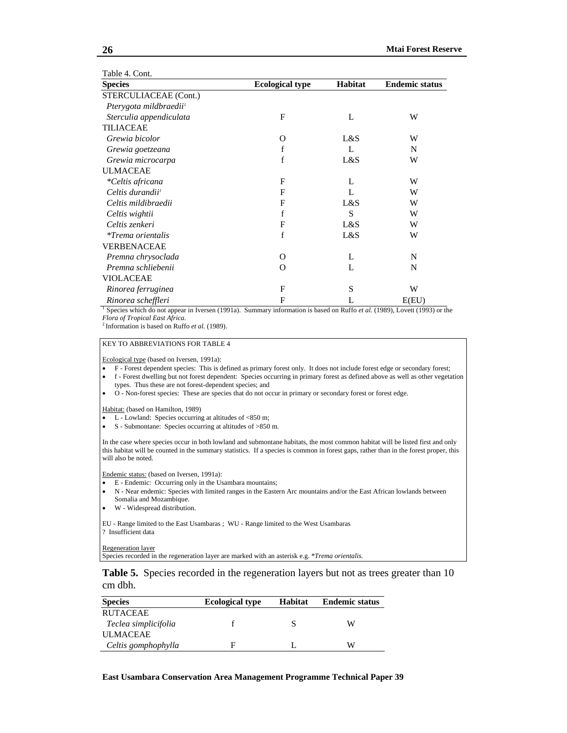| Table 4. Cont.                     |                        |         |                       |
|------------------------------------|------------------------|---------|-----------------------|
| <b>Species</b>                     | <b>Ecological type</b> | Habitat | <b>Endemic status</b> |
| STERCULIACEAE (Cont.)              |                        |         |                       |
| Pterygota mildbraedii <sup>1</sup> |                        |         |                       |
| Sterculia appendiculata            | F                      | L       | W                     |
| <b>TILIACEAE</b>                   |                        |         |                       |
| Grewia bicolor                     | $\Omega$               | L&S     | W                     |
| Grewia goetzeana                   | f                      | L       | N                     |
| Grewia microcarpa                  | f                      | L&S     | W                     |
| <b>ULMACEAE</b>                    |                        |         |                       |
| *Celtis africana                   | F                      | L       | W                     |
| Celtis durandii <sup>1</sup>       | F                      | L       | W                     |
| Celtis mildibraedii                | F                      | L&S     | W                     |
| Celtis wightii                     | f                      | S       | W                     |
| Celtis zenkeri                     | F                      | L&S     | W                     |
| <i>*Trema orientalis</i>           | f                      | L&S     | W                     |
| VERBENACEAE                        |                        |         |                       |
| Premna chrysoclada                 | O                      | L       | N                     |
| Premna schliebenii                 | $\Omega$               | L       | N                     |
| VIOLACEAE                          |                        |         |                       |
| Rinorea ferruginea                 | F                      | S       | W                     |
| Rinorea scheffleri                 | F                      | L       | E(EU)                 |

<sup>T</sup> Species which do not appear in Iversen (1991a). Summary information is based on Ruffo *et al.* (1989), Lovett (1993) or the *Flora of Tropical East Africa*.

*Flora of Tropical East Africa*. 2 Information is based on Ruffo *et al.* (1989).

#### KEY TO ABBREVIATIONS FOR TABLE 4

Ecological type (based on Iversen, 1991a):

- F Forest dependent species: This is defined as primary forest only. It does not include forest edge or secondary forest;
- f Forest dwelling but not forest dependent: Species occurring in primary forest as defined above as well as other vegetation types. Thus these are not forest-dependent species; and
- O Non-forest species: These are species that do not occur in primary or secondary forest or forest edge.

Habitat: (based on Hamilton, 1989)

- L Lowland: Species occurring at altitudes of <850 m;
- S Submontane: Species occurring at altitudes of >850 m.

In the case where species occur in both lowland and submontane habitats, the most common habitat will be listed first and only this habitat will be counted in the summary statistics. If a species is common in forest gaps, rather than in the forest proper, this will also be noted.

Endemic status: (based on Iversen, 1991a):

- E Endemic: Occurring only in the Usambara mountains;
- N Near endemic: Species with limited ranges in the Eastern Arc mountains and/or the East African lowlands between Somalia and Mozambique.
- W Widespread distribution.

EU - Range limited to the East Usambaras ; WU - Range limited to the West Usambaras ? Insufficient data

Regeneration layer

Species recorded in the regeneration layer are marked with an asterisk e.g. \**Trema orientalis.*

**Table 5.** Species recorded in the regeneration layers but not as trees greater than 10 cm dbh.

| <b>Species</b>       | <b>Ecological type</b> | <b>Habitat</b> | <b>Endemic status</b> |
|----------------------|------------------------|----------------|-----------------------|
| <b>RUTACEAE</b>      |                        |                |                       |
| Teclea simplicifolia |                        |                | W                     |
| <b>ULMACEAE</b>      |                        |                |                       |
| Celtis gomphophylla  | Е                      |                | W                     |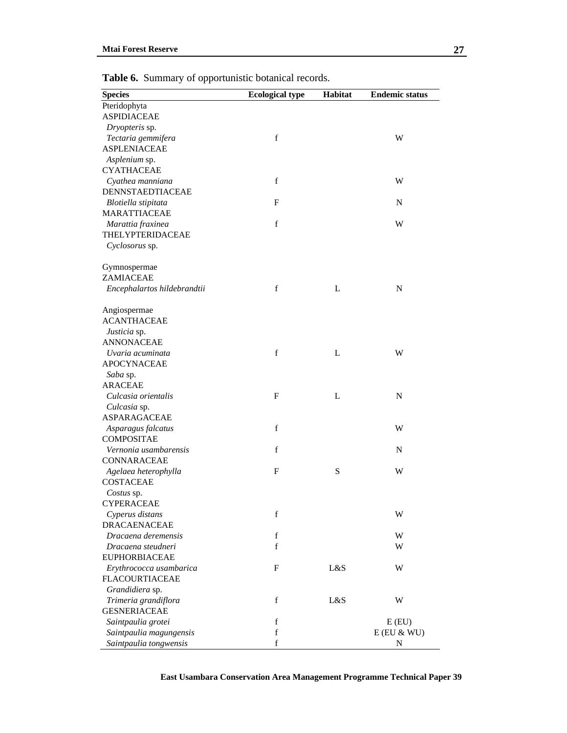| <b>Species</b>              | <b>Ecological type</b> | Habitat | <b>Endemic status</b> |
|-----------------------------|------------------------|---------|-----------------------|
| Pteridophyta                |                        |         |                       |
| <b>ASPIDIACEAE</b>          |                        |         |                       |
| Dryopteris sp.              |                        |         |                       |
| Tectaria gemmifera          | $\mathbf f$            |         | W                     |
| <b>ASPLENIACEAE</b>         |                        |         |                       |
| Asplenium sp.               |                        |         |                       |
| <b>CYATHACEAE</b>           |                        |         |                       |
| Cyathea manniana            | $\mathbf f$            |         | W                     |
| DENNSTAEDTIACEAE            |                        |         |                       |
| Blotiella stipitata         | $\mathbf{F}$           |         | ${\bf N}$             |
| <b>MARATTIACEAE</b>         |                        |         |                       |
| Marattia fraxinea           | $\mathbf f$            |         | W                     |
| THELYPTERIDACEAE            |                        |         |                       |
| Cyclosorus sp.              |                        |         |                       |
|                             |                        |         |                       |
| Gymnospermae                |                        |         |                       |
| ZAMIACEAE                   |                        |         |                       |
| Encephalartos hildebrandtii | $\mathbf f$            | L       | N                     |
| Angiospermae                |                        |         |                       |
| <b>ACANTHACEAE</b>          |                        |         |                       |
| Justicia sp.                |                        |         |                       |
| <b>ANNONACEAE</b>           |                        |         |                       |
| Uvaria acuminata            | $\mathbf f$            | L       | W                     |
| <b>APOCYNACEAE</b>          |                        |         |                       |
| Saba sp.                    |                        |         |                       |
| <b>ARACEAE</b>              |                        |         |                       |
| Culcasia orientalis         | $\mathbf F$            | L       | ${\bf N}$             |
| Culcasia sp.                |                        |         |                       |
| <b>ASPARAGACEAE</b>         |                        |         |                       |
| Asparagus falcatus          | $\mathbf f$            |         | W                     |
| <b>COMPOSITAE</b>           |                        |         |                       |
| Vernonia usambarensis       | $\mathbf f$            |         | N                     |
| <b>CONNARACEAE</b>          |                        |         |                       |
| Agelaea heterophylla        | F                      | S       | W                     |
| <b>COSTACEAE</b>            |                        |         |                       |
| Costus sp.                  |                        |         |                       |
| <b>CYPERACEAE</b>           |                        |         |                       |
| Cyperus distans             | $\mathbf f$            |         | W                     |
| <b>DRACAENACEAE</b>         |                        |         |                       |
| Dracaena deremensis         | $\mathbf f$            |         | W                     |
| Dracaena steudneri          | $\mathbf f$            |         | W                     |
| <b>EUPHORBIACEAE</b>        |                        |         |                       |
| Erythrococca usambarica     | F                      | L&S     | W                     |
| <b>FLACOURTIACEAE</b>       |                        |         |                       |
| Grandidiera sp.             |                        |         |                       |
| Trimeria grandiflora        | $\mathbf f$            | L&S     | W                     |
| <b>GESNERIACEAE</b>         |                        |         |                       |
| Saintpaulia grotei          | $\mathbf f$            |         | E(EU)                 |
| Saintpaulia magungensis     | $\mathbf f$            |         | $E$ (EU $\&$ WU)      |
| Saintpaulia tongwensis      | $\mathbf f$            |         | N                     |

**Table 6.** Summary of opportunistic botanical records.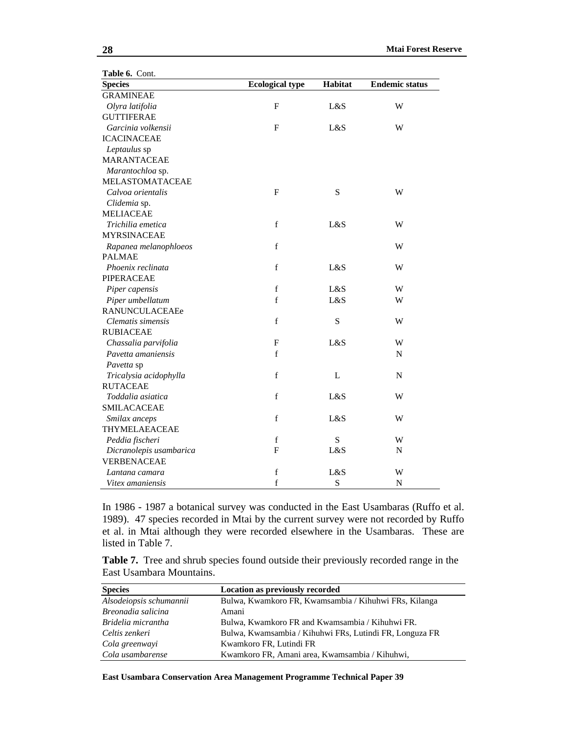| Table 6. Cont.          |                        |                |                       |
|-------------------------|------------------------|----------------|-----------------------|
| <b>Species</b>          | <b>Ecological type</b> | <b>Habitat</b> | <b>Endemic status</b> |
| <b>GRAMINEAE</b>        |                        |                |                       |
| Olyra latifolia         | ${\bf F}$              | L&S            | W                     |
| <b>GUTTIFERAE</b>       |                        |                |                       |
| Garcinia volkensii      | $\mathbf F$            | L&S            | W                     |
| <b>ICACINACEAE</b>      |                        |                |                       |
| Leptaulus sp            |                        |                |                       |
| <b>MARANTACEAE</b>      |                        |                |                       |
| Marantochloa sp.        |                        |                |                       |
| MELASTOMATACEAE         |                        |                |                       |
| Calvoa orientalis       | $\mathbf F$            | S              | W                     |
| Clidemia sp.            |                        |                |                       |
| <b>MELIACEAE</b>        |                        |                |                       |
| Trichilia emetica       | $\mathbf f$            | L&S            | W                     |
| <b>MYRSINACEAE</b>      |                        |                |                       |
| Rapanea melanophloeos   | $\mathbf f$            |                | W                     |
| <b>PALMAE</b>           |                        |                |                       |
| Phoenix reclinata       | $\mathbf f$            | L&S            | W                     |
| <b>PIPERACEAE</b>       |                        |                |                       |
| Piper capensis          | $\mathbf f$            | L&S            | W                     |
| Piper umbellatum        | $\mathbf f$            | L&S            | W                     |
| RANUNCULACEAEe          |                        |                |                       |
| Clematis simensis       | $\mathbf f$            | S              | W                     |
| <b>RUBIACEAE</b>        |                        |                |                       |
| Chassalia parvifolia    | F                      | L&S            | W                     |
| Pavetta amaniensis      | $\mathbf f$            |                | $\mathbf N$           |
| Pavetta sp              |                        |                |                       |
| Tricalysia acidophylla  | $\mathbf f$            | $\mathbf L$    | ${\bf N}$             |
| <b>RUTACEAE</b>         |                        |                |                       |
| Toddalia asiatica       | $\mathbf f$            | L&S            | W                     |
| <b>SMILACACEAE</b>      |                        |                |                       |
| Smilax anceps           | f                      | L&S            | W                     |
| THYMELAEACEAE           |                        |                |                       |
| Peddia fischeri         | $\mathbf f$            | S              | W                     |
| Dicranolepis usambarica | ${\bf F}$              | L&S            | ${\bf N}$             |
| VERBENACEAE             |                        |                |                       |
| Lantana camara          | $\mathbf f$            | L&S            | W                     |
| Vitex amaniensis        | $\mathbf f$            | S              | N                     |

In 1986 - 1987 a botanical survey was conducted in the East Usambaras (Ruffo et al. 1989). 47 species recorded in Mtai by the current survey were not recorded by Ruffo et al. in Mtai although they were recorded elsewhere in the Usambaras. These are listed in Table 7.

**Table 7.** Tree and shrub species found outside their previously recorded range in the East Usambara Mountains.

| <b>Species</b>          | Location as previously recorded                         |
|-------------------------|---------------------------------------------------------|
| Alsodeiopsis schumannii | Bulwa, Kwamkoro FR, Kwamsambia / Kihuhwi FRs, Kilanga   |
| Breonadia salicina      | Amani                                                   |
| Bridelia micrantha      | Bulwa, Kwamkoro FR and Kwamsambia / Kihuhwi FR.         |
| Celtis zenkeri          | Bulwa, Kwamsambia / Kihuhwi FRs, Lutindi FR, Longuza FR |
| Cola greenwayi          | Kwamkoro FR, Lutindi FR                                 |
| Cola usambarense        | Kwamkoro FR, Amani area, Kwamsambia / Kihuhwi,          |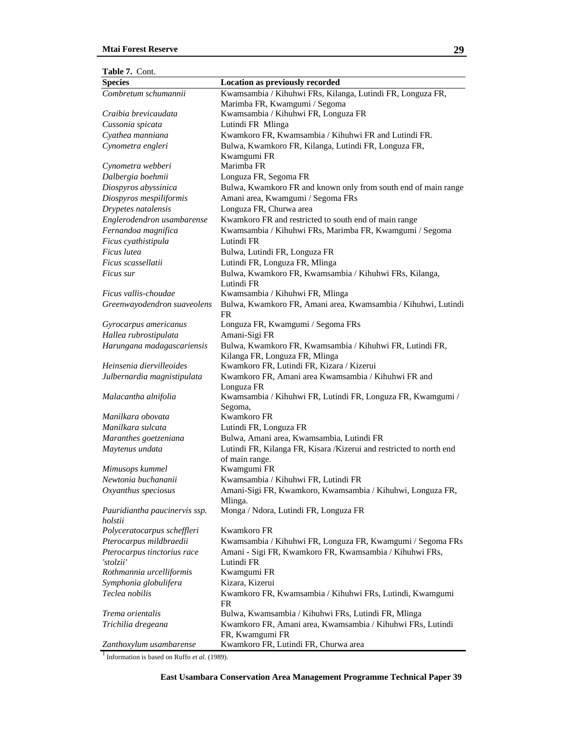| <b>Table 7. Cont.</b> |
|-----------------------|
|-----------------------|

| <b>Species</b>                           | <b>Location as previously recorded</b>                                                     |
|------------------------------------------|--------------------------------------------------------------------------------------------|
| Combretum schumannii                     | Kwamsambia / Kihuhwi FRs, Kilanga, Lutindi FR, Longuza FR,                                 |
|                                          | Marimba FR, Kwamgumi / Segoma                                                              |
| Craibia brevicaudata                     | Kwamsambia / Kihuhwi FR, Longuza FR                                                        |
| Cussonia spicata                         | Lutindi FR Mlinga                                                                          |
| Cyathea manniana                         | Kwamkoro FR, Kwamsambia / Kihuhwi FR and Lutindi FR.                                       |
| Cynometra engleri                        | Bulwa, Kwamkoro FR, Kilanga, Lutindi FR, Longuza FR,                                       |
|                                          | Kwamgumi FR                                                                                |
| Cynometra webberi                        | Marimba FR                                                                                 |
| Dalbergia boehmii                        | Longuza FR, Segoma FR                                                                      |
| Diospyros abyssinica                     | Bulwa, Kwamkoro FR and known only from south end of main range                             |
| Diospyros mespiliformis                  | Amani area, Kwamgumi / Segoma FRs                                                          |
| Drypetes natalensis                      | Longuza FR, Churwa area                                                                    |
| Englerodendron usambarense               | Kwamkoro FR and restricted to south end of main range                                      |
| Fernandoa magnifica                      | Kwamsambia / Kihuhwi FRs, Marimba FR, Kwamgumi / Segoma                                    |
| Ficus cyathistipula                      | Lutindi FR                                                                                 |
| Ficus lutea                              | Bulwa, Lutindi FR, Longuza FR                                                              |
| Ficus scassellatii                       | Lutindi FR, Longuza FR, Mlinga                                                             |
| Ficus sur                                | Bulwa, Kwamkoro FR, Kwamsambia / Kihuhwi FRs, Kilanga,<br>Lutindi FR                       |
| Ficus vallis-choudae                     | Kwamsambia / Kihuhwi FR, Mlinga                                                            |
| Greenwayodendron suaveolens              | Bulwa, Kwamkoro FR, Amani area, Kwamsambia / Kihuhwi, Lutindi<br>FR                        |
| Gyrocarpus americanus                    | Longuza FR, Kwamgumi / Segoma FRs                                                          |
| Hallea rubrostipulata                    | Amani-Sigi FR                                                                              |
| Harungana madagascariensis               | Bulwa, Kwamkoro FR, Kwamsambia / Kihuhwi FR, Lutindi FR,<br>Kilanga FR, Longuza FR, Mlinga |
| Heinsenia diervilleoides                 | Kwamkoro FR, Lutindi FR, Kizara / Kizerui                                                  |
| Julbernardia magnistipulata              | Kwamkoro FR, Amani area Kwamsambia / Kihuhwi FR and<br>Longuza FR                          |
| Malacantha alnifolia                     | Kwamsambia / Kihuhwi FR, Lutindi FR, Longuza FR, Kwamgumi /<br>Segoma,                     |
| Manilkara obovata                        | <b>Kwamkoro FR</b>                                                                         |
| Manilkara sulcata                        | Lutindi FR, Longuza FR                                                                     |
| Maranthes goetzeniana                    | Bulwa, Amani area, Kwamsambia, Lutindi FR                                                  |
| Maytenus undata                          | Lutindi FR, Kilanga FR, Kisara / Kizerui and restricted to north end<br>of main range.     |
| Mimusops kummel                          | Kwamgumi FR                                                                                |
| Newtonia buchananii                      | Kwamsambia / Kihuhwi FR, Lutindi FR                                                        |
| Oxyanthus speciosus                      | Amani-Sigi FR, Kwamkoro, Kwamsambia / Kihuhwi, Longuza FR,<br>Mlinga.                      |
| Pauridiantha paucinervis ssp.<br>holstii | Monga / Ndora, Lutindi FR, Longuza FR                                                      |
| Polyceratocarpus scheffleri              | Kwamkoro FR                                                                                |
| Pterocarpus mildbraedii                  | Kwamsambia / Kihuhwi FR, Longuza FR, Kwamgumi / Segoma FRs                                 |
| Pterocarpus tinctorius race              | Amani - Sigi FR, Kwamkoro FR, Kwamsambia / Kihuhwi FRs,                                    |
| 'stolzii'                                | Lutindi FR                                                                                 |
| Rothmannia urcelliformis                 | Kwamgumi FR                                                                                |
| Symphonia globulifera                    | Kizara, Kizerui                                                                            |
| Teclea nobilis                           | Kwamkoro FR, Kwamsambia / Kihuhwi FRs, Lutindi, Kwamgumi<br>FR                             |
| Trema orientalis                         | Bulwa, Kwamsambia / Kihuhwi FRs, Lutindi FR, Mlinga                                        |
| Trichilia dregeana                       | Kwamkoro FR, Amani area, Kwamsambia / Kihuhwi FRs, Lutindi<br>FR, Kwamgumi FR              |
| Zanthoxylum usambarense                  | Kwamkoro FR, Lutindi FR, Churwa area                                                       |

<sup>1</sup> Information is based on Ruffo *et al.* (1989).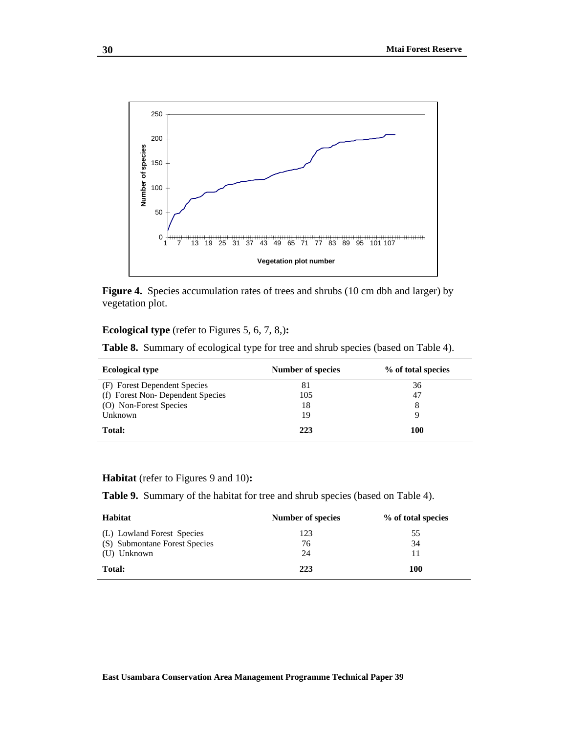

Figure 4. Species accumulation rates of trees and shrubs (10 cm dbh and larger) by vegetation plot.

#### **Ecological type** (refer to Figures 5, 6, 7, 8,)**:**

**Table 8.** Summary of ecological type for tree and shrub species (based on Table 4).

| <b>Ecological type</b>           | <b>Number of species</b> | % of total species |
|----------------------------------|--------------------------|--------------------|
| (F) Forest Dependent Species     | 81                       | 36                 |
| (f) Forest Non-Dependent Species | 105                      | 47                 |
| (O) Non-Forest Species           | 18                       | 8                  |
| Unknown                          | 19                       | Q                  |
| Total:                           | 223                      | 100                |

#### **Habitat** (refer to Figures 9 and 10)**:**

**Table 9.** Summary of the habitat for tree and shrub species (based on Table 4).

| <b>Habitat</b>                | Number of species | % of total species |
|-------------------------------|-------------------|--------------------|
| (L) Lowland Forest Species    | 123               | 55                 |
| (S) Submontane Forest Species | 76                | 34                 |
| (U) Unknown                   | 24                | 11                 |
| Total:                        | 223               | 100                |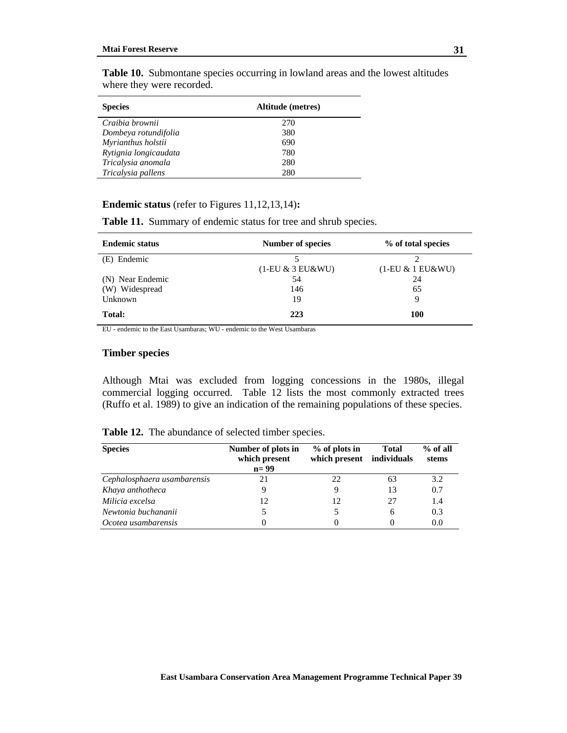| <b>Species</b>        | Altitude (metres) |  |  |
|-----------------------|-------------------|--|--|
| Craibia brownii       | 270               |  |  |
| Dombeya rotundifolia  | 380               |  |  |
| Myrianthus holstii    | 690               |  |  |
| Rytignia longicaudata | 780               |  |  |
| Tricalysia anomala    | 280               |  |  |
| Tricalysia pallens    | 280               |  |  |

**Table 10.** Submontane species occurring in lowland areas and the lowest altitudes where they were recorded.

#### **Endemic status** (refer to Figures 11,12,13,14)**:**

**Table 11.** Summary of endemic status for tree and shrub species.

| <b>Endemic status</b> | Number of species   | % of total species  |
|-----------------------|---------------------|---------------------|
| (E) Endemic           | 5                   |                     |
|                       | $(1-EU & 3 EU& WU)$ | $(1-EU & 1 EU& WU)$ |
| (N) Near Endemic      | 54                  | 24                  |
| (W) Widespread        | 146                 | 65                  |
| Unknown               | 19                  | Q                   |
| Total:                | 223                 | 100                 |

EU - endemic to the East Usambaras; WU - endemic to the West Usambaras

#### **Timber species**

Although Mtai was excluded from logging concessions in the 1980s, illegal commercial logging occurred. Table 12 lists the most commonly extracted trees (Ruffo et al. 1989) to give an indication of the remaining populations of these species.

| <b>Species</b>              | Number of plots in<br>which present<br>$n=99$ | $%$ of plots in<br>which present individuals | <b>Total</b> | $%$ of all<br>stems |
|-----------------------------|-----------------------------------------------|----------------------------------------------|--------------|---------------------|
| Cephalosphaera usambarensis | 21                                            | 22                                           | 63           | 3.2                 |
| Khaya anthotheca            | 9                                             |                                              | 13           | 0.7                 |
| Milicia excelsa             | 12                                            | 12                                           | 27           | 1.4                 |
| Newtonia buchananii         |                                               |                                              |              | 0.3                 |

*Ocotea usambarensis* 0 0 0 0.0

**Table 12.** The abundance of selected timber species.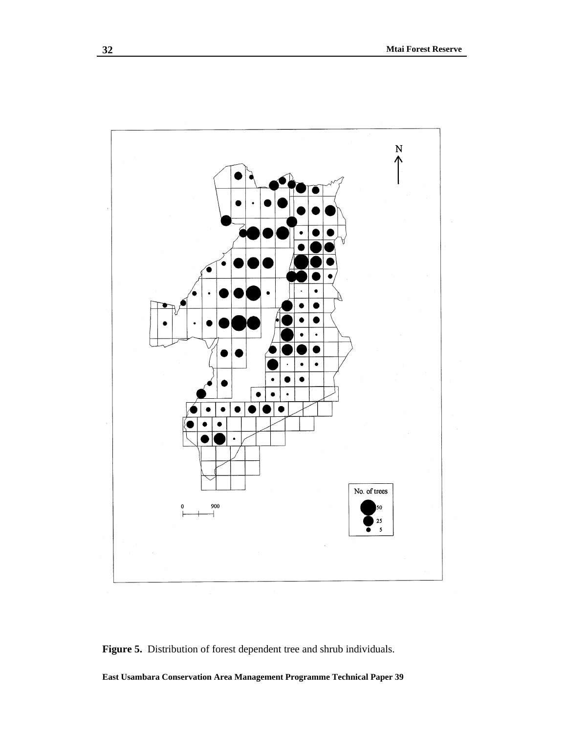

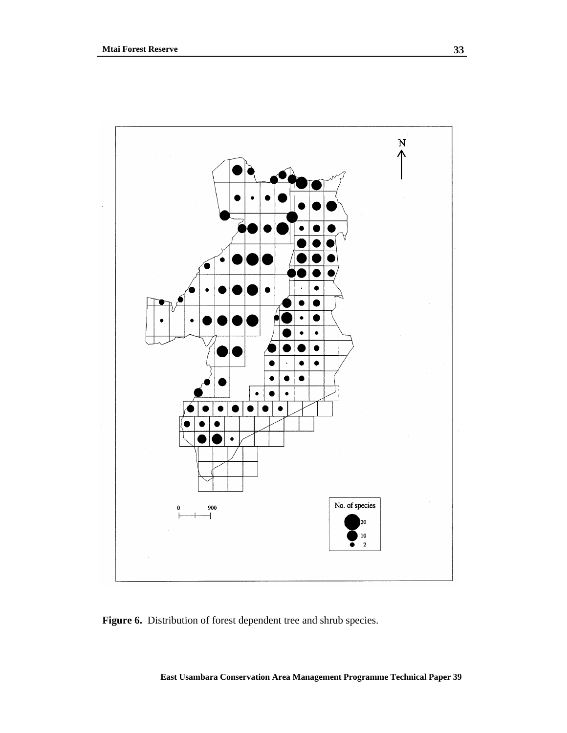

Figure 6. Distribution of forest dependent tree and shrub species.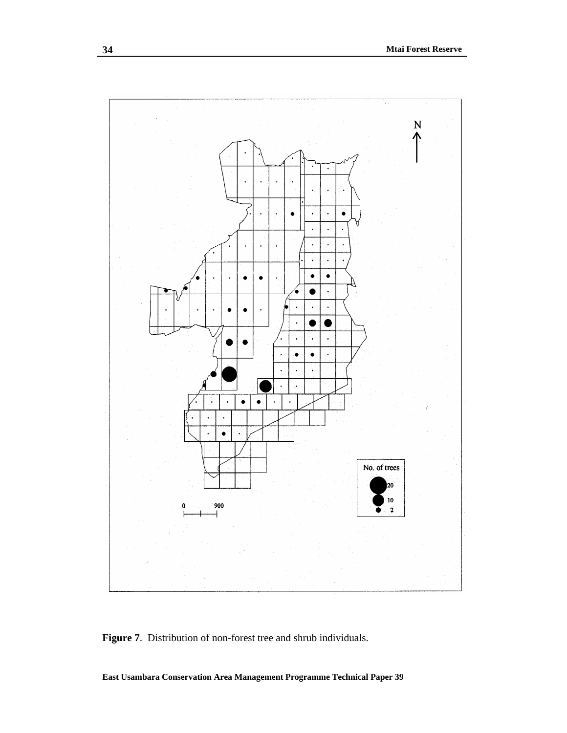

**Figure 7**. Distribution of non-forest tree and shrub individuals.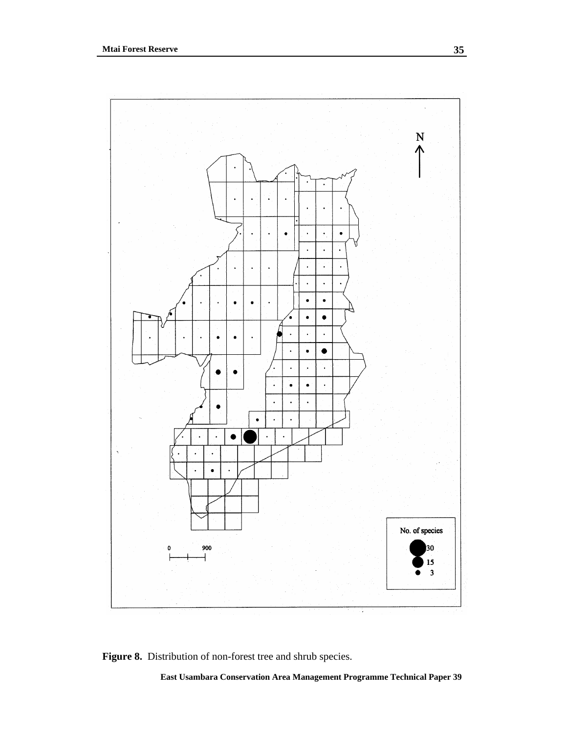

**Figure 8.** Distribution of non-forest tree and shrub species.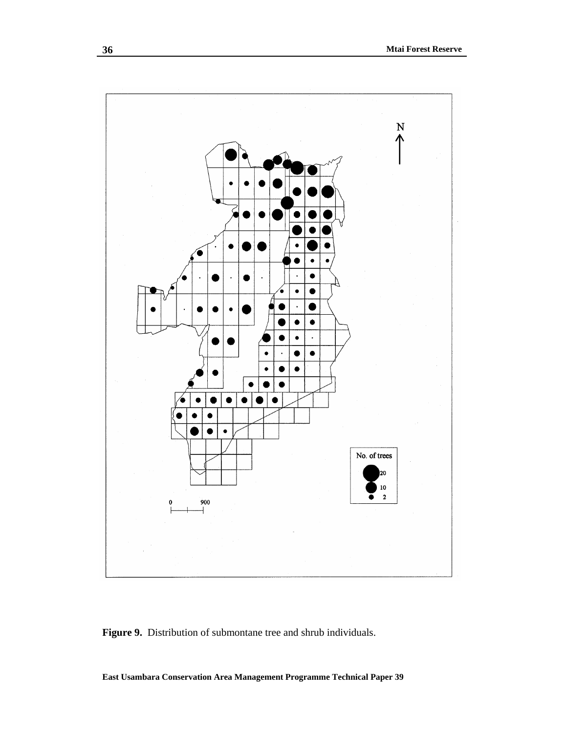

**Figure 9.** Distribution of submontane tree and shrub individuals.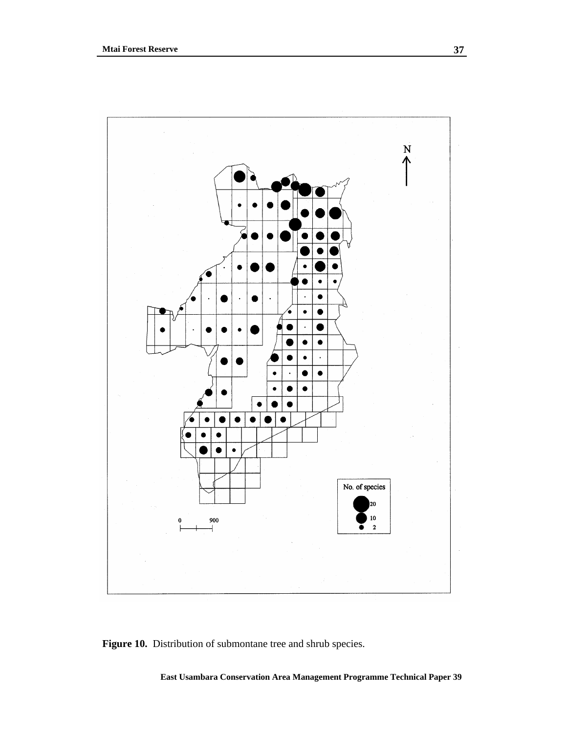

Figure 10. Distribution of submontane tree and shrub species.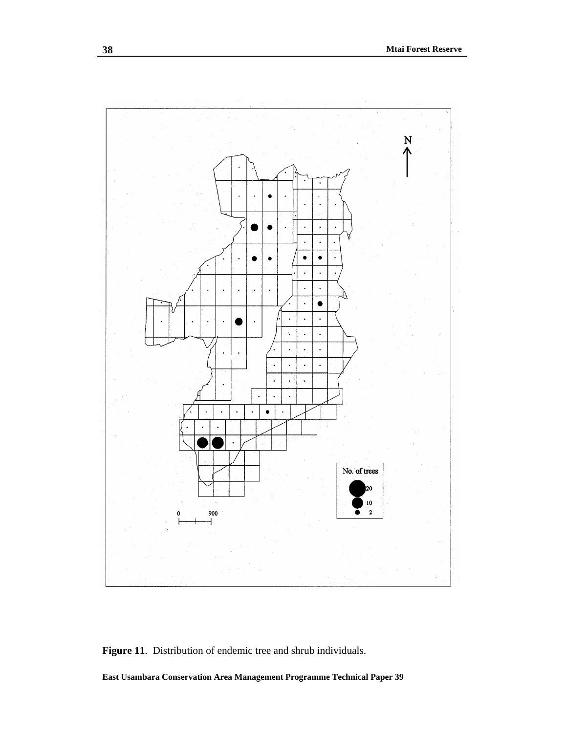

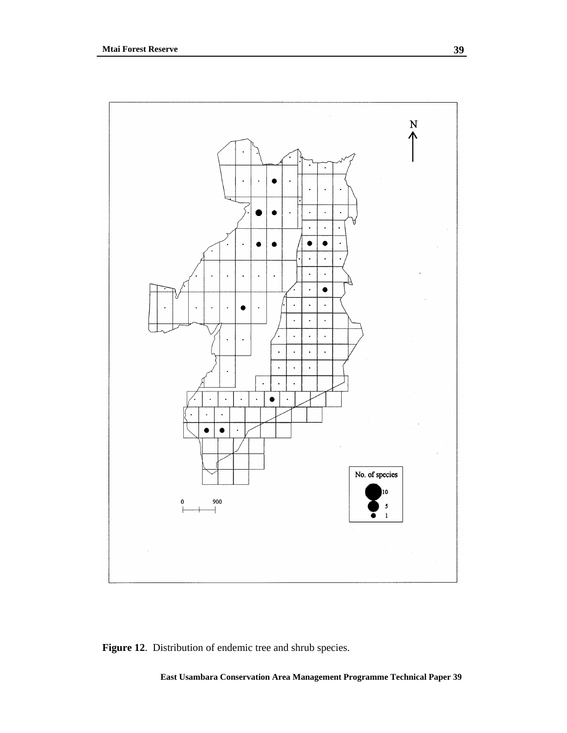

Figure 12. Distribution of endemic tree and shrub species.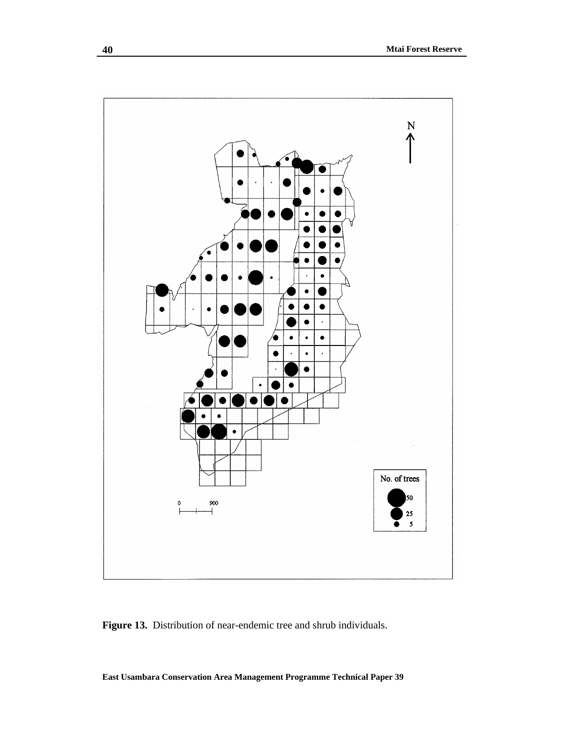

**Figure 13.** Distribution of near-endemic tree and shrub individuals.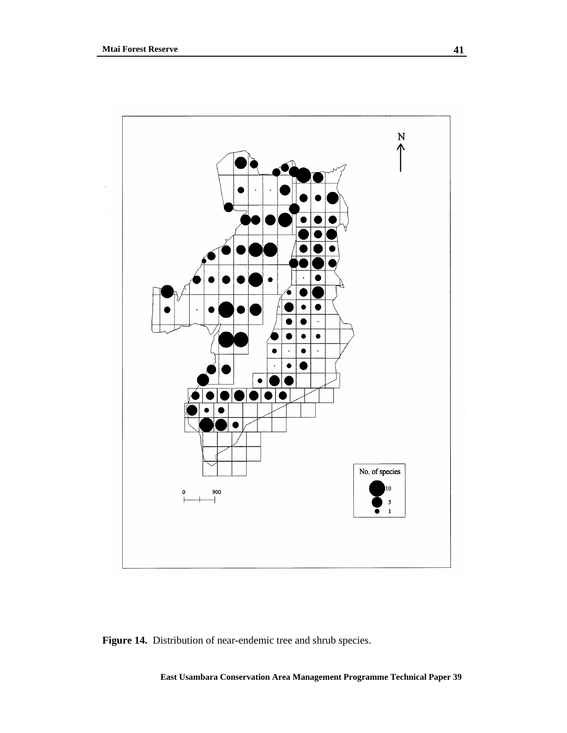

**Figure 14.** Distribution of near-endemic tree and shrub species.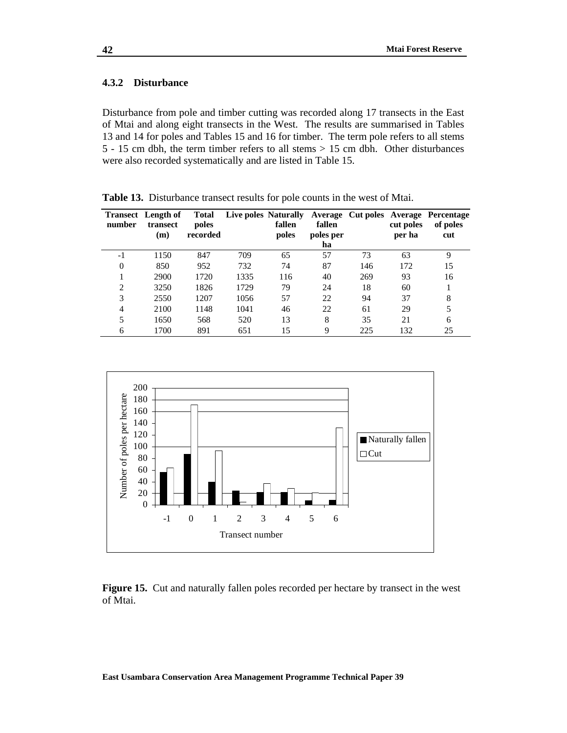### **4.3.2 Disturbance**

Disturbance from pole and timber cutting was recorded along 17 transects in the East of Mtai and along eight transects in the West. The results are summarised in Tables 13 and 14 for poles and Tables 15 and 16 for timber. The term pole refers to all stems 5 - 15 cm dbh, the term timber refers to all stems > 15 cm dbh. Other disturbances were also recorded systematically and are listed in Table 15.

| number         | <b>Transect</b> Length of<br>transect<br>(m) | Total<br>poles<br>recorded |      | Live poles Naturally<br>fallen<br>poles | fallen<br>poles per<br>ha |     | cut poles<br>per ha | Average Cut poles Average Percentage<br>of poles<br>cut |
|----------------|----------------------------------------------|----------------------------|------|-----------------------------------------|---------------------------|-----|---------------------|---------------------------------------------------------|
| $-1$           | 1150                                         | 847                        | 709  | 65                                      | 57                        | 73  | 63                  | 9                                                       |
| $\theta$       | 850                                          | 952                        | 732  | 74                                      | 87                        | 146 | 172                 | 15                                                      |
|                | 2900                                         | 1720                       | 1335 | 116                                     | 40                        | 269 | 93                  | 16                                                      |
| $\overline{2}$ | 3250                                         | 1826                       | 1729 | 79                                      | 24                        | 18  | 60                  |                                                         |
| 3              | 2550                                         | 1207                       | 1056 | 57                                      | 22                        | 94  | 37                  | 8                                                       |
| $\overline{4}$ | 2100                                         | 1148                       | 1041 | 46                                      | 22                        | 61  | 29                  | 5                                                       |
| 5              | 1650                                         | 568                        | 520  | 13                                      | 8                         | 35  | 21                  | 6                                                       |
| 6              | 1700                                         | 891                        | 651  | 15                                      | 9                         | 225 | 132                 | 25                                                      |

**Table 13.** Disturbance transect results for pole counts in the west of Mtai.



**Figure 15.** Cut and naturally fallen poles recorded per hectare by transect in the west of Mtai.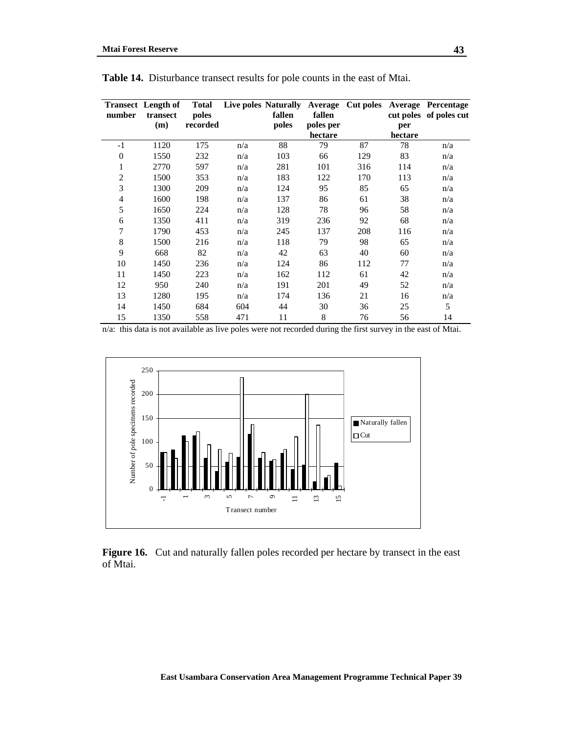|                | <b>Transect</b> Length of | <b>Total</b> |     | Live poles Naturally | Average   | Cut poles |         | <b>Average Percentage</b> |
|----------------|---------------------------|--------------|-----|----------------------|-----------|-----------|---------|---------------------------|
| number         | transect                  | poles        |     | fallen               | fallen    |           |         | cut poles of poles cut    |
|                | (m)                       | recorded     |     | poles                | poles per |           | per     |                           |
|                |                           |              |     |                      | hectare   |           | hectare |                           |
| $-1$           | 1120                      | 175          | n/a | 88                   | 79        | 87        | 78      | n/a                       |
| $\theta$       | 1550                      | 232          | n/a | 103                  | 66        | 129       | 83      | n/a                       |
| 1              | 2770                      | 597          | n/a | 281                  | 101       | 316       | 114     | n/a                       |
| $\overline{2}$ | 1500                      | 353          | n/a | 183                  | 122       | 170       | 113     | n/a                       |
| 3              | 1300                      | 209          | n/a | 124                  | 95        | 85        | 65      | n/a                       |
| 4              | 1600                      | 198          | n/a | 137                  | 86        | 61        | 38      | n/a                       |
| 5              | 1650                      | 224          | n/a | 128                  | 78        | 96        | 58      | n/a                       |
| 6              | 1350                      | 411          | n/a | 319                  | 236       | 92        | 68      | n/a                       |
| 7              | 1790                      | 453          | n/a | 245                  | 137       | 208       | 116     | n/a                       |
| 8              | 1500                      | 216          | n/a | 118                  | 79        | 98        | 65      | n/a                       |
| 9              | 668                       | 82           | n/a | 42                   | 63        | 40        | 60      | n/a                       |
| 10             | 1450                      | 236          | n/a | 124                  | 86        | 112       | 77      | n/a                       |
| 11             | 1450                      | 223          | n/a | 162                  | 112       | 61        | 42      | n/a                       |
| 12             | 950                       | 240          | n/a | 191                  | 201       | 49        | 52      | n/a                       |
| 13             | 1280                      | 195          | n/a | 174                  | 136       | 21        | 16      | n/a                       |
| 14             | 1450                      | 684          | 604 | 44                   | 30        | 36        | 25      | 5                         |
| 15             | 1350                      | 558          | 471 | 11                   | 8         | 76        | 56      | 14                        |

**Table 14.** Disturbance transect results for pole counts in the east of Mtai.

n/a: this data is not available as live poles were not recorded during the first survey in the east of Mtai.



**Figure 16.** Cut and naturally fallen poles recorded per hectare by transect in the east of Mtai.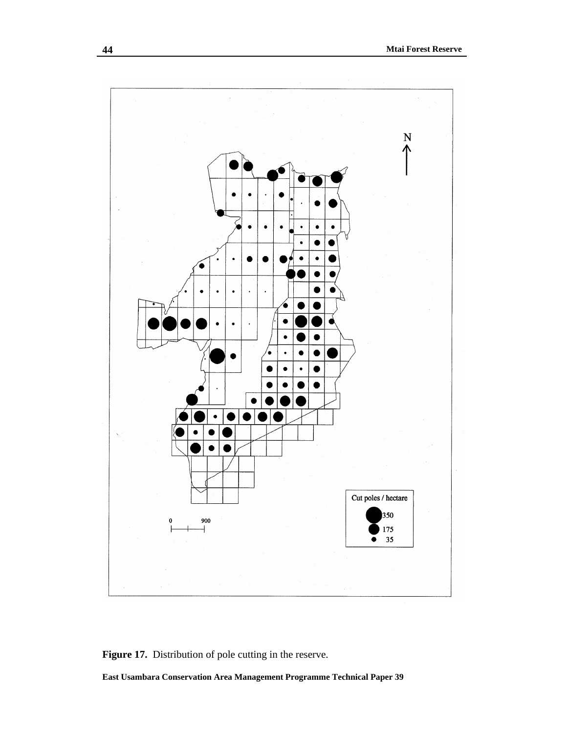

Figure 17. Distribution of pole cutting in the reserve.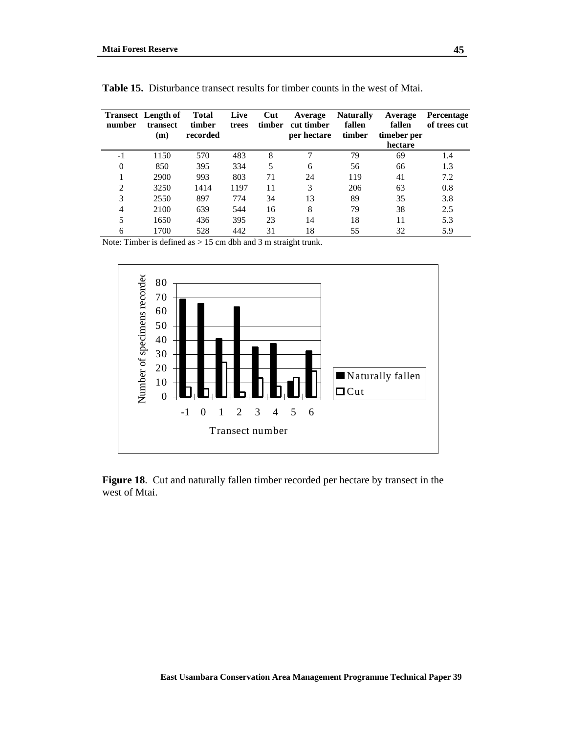| number         | <b>Transect</b> Length of<br>transect<br>(m) | Total<br>timber<br>recorded | Live<br>trees | Cut<br>timber | Average<br>cut timber<br>per hectare | <b>Naturally</b><br>fallen<br>timber | Average<br>fallen<br>timeber per<br>hectare | <b>Percentage</b><br>of trees cut |
|----------------|----------------------------------------------|-----------------------------|---------------|---------------|--------------------------------------|--------------------------------------|---------------------------------------------|-----------------------------------|
| $-1$           | 1150                                         | 570                         | 483           | 8             | 7                                    | 79                                   | 69                                          | 1.4                               |
| $\overline{0}$ | 850                                          | 395                         | 334           | 5             | 6                                    | 56                                   | 66                                          | 1.3                               |
|                | 2900                                         | 993                         | 803           | 71            | 24                                   | 119                                  | 41                                          | 7.2                               |
| 2              | 3250                                         | 1414                        | 1197          | 11            | 3                                    | 206                                  | 63                                          | 0.8                               |
| 3              | 2550                                         | 897                         | 774           | 34            | 13                                   | 89                                   | 35                                          | 3.8                               |
| 4              | 2100                                         | 639                         | 544           | 16            | 8                                    | 79                                   | 38                                          | 2.5                               |
| 5              | 1650                                         | 436                         | 395           | 23            | 14                                   | 18                                   | 11                                          | 5.3                               |
| 6              | 1700                                         | 528                         | 442           | 31            | 18                                   | 55                                   | 32                                          | 5.9                               |

**Table 15.** Disturbance transect results for timber counts in the west of Mtai.

Note: Timber is defined as > 15 cm dbh and 3 m straight trunk.



**Figure 18**. Cut and naturally fallen timber recorded per hectare by transect in the west of Mtai.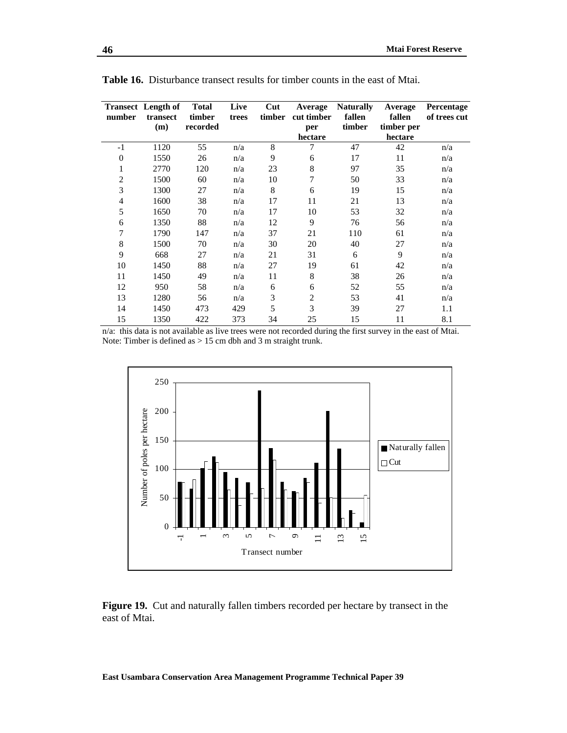| number                   | <b>Transect</b> Length of<br>transect | <b>Total</b><br>timber | Live<br>trees | Cut<br>timber | Average<br>cut timber | <b>Naturally</b><br>fallen | Average<br>fallen | <b>Percentage</b><br>of trees cut |
|--------------------------|---------------------------------------|------------------------|---------------|---------------|-----------------------|----------------------------|-------------------|-----------------------------------|
|                          | (m)                                   | recorded               |               |               | per                   | timber                     | timber per        |                                   |
|                          |                                       |                        |               |               | hectare               |                            | hectare           |                                   |
| $-1$                     | 1120                                  | 55                     | n/a           | 8             | 7                     | 47                         | 42                | n/a                               |
| $\boldsymbol{0}$         | 1550                                  | 26                     | n/a           | 9             | 6                     | 17                         | 11                | n/a                               |
| 1                        | 2770                                  | 120                    | n/a           | 23            | 8                     | 97                         | 35                | n/a                               |
| $\overline{2}$           | 1500                                  | 60                     | n/a           | 10            | 7                     | 50                         | 33                | n/a                               |
| 3                        | 1300                                  | 27                     | n/a           | 8             | 6                     | 19                         | 15                | n/a                               |
| $\overline{\mathcal{L}}$ | 1600                                  | 38                     | n/a           | 17            | 11                    | 21                         | 13                | n/a                               |
| 5                        | 1650                                  | 70                     | n/a           | 17            | 10                    | 53                         | 32                | n/a                               |
| 6                        | 1350                                  | 88                     | n/a           | 12            | 9                     | 76                         | 56                | n/a                               |
| 7                        | 1790                                  | 147                    | n/a           | 37            | 21                    | 110                        | 61                | n/a                               |
| 8                        | 1500                                  | 70                     | n/a           | 30            | 20                    | 40                         | 27                | n/a                               |
| 9                        | 668                                   | 27                     | n/a           | 21            | 31                    | 6                          | 9                 | n/a                               |
| 10                       | 1450                                  | 88                     | n/a           | 27            | 19                    | 61                         | 42                | n/a                               |
| 11                       | 1450                                  | 49                     | n/a           | 11            | 8                     | 38                         | 26                | n/a                               |
| 12                       | 950                                   | 58                     | n/a           | 6             | 6                     | 52                         | 55                | n/a                               |
| 13                       | 1280                                  | 56                     | n/a           | 3             | $\overline{2}$        | 53                         | 41                | n/a                               |
| 14                       | 1450                                  | 473                    | 429           | 5             | 3                     | 39                         | 27                | 1.1                               |
| 15                       | 1350                                  | 422                    | 373           | 34            | 25                    | 15                         | 11                | 8.1                               |

**Table 16.** Disturbance transect results for timber counts in the east of Mtai.

n/a: this data is not available as live trees were not recorded during the first survey in the east of Mtai. Note: Timber is defined as > 15 cm dbh and 3 m straight trunk.



**Figure 19.** Cut and naturally fallen timbers recorded per hectare by transect in the east of Mtai.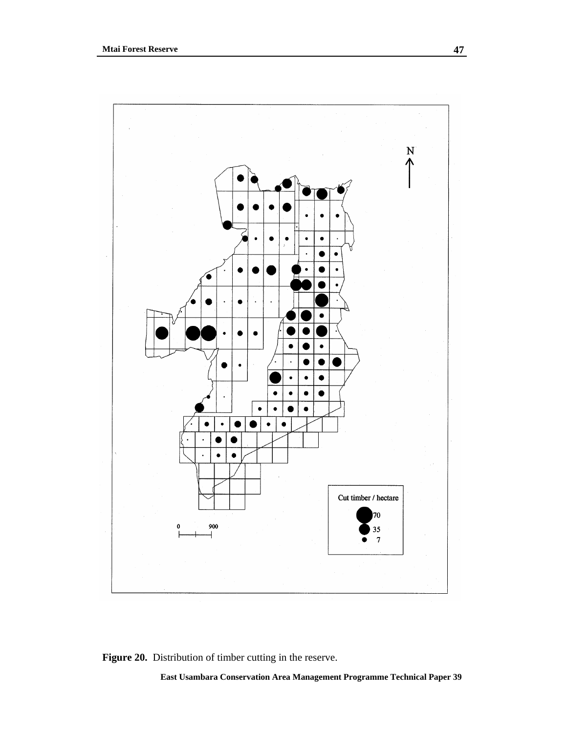

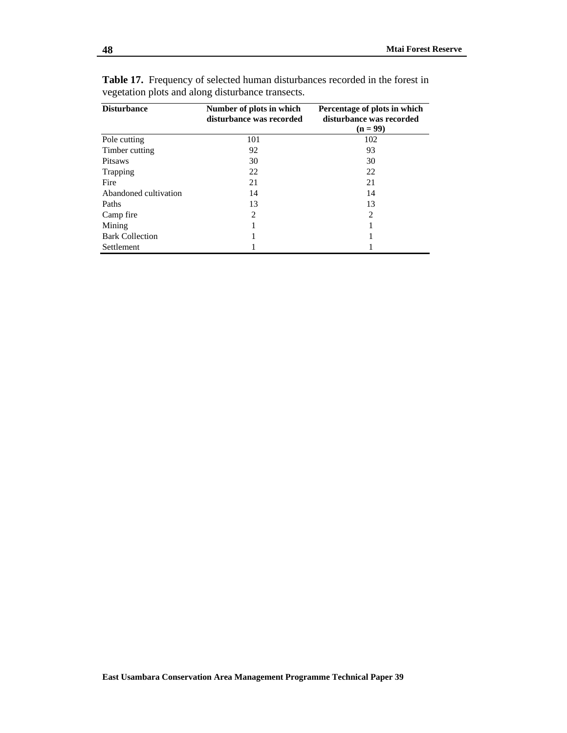| <b>Disturbance</b>     | Number of plots in which<br>disturbance was recorded | Percentage of plots in which<br>disturbance was recorded<br>$(n = 99)$ |
|------------------------|------------------------------------------------------|------------------------------------------------------------------------|
| Pole cutting           | 101                                                  | 102                                                                    |
| Timber cutting         | 92                                                   | 93                                                                     |
| <b>Pitsaws</b>         | 30                                                   | 30                                                                     |
| Trapping               | 22                                                   | 22                                                                     |
| Fire                   | 21                                                   | 21                                                                     |
| Abandoned cultivation  | 14                                                   | 14                                                                     |
| Paths                  | 13                                                   | 13                                                                     |
| Camp fire              | $\overline{2}$                                       | $\mathfrak{D}$                                                         |
| Mining                 |                                                      |                                                                        |
| <b>Bark Collection</b> |                                                      |                                                                        |
| <b>Settlement</b>      |                                                      |                                                                        |

**Table 17.** Frequency of selected human disturbances recorded in the forest in vegetation plots and along disturbance transects.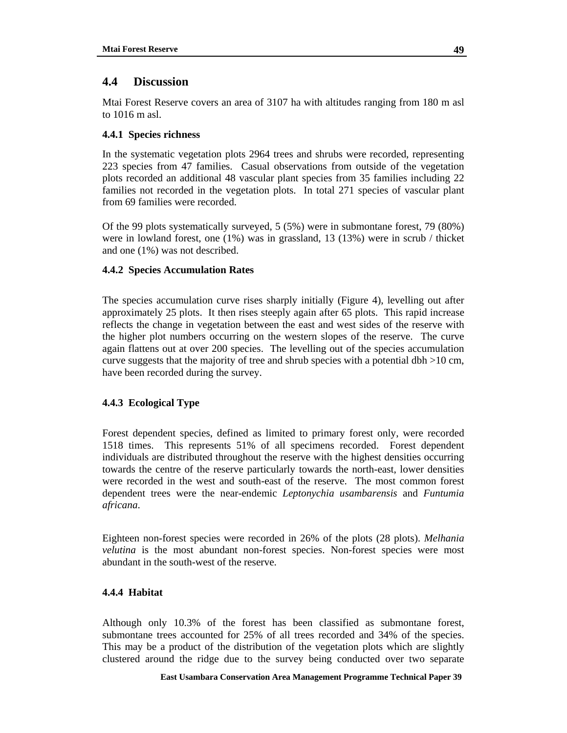# **4.4 Discussion**

Mtai Forest Reserve covers an area of 3107 ha with altitudes ranging from 180 m asl to 1016 m asl.

# **4.4.1 Species richness**

In the systematic vegetation plots 2964 trees and shrubs were recorded, representing 223 species from 47 families. Casual observations from outside of the vegetation plots recorded an additional 48 vascular plant species from 35 families including 22 families not recorded in the vegetation plots. In total 271 species of vascular plant from 69 families were recorded.

Of the 99 plots systematically surveyed, 5 (5%) were in submontane forest, 79 (80%) were in lowland forest, one (1%) was in grassland, 13 (13%) were in scrub / thicket and one (1%) was not described.

# **4.4.2 Species Accumulation Rates**

The species accumulation curve rises sharply initially (Figure 4), levelling out after approximately 25 plots. It then rises steeply again after 65 plots. This rapid increase reflects the change in vegetation between the east and west sides of the reserve with the higher plot numbers occurring on the western slopes of the reserve. The curve again flattens out at over 200 species. The levelling out of the species accumulation curve suggests that the majority of tree and shrub species with a potential dbh  $>10$  cm, have been recorded during the survey.

## **4.4.3 Ecological Type**

Forest dependent species, defined as limited to primary forest only, were recorded 1518 times. This represents 51% of all specimens recorded. Forest dependent individuals are distributed throughout the reserve with the highest densities occurring towards the centre of the reserve particularly towards the north-east, lower densities were recorded in the west and south-east of the reserve. The most common forest dependent trees were the near-endemic *Leptonychia usambarensis* and *Funtumia africana*.

Eighteen non-forest species were recorded in 26% of the plots (28 plots). *Melhania velutina* is the most abundant non-forest species. Non-forest species were most abundant in the south-west of the reserve.

## **4.4.4 Habitat**

Although only 10.3% of the forest has been classified as submontane forest, submontane trees accounted for 25% of all trees recorded and 34% of the species. This may be a product of the distribution of the vegetation plots which are slightly clustered around the ridge due to the survey being conducted over two separate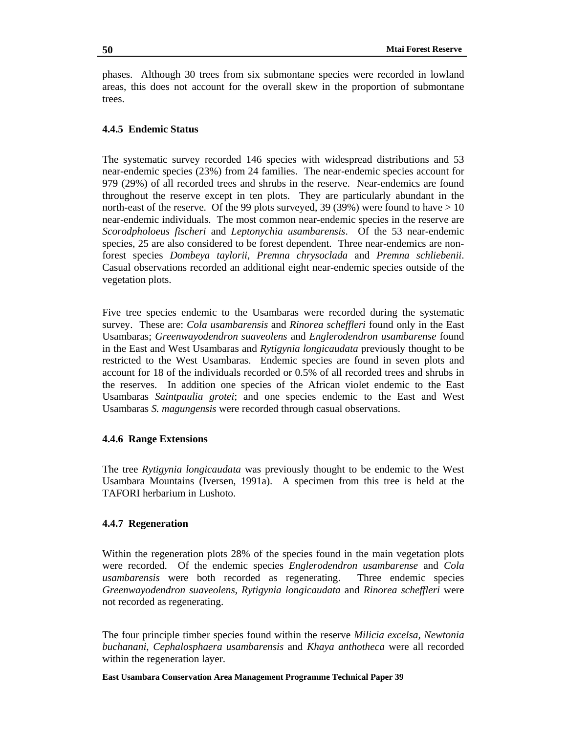phases. Although 30 trees from six submontane species were recorded in lowland areas, this does not account for the overall skew in the proportion of submontane trees.

## **4.4.5 Endemic Status**

The systematic survey recorded 146 species with widespread distributions and 53 near-endemic species (23%) from 24 families. The near-endemic species account for 979 (29%) of all recorded trees and shrubs in the reserve. Near-endemics are found throughout the reserve except in ten plots. They are particularly abundant in the north-east of the reserve. Of the 99 plots surveyed, 39 (39%) were found to have  $> 10$ near-endemic individuals. The most common near-endemic species in the reserve are *Scorodpholoeus fischeri* and *Leptonychia usambarensis*. Of the 53 near-endemic species, 25 are also considered to be forest dependent. Three near-endemics are nonforest species *Dombeya taylorii*, *Premna chrysoclada* and *Premna schliebenii*. Casual observations recorded an additional eight near-endemic species outside of the vegetation plots.

Five tree species endemic to the Usambaras were recorded during the systematic survey. These are: *Cola usambarensis* and *Rinorea scheffleri* found only in the East Usambaras; *Greenwayodendron suaveolens* and *Englerodendron usambarense* found in the East and West Usambaras and *Rytigynia longicaudata* previously thought to be restricted to the West Usambaras. Endemic species are found in seven plots and account for 18 of the individuals recorded or 0.5% of all recorded trees and shrubs in the reserves. In addition one species of the African violet endemic to the East Usambaras *Saintpaulia grotei*; and one species endemic to the East and West Usambaras *S. magungensis* were recorded through casual observations.

### **4.4.6 Range Extensions**

The tree *Rytigynia longicaudata* was previously thought to be endemic to the West Usambara Mountains (Iversen, 1991a). A specimen from this tree is held at the TAFORI herbarium in Lushoto.

## **4.4.7 Regeneration**

Within the regeneration plots 28% of the species found in the main vegetation plots were recorded. Of the endemic species *Englerodendron usambarense* and *Cola usambarensis* were both recorded as regenerating. Three endemic species *Greenwayodendron suaveolens*, *Rytigynia longicaudata* and *Rinorea scheffleri* were not recorded as regenerating.

The four principle timber species found within the reserve *Milicia excelsa, Newtonia buchanani*, *Cephalosphaera usambarensis* and *Khaya anthotheca* were all recorded within the regeneration layer.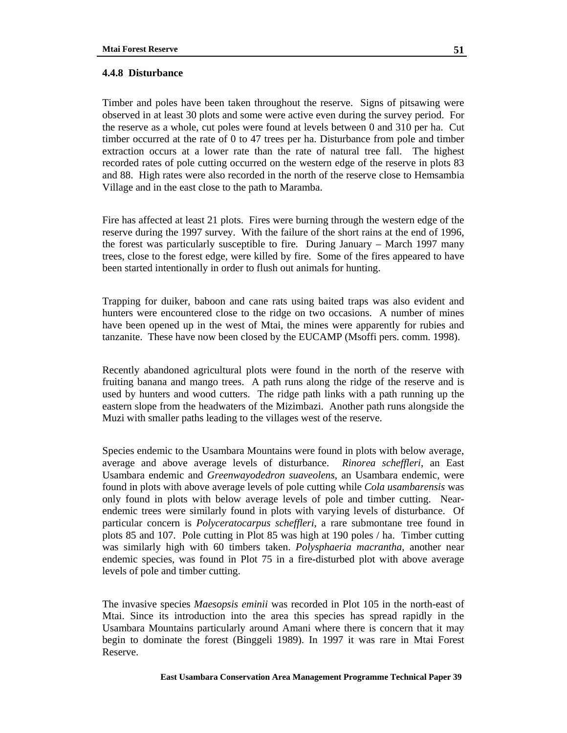### **4.4.8 Disturbance**

Timber and poles have been taken throughout the reserve. Signs of pitsawing were observed in at least 30 plots and some were active even during the survey period. For the reserve as a whole, cut poles were found at levels between 0 and 310 per ha. Cut timber occurred at the rate of 0 to 47 trees per ha. Disturbance from pole and timber extraction occurs at a lower rate than the rate of natural tree fall. The highest recorded rates of pole cutting occurred on the western edge of the reserve in plots 83 and 88. High rates were also recorded in the north of the reserve close to Hemsambia Village and in the east close to the path to Maramba.

Fire has affected at least 21 plots. Fires were burning through the western edge of the reserve during the 1997 survey. With the failure of the short rains at the end of 1996, the forest was particularly susceptible to fire. During January – March 1997 many trees, close to the forest edge, were killed by fire. Some of the fires appeared to have been started intentionally in order to flush out animals for hunting.

Trapping for duiker, baboon and cane rats using baited traps was also evident and hunters were encountered close to the ridge on two occasions. A number of mines have been opened up in the west of Mtai, the mines were apparently for rubies and tanzanite. These have now been closed by the EUCAMP (Msoffi pers. comm. 1998).

Recently abandoned agricultural plots were found in the north of the reserve with fruiting banana and mango trees. A path runs along the ridge of the reserve and is used by hunters and wood cutters. The ridge path links with a path running up the eastern slope from the headwaters of the Mizimbazi. Another path runs alongside the Muzi with smaller paths leading to the villages west of the reserve.

Species endemic to the Usambara Mountains were found in plots with below average, average and above average levels of disturbance. *Rinorea scheffleri*, an East Usambara endemic and *Greenwayodedron suaveolens*, an Usambara endemic, were found in plots with above average levels of pole cutting while *Cola usambarensis* was only found in plots with below average levels of pole and timber cutting. Nearendemic trees were similarly found in plots with varying levels of disturbance. Of particular concern is *Polyceratocarpus scheffleri*, a rare submontane tree found in plots 85 and 107. Pole cutting in Plot 85 was high at 190 poles / ha. Timber cutting was similarly high with 60 timbers taken. *Polysphaeria macrantha*, another near endemic species, was found in Plot 75 in a fire-disturbed plot with above average levels of pole and timber cutting.

The invasive species *Maesopsis eminii* was recorded in Plot 105 in the north-east of Mtai. Since its introduction into the area this species has spread rapidly in the Usambara Mountains particularly around Amani where there is concern that it may begin to dominate the forest (Binggeli 1989). In 1997 it was rare in Mtai Forest Reserve.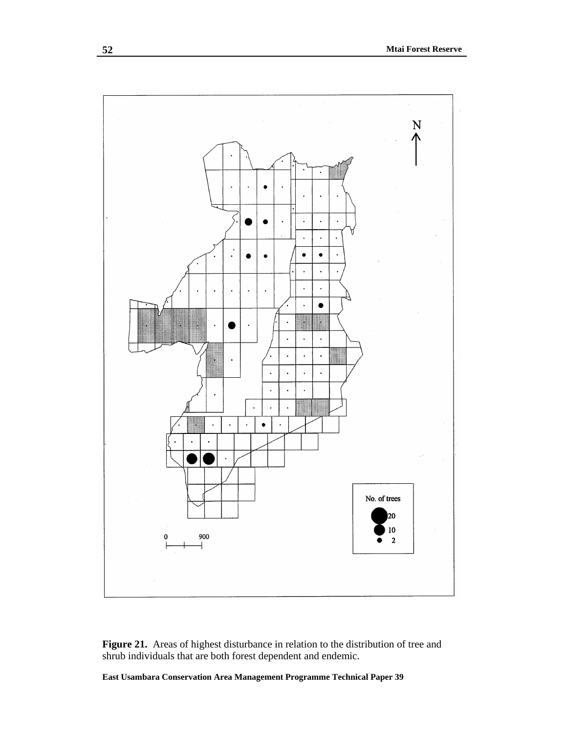

**Figure 21.** Areas of highest disturbance in relation to the distribution of tree and shrub individuals that are both forest dependent and endemic.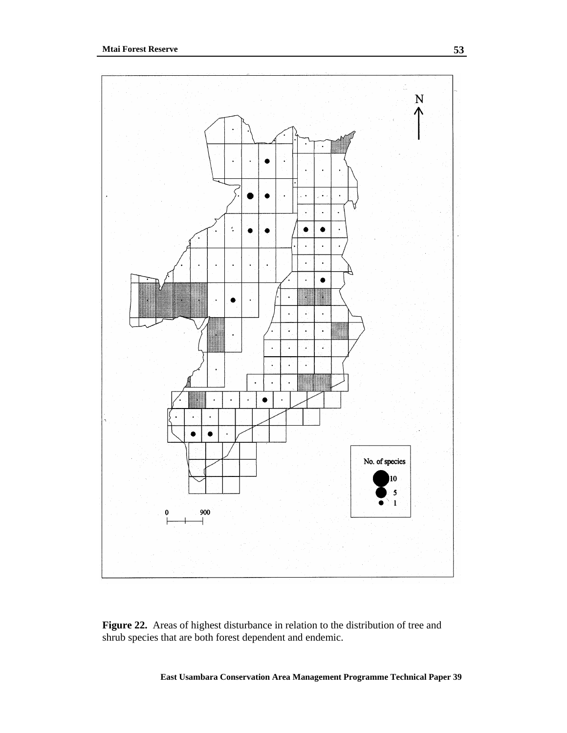

**Figure 22.** Areas of highest disturbance in relation to the distribution of tree and shrub species that are both forest dependent and endemic.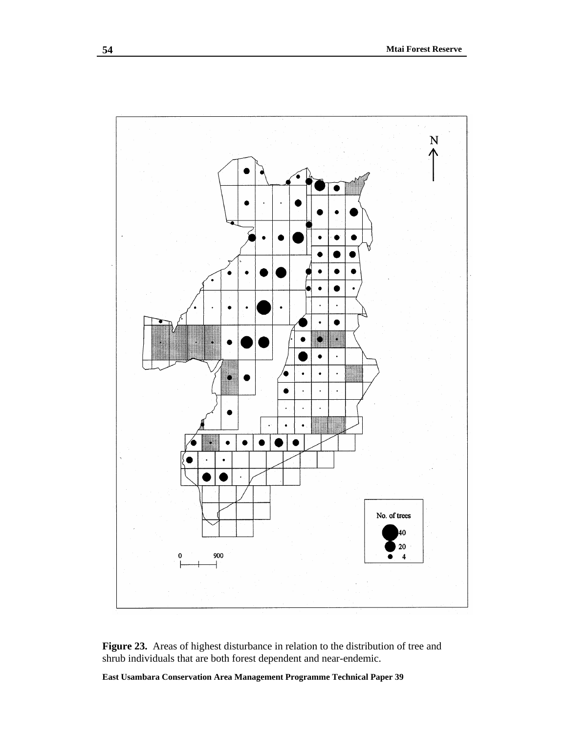

Figure 23. Areas of highest disturbance in relation to the distribution of tree and shrub individuals that are both forest dependent and near-endemic.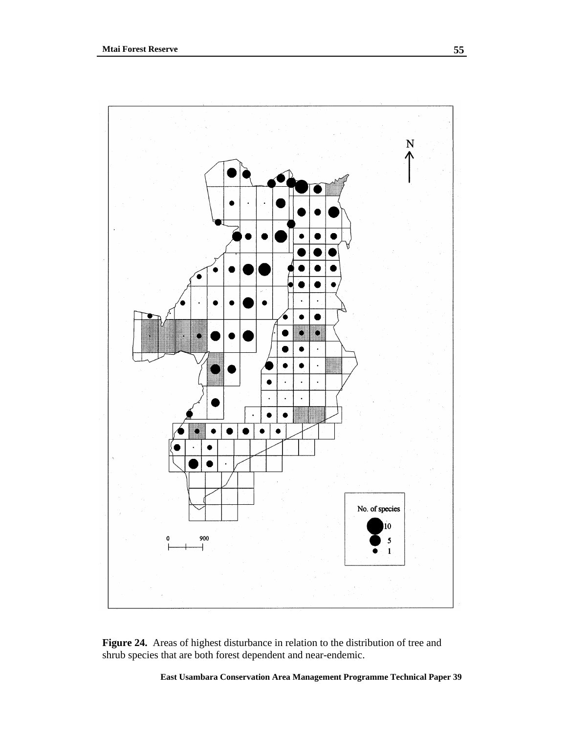

Figure 24. Areas of highest disturbance in relation to the distribution of tree and shrub species that are both forest dependent and near-endemic.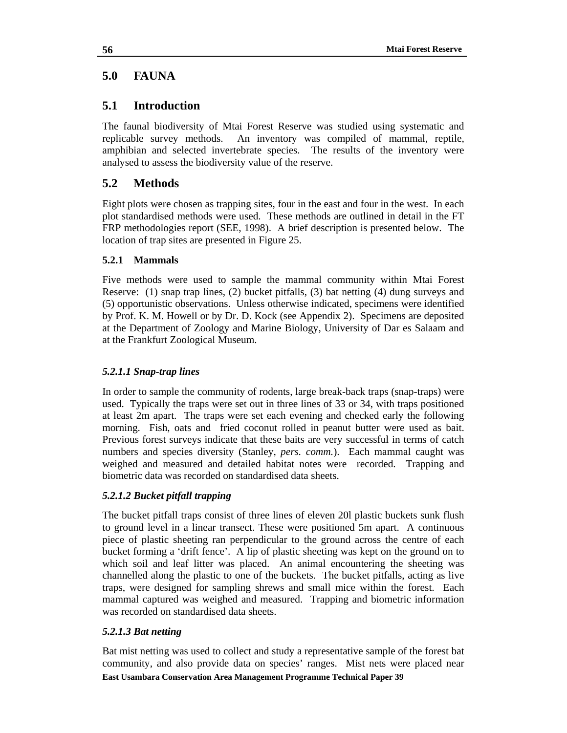# **5.0 FAUNA**

# **5.1 Introduction**

The faunal biodiversity of Mtai Forest Reserve was studied using systematic and replicable survey methods. An inventory was compiled of mammal, reptile, amphibian and selected invertebrate species. The results of the inventory were analysed to assess the biodiversity value of the reserve.

# **5.2 Methods**

Eight plots were chosen as trapping sites, four in the east and four in the west. In each plot standardised methods were used. These methods are outlined in detail in the FT FRP methodologies report (SEE, 1998). A brief description is presented below. The location of trap sites are presented in Figure 25.

# **5.2.1 Mammals**

Five methods were used to sample the mammal community within Mtai Forest Reserve: (1) snap trap lines, (2) bucket pitfalls, (3) bat netting (4) dung surveys and (5) opportunistic observations. Unless otherwise indicated, specimens were identified by Prof. K. M. Howell or by Dr. D. Kock (see Appendix 2). Specimens are deposited at the Department of Zoology and Marine Biology, University of Dar es Salaam and at the Frankfurt Zoological Museum.

# *5.2.1.1 Snap-trap lines*

In order to sample the community of rodents, large break-back traps (snap-traps) were used. Typically the traps were set out in three lines of 33 or 34, with traps positioned at least 2m apart. The traps were set each evening and checked early the following morning. Fish, oats and fried coconut rolled in peanut butter were used as bait. Previous forest surveys indicate that these baits are very successful in terms of catch numbers and species diversity (Stanley, *pers. comm.*). Each mammal caught was weighed and measured and detailed habitat notes were recorded. Trapping and biometric data was recorded on standardised data sheets.

# *5.2.1.2 Bucket pitfall trapping*

The bucket pitfall traps consist of three lines of eleven 20l plastic buckets sunk flush to ground level in a linear transect. These were positioned 5m apart. A continuous piece of plastic sheeting ran perpendicular to the ground across the centre of each bucket forming a 'drift fence'. A lip of plastic sheeting was kept on the ground on to which soil and leaf litter was placed. An animal encountering the sheeting was channelled along the plastic to one of the buckets. The bucket pitfalls, acting as live traps, were designed for sampling shrews and small mice within the forest. Each mammal captured was weighed and measured. Trapping and biometric information was recorded on standardised data sheets.

# *5.2.1.3 Bat netting*

**East Usambara Conservation Area Management Programme Technical Paper 39** Bat mist netting was used to collect and study a representative sample of the forest bat community, and also provide data on species' ranges. Mist nets were placed near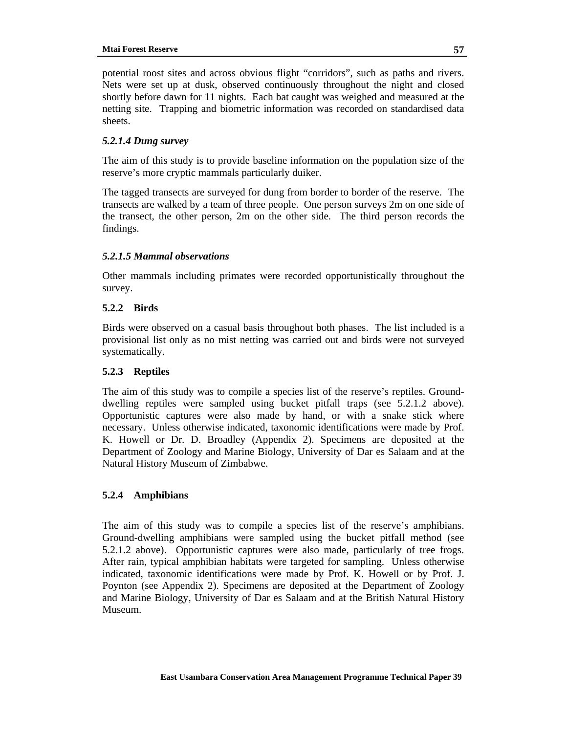potential roost sites and across obvious flight "corridors", such as paths and rivers. Nets were set up at dusk, observed continuously throughout the night and closed shortly before dawn for 11 nights. Each bat caught was weighed and measured at the netting site. Trapping and biometric information was recorded on standardised data sheets.

## *5.2.1.4 Dung survey*

The aim of this study is to provide baseline information on the population size of the reserve's more cryptic mammals particularly duiker.

The tagged transects are surveyed for dung from border to border of the reserve. The transects are walked by a team of three people. One person surveys 2m on one side of the transect, the other person, 2m on the other side. The third person records the findings.

# *5.2.1.5 Mammal observations*

Other mammals including primates were recorded opportunistically throughout the survey.

# **5.2.2 Birds**

Birds were observed on a casual basis throughout both phases. The list included is a provisional list only as no mist netting was carried out and birds were not surveyed systematically.

# **5.2.3 Reptiles**

The aim of this study was to compile a species list of the reserve's reptiles. Grounddwelling reptiles were sampled using bucket pitfall traps (see 5.2.1.2 above). Opportunistic captures were also made by hand, or with a snake stick where necessary. Unless otherwise indicated, taxonomic identifications were made by Prof. K. Howell or Dr. D. Broadley (Appendix 2). Specimens are deposited at the Department of Zoology and Marine Biology, University of Dar es Salaam and at the Natural History Museum of Zimbabwe.

## **5.2.4 Amphibians**

The aim of this study was to compile a species list of the reserve's amphibians. Ground-dwelling amphibians were sampled using the bucket pitfall method (see 5.2.1.2 above). Opportunistic captures were also made, particularly of tree frogs. After rain, typical amphibian habitats were targeted for sampling. Unless otherwise indicated, taxonomic identifications were made by Prof. K. Howell or by Prof. J. Poynton (see Appendix 2). Specimens are deposited at the Department of Zoology and Marine Biology, University of Dar es Salaam and at the British Natural History Museum.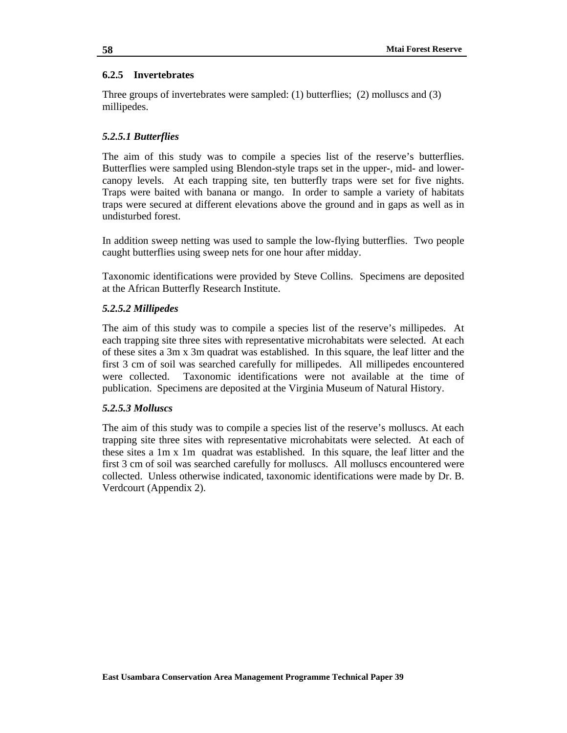### **6.2.5 Invertebrates**

Three groups of invertebrates were sampled: (1) butterflies; (2) molluscs and (3) millipedes.

## *5.2.5.1 Butterflies*

The aim of this study was to compile a species list of the reserve's butterflies. Butterflies were sampled using Blendon-style traps set in the upper-, mid- and lowercanopy levels. At each trapping site, ten butterfly traps were set for five nights. Traps were baited with banana or mango. In order to sample a variety of habitats traps were secured at different elevations above the ground and in gaps as well as in undisturbed forest.

In addition sweep netting was used to sample the low-flying butterflies. Two people caught butterflies using sweep nets for one hour after midday.

Taxonomic identifications were provided by Steve Collins. Specimens are deposited at the African Butterfly Research Institute.

### *5.2.5.2 Millipedes*

The aim of this study was to compile a species list of the reserve's millipedes. At each trapping site three sites with representative microhabitats were selected. At each of these sites a 3m x 3m quadrat was established. In this square, the leaf litter and the first 3 cm of soil was searched carefully for millipedes. All millipedes encountered were collected. Taxonomic identifications were not available at the time of publication. Specimens are deposited at the Virginia Museum of Natural History.

### *5.2.5.3 Molluscs*

The aim of this study was to compile a species list of the reserve's molluscs. At each trapping site three sites with representative microhabitats were selected. At each of these sites a 1m x 1m quadrat was established. In this square, the leaf litter and the first 3 cm of soil was searched carefully for molluscs. All molluscs encountered were collected. Unless otherwise indicated, taxonomic identifications were made by Dr. B. Verdcourt (Appendix 2).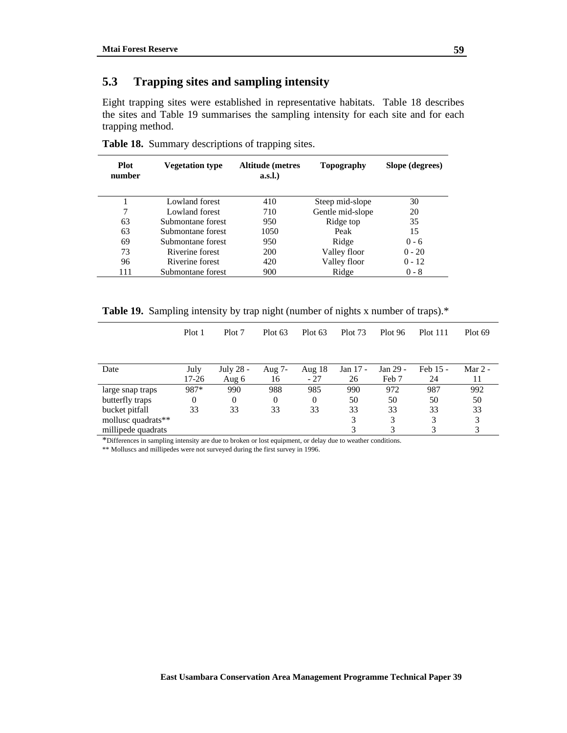# **5.3 Trapping sites and sampling intensity**

Eight trapping sites were established in representative habitats. Table 18 describes the sites and Table 19 summarises the sampling intensity for each site and for each trapping method.

| Plot<br>number | <b>Vegetation type</b> | <b>Altitude</b> (metres<br>a.s.l. | Topography       | Slope (degrees) |
|----------------|------------------------|-----------------------------------|------------------|-----------------|
|                | Lowland forest         | 410                               | Steep mid-slope  | 30              |
| 7              | Lowland forest         | 710                               | Gentle mid-slope | 20              |
| 63             | Submontane forest      | 950                               | Ridge top        | 35              |
| 63             | Submontane forest      | 1050                              | Peak             | 15              |
| 69             | Submontane forest      | 950                               | Ridge            | $0 - 6$         |
| 73             | Riverine forest        | 200                               | Valley floor     | $0 - 20$        |
| 96             | Riverine forest        | 420                               | Valley floor     | $0 - 12$        |
| 111            | Submontane forest      | 900                               | Ridge            | $0 - 8$         |

**Table 18.** Summary descriptions of trapping sites.

**Table 19.** Sampling intensity by trap night (number of nights x number of traps).\*

|                    | Plot 1 | Plot 7    | Plot $63$ | Plot $63$ | Plot 73  | <b>Plot 96</b> | <b>Plot 111</b> | Plot 69 |
|--------------------|--------|-----------|-----------|-----------|----------|----------------|-----------------|---------|
|                    |        |           |           |           |          |                |                 |         |
| Date               | July   | July 28 - | Aug 7-    | Aug 18    | Jan 17 - | Jan 29 -       | Feb 15 -        | Mar 2 - |
|                    | 17-26  | Aug 6     | 16        | $-27$     | 26       | Feb 7          | 24              | 11      |
| large snap traps   | 987*   | 990       | 988       | 985       | 990      | 972            | 987             | 992     |
| butterfly traps    | 0      | 0         | 0         | $\theta$  | 50       | 50             | 50              | 50      |
| bucket pitfall     | 33     | 33        | 33        | 33        | 33       | 33             | 33              | 33      |
| mollusc quadrats** |        |           |           |           | 3        | 3              | 3               | 3       |
| millipede quadrats |        |           |           |           |          | 3              | 3               | 3       |

\*Differences in sampling intensity are due to broken or lost equipment, or delay due to weather conditions.

\*\* Molluscs and millipedes were not surveyed during the first survey in 1996.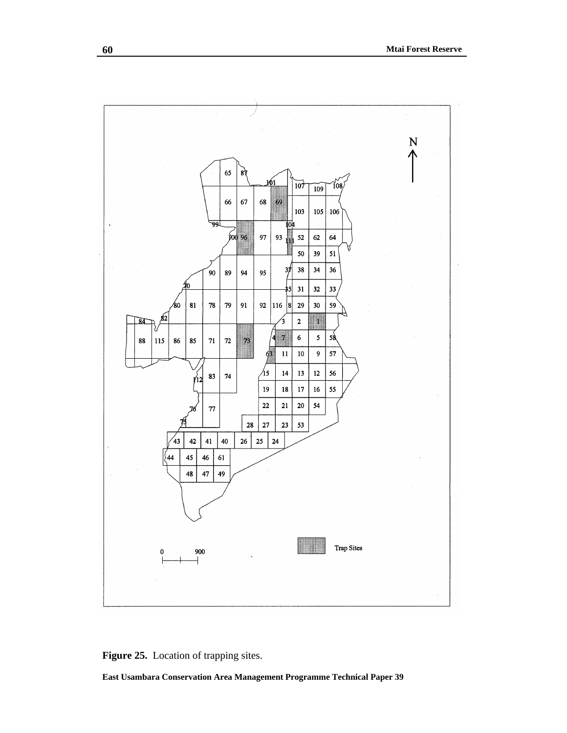

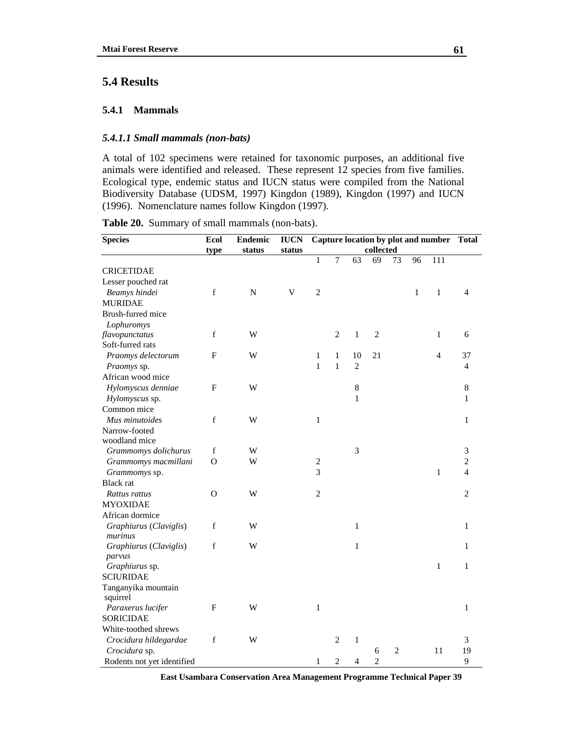# **5.4 Results**

#### **5.4.1 Mammals**

### *5.4.1.1 Small mammals (non-bats)*

A total of 102 specimens were retained for taxonomic purposes, an additional five animals were identified and released. These represent 12 species from five families. Ecological type, endemic status and IUCN status were compiled from the National Biodiversity Database (UDSM, 1997) Kingdon (1989), Kingdon (1997) and IUCN (1996). Nomenclature names follow Kingdon (1997).

| <b>Species</b>             | Ecol        | <b>Endemic</b> | <b>IUCN</b>    |                |                |                |                |                |              | Capture location by plot and number | <b>Total</b>   |
|----------------------------|-------------|----------------|----------------|----------------|----------------|----------------|----------------|----------------|--------------|-------------------------------------|----------------|
|                            | type        | status         | status         |                |                |                | collected      |                |              |                                     |                |
|                            |             |                |                | $\mathbf{1}$   | $\overline{7}$ | 63             | 69             | 73             | 96           | 111                                 |                |
| <b>CRICETIDAE</b>          |             |                |                |                |                |                |                |                |              |                                     |                |
| Lesser pouched rat         |             |                |                |                |                |                |                |                |              |                                     |                |
| Beamys hindei              | $\mathbf f$ | $\mathbf N$    | $\overline{V}$ | $\overline{2}$ |                |                |                |                | $\mathbf{1}$ | $\,1$                               | 4              |
| <b>MURIDAE</b>             |             |                |                |                |                |                |                |                |              |                                     |                |
| Brush-furred mice          |             |                |                |                |                |                |                |                |              |                                     |                |
| Lophuromys                 |             |                |                |                |                |                |                |                |              |                                     |                |
| flavopunctatus             | $\mathbf f$ | W              |                |                | $\overline{2}$ | $\mathbf{1}$   | $\overline{2}$ |                |              | $\mathbf 1$                         | 6              |
| Soft-furred rats           |             |                |                |                |                |                |                |                |              |                                     |                |
| Praomys delectorum         | ${\rm F}$   | W              |                | 1              | 1              | 10             | 21             |                |              | $\overline{4}$                      | 37             |
| Praomys sp.                |             |                |                | $\mathbf{1}$   | $\mathbf{1}$   | $\overline{2}$ |                |                |              |                                     | 4              |
| African wood mice          |             |                |                |                |                |                |                |                |              |                                     |                |
| Hylomyscus denniae         | F           | W              |                |                |                | $\,8$          |                |                |              |                                     | 8              |
| Hylomyscus sp.             |             |                |                |                |                | $\mathbf{1}$   |                |                |              |                                     | 1              |
| Common mice                |             |                |                |                |                |                |                |                |              |                                     |                |
| Mus minutoides             | $\mathbf f$ | W              |                | $\mathbf{1}$   |                |                |                |                |              |                                     | $\mathbf{1}$   |
| Narrow-footed              |             |                |                |                |                |                |                |                |              |                                     |                |
| woodland mice              |             |                |                |                |                |                |                |                |              |                                     |                |
| Grammomys dolichurus       | $\mathbf f$ | W              |                |                |                | 3              |                |                |              |                                     | 3              |
| Grammomys macmillani       | $\mathbf O$ | W              |                | $\sqrt{2}$     |                |                |                |                |              |                                     | $\overline{c}$ |
| Grammomys sp.              |             |                |                | 3              |                |                |                |                |              | $\mathbf{1}$                        | 4              |
| <b>Black</b> rat           |             |                |                |                |                |                |                |                |              |                                     |                |
| Rattus rattus              | O           | W              |                | $\overline{2}$ |                |                |                |                |              |                                     | 2              |
| <b>MYOXIDAE</b>            |             |                |                |                |                |                |                |                |              |                                     |                |
| African dormice            |             |                |                |                |                |                |                |                |              |                                     |                |
| Graphiurus (Claviglis)     | $\mathbf f$ | W              |                |                |                | 1              |                |                |              |                                     | 1              |
| murinus                    |             |                |                |                |                |                |                |                |              |                                     |                |
| Graphiurus (Claviglis)     | f           | W              |                |                |                | $\mathbf{1}$   |                |                |              |                                     | 1              |
| parvus                     |             |                |                |                |                |                |                |                |              |                                     |                |
| Graphiurus sp.             |             |                |                |                |                |                |                |                |              | $\mathbf{1}$                        | $\mathbf{1}$   |
| <b>SCIURIDAE</b>           |             |                |                |                |                |                |                |                |              |                                     |                |
| Tanganyika mountain        |             |                |                |                |                |                |                |                |              |                                     |                |
| squirrel                   | F           | W              |                | $\mathbf{1}$   |                |                |                |                |              |                                     | $\mathbf{1}$   |
| Paraxerus lucifer          |             |                |                |                |                |                |                |                |              |                                     |                |
| <b>SORICIDAE</b>           |             |                |                |                |                |                |                |                |              |                                     |                |
| White-toothed shrews       |             |                |                |                |                |                |                |                |              |                                     |                |
| Crocidura hildegardae      | $\mathbf f$ | W              |                |                | $\overline{2}$ | $\mathbf{1}$   |                |                |              |                                     | 3              |
| Crocidura sp.              |             |                |                |                |                |                | 6              | $\overline{2}$ |              | 11                                  | 19             |
| Rodents not yet identified |             |                |                | $\mathbf{1}$   | $\sqrt{2}$     | 4              | $\overline{2}$ |                |              |                                     | 9              |

**Table 20.** Summary of small mammals (non-bats).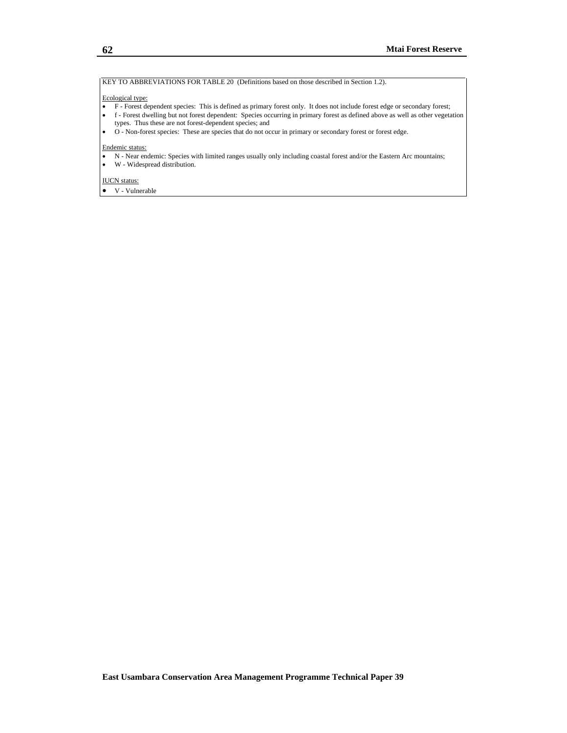KEY TO ABBREVIATIONS FOR TABLE 20 (Definitions based on those described in Section 1.2).

#### Ecological type:

- F Forest dependent species: This is defined as primary forest only. It does not include forest edge or secondary forest;
- f Forest dwelling but not forest dependent: Species occurring in primary forest as defined above as well as other vegetation types. Thus these are not forest-dependent species; and
- O Non-forest species: These are species that do not occur in primary or secondary forest or forest edge.

#### Endemic status:

- N Near endemic: Species with limited ranges usually only including coastal forest and/or the Eastern Arc mountains;
- W Widespread distribution.

#### IUCN status:

• V - Vulnerable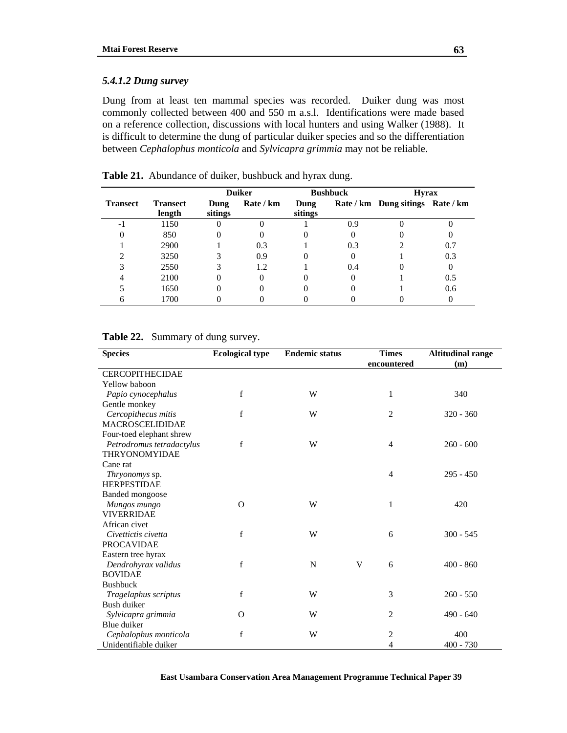### *5.4.1.2 Dung survey*

Dung from at least ten mammal species was recorded. Duiker dung was most commonly collected between 400 and 550 m a.s.l. Identifications were made based on a reference collection, discussions with local hunters and using Walker (1988). It is difficult to determine the dung of particular duiker species and so the differentiation between *Cephalophus monticola* and *Sylvicapra grimmia* may not be reliable.

|                 |                           | <b>Duiker</b>   |           |                 | <b>Bushbuck</b> | <b>Hyrax</b>                     |     |  |
|-----------------|---------------------------|-----------------|-----------|-----------------|-----------------|----------------------------------|-----|--|
| <b>Transect</b> | <b>Transect</b><br>length | Dung<br>sitings | Rate / km | Dung<br>sitings |                 | Rate / km Dung sitings Rate / km |     |  |
| $-1$            | 1150                      |                 |           |                 | 0.9             |                                  |     |  |
|                 | 850                       |                 |           |                 |                 |                                  |     |  |
|                 | 2900                      |                 | 0.3       |                 | 0.3             |                                  | 0.7 |  |
|                 | 3250                      |                 | 0.9       |                 |                 |                                  | 0.3 |  |
|                 | 2550                      |                 | 1.2       |                 | 0.4             |                                  |     |  |
|                 | 2100                      |                 |           |                 |                 |                                  | 0.5 |  |
|                 | 1650                      |                 |           |                 |                 |                                  | 0.6 |  |
|                 | 1700                      |                 |           |                 |                 |                                  |     |  |

**Table 21.** Abundance of duiker, bushbuck and hyrax dung.

| <b>Species</b>            | <b>Ecological type</b> | <b>Endemic status</b> | <b>Times</b><br>encountered | <b>Altitudinal range</b><br>(m) |
|---------------------------|------------------------|-----------------------|-----------------------------|---------------------------------|
| <b>CERCOPITHECIDAE</b>    |                        |                       |                             |                                 |
| Yellow baboon             |                        |                       |                             |                                 |
| Papio cynocephalus        | f                      | W                     | 1                           | 340                             |
| Gentle monkey             |                        |                       |                             |                                 |
| Cercopithecus mitis       | f                      | W                     | $\overline{2}$              | $320 - 360$                     |
| <b>MACROSCELIDIDAE</b>    |                        |                       |                             |                                 |
| Four-toed elephant shrew  |                        |                       |                             |                                 |
| Petrodromus tetradactylus | f                      | W                     | $\overline{4}$              | $260 - 600$                     |
| <b>THRYONOMYIDAE</b>      |                        |                       |                             |                                 |
| Cane rat                  |                        |                       |                             |                                 |
| Thryonomys sp.            |                        |                       | $\overline{4}$              | $295 - 450$                     |
| <b>HERPESTIDAE</b>        |                        |                       |                             |                                 |
| <b>Banded mongoose</b>    |                        |                       |                             |                                 |
| Mungos mungo              | $\Omega$               | W                     | 1                           | 420                             |
| <b>VIVERRIDAE</b>         |                        |                       |                             |                                 |
| African civet             |                        |                       |                             |                                 |
| Civettictis civetta       | $\mathbf f$            | W                     | 6                           | $300 - 545$                     |
| <b>PROCAVIDAE</b>         |                        |                       |                             |                                 |
| Eastern tree hyrax        |                        |                       |                             |                                 |
| Dendrohyrax validus       | f                      | N                     | V<br>6                      | $400 - 860$                     |
| <b>BOVIDAE</b>            |                        |                       |                             |                                 |
| <b>Bushbuck</b>           |                        |                       |                             |                                 |
| Tragelaphus scriptus      | f                      | W                     | 3                           | $260 - 550$                     |
| Bush duiker               |                        |                       |                             |                                 |
| Sylvicapra grimmia        | $\Omega$               | W                     | $\overline{c}$              | $490 - 640$                     |
| Blue duiker               |                        |                       |                             |                                 |
| Cephalophus monticola     | f                      | W                     | 2                           | 400                             |
| Unidentifiable duiker     |                        |                       | $\overline{4}$              | $400 - 730$                     |

**Table 22.** Summary of dung survey.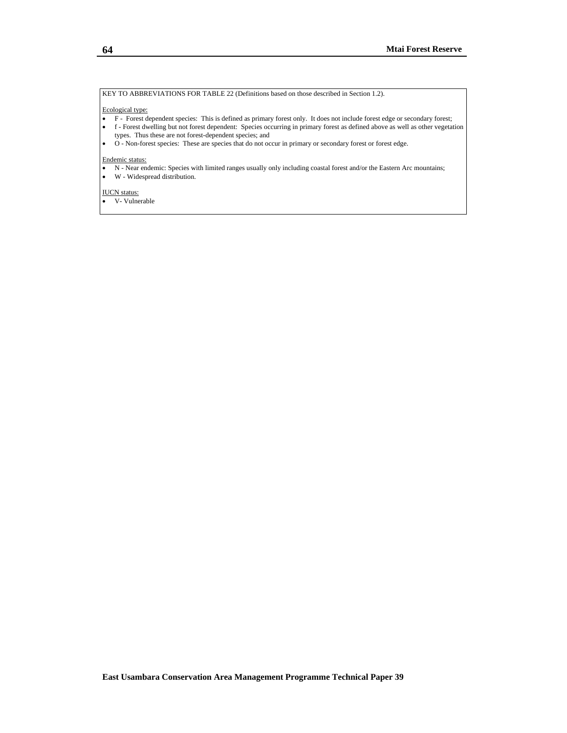#### KEY TO ABBREVIATIONS FOR TABLE 22 (Definitions based on those described in Section 1.2).

#### Ecological type:

- F Forest dependent species: This is defined as primary forest only. It does not include forest edge or secondary forest;
- f Forest dwelling but not forest dependent: Species occurring in primary forest as defined above as well as other vegetation types. Thus these are not forest-dependent species; and
- O Non-forest species: These are species that do not occur in primary or secondary forest or forest edge.

#### Endemic status:

- N Near endemic: Species with limited ranges usually only including coastal forest and/or the Eastern Arc mountains;
- W Widespread distribution.

#### IUCN status:

• V- Vulnerable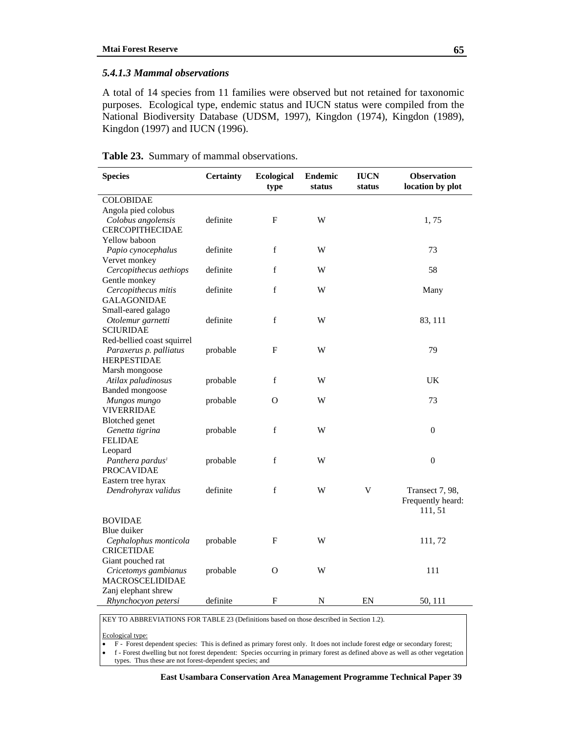### *5.4.1.3 Mammal observations*

A total of 14 species from 11 families were observed but not retained for taxonomic purposes. Ecological type, endemic status and IUCN status were compiled from the National Biodiversity Database (UDSM, 1997), Kingdon (1974), Kingdon (1989), Kingdon (1997) and IUCN (1996).

| <b>Species</b>               | <b>Certainty</b> | <b>Ecological</b><br>type | <b>Endemic</b><br>status | <b>IUCN</b><br>status | <b>Observation</b><br>location by plot |
|------------------------------|------------------|---------------------------|--------------------------|-----------------------|----------------------------------------|
| <b>COLOBIDAE</b>             |                  |                           |                          |                       |                                        |
| Angola pied colobus          |                  |                           |                          |                       |                                        |
| Colobus angolensis           | definite         | F                         | W                        |                       | 1,75                                   |
| <b>CERCOPITHECIDAE</b>       |                  |                           |                          |                       |                                        |
| Yellow baboon                |                  |                           |                          |                       |                                        |
| Papio cynocephalus           | definite         | f                         | W                        |                       | 73                                     |
| Vervet monkey                |                  |                           |                          |                       |                                        |
| Cercopithecus aethiops       | definite         | f                         | W                        |                       | 58                                     |
| Gentle monkey                |                  |                           |                          |                       |                                        |
| Cercopithecus mitis          | definite         | f                         | W                        |                       | Many                                   |
| <b>GALAGONIDAE</b>           |                  |                           |                          |                       |                                        |
| Small-eared galago           |                  |                           |                          |                       |                                        |
| Otolemur garnetti            | definite         | f                         | W                        |                       | 83, 111                                |
| <b>SCIURIDAE</b>             |                  |                           |                          |                       |                                        |
| Red-bellied coast squirrel   |                  |                           |                          |                       |                                        |
| Paraxerus p. palliatus       | probable         | F                         | W                        |                       | 79                                     |
| <b>HERPESTIDAE</b>           |                  |                           |                          |                       |                                        |
| Marsh mongoose               |                  |                           |                          |                       |                                        |
| Atilax paludinosus           | probable         | f                         | W                        |                       | UK                                     |
| <b>Banded</b> mongoose       |                  |                           |                          |                       |                                        |
| Mungos mungo                 | probable         | О                         | W                        |                       | 73                                     |
| VIVERRIDAE                   |                  |                           |                          |                       |                                        |
| <b>Blotched</b> genet        |                  |                           |                          |                       |                                        |
| Genetta tigrina              | probable         | f                         | W                        |                       | $\overline{0}$                         |
| <b>FELIDAE</b>               |                  |                           |                          |                       |                                        |
| Leopard                      |                  |                           |                          |                       |                                        |
| Panthera pardus <sup>1</sup> | probable         | $f_{\rm}$                 | W                        |                       | $\mathbf{0}$                           |
| <b>PROCAVIDAE</b>            |                  |                           |                          |                       |                                        |
| Eastern tree hyrax           |                  |                           |                          |                       |                                        |
| Dendrohyrax validus          | definite         | $\mathbf f$               | W                        | V                     | Transect 7, 98,                        |
|                              |                  |                           |                          |                       | Frequently heard:                      |
|                              |                  |                           |                          |                       | 111, 51                                |
| <b>BOVIDAE</b>               |                  |                           |                          |                       |                                        |
| Blue duiker                  |                  |                           |                          |                       |                                        |
| Cephalophus monticola        | probable         | F                         | W                        |                       | 111,72                                 |
| <b>CRICETIDAE</b>            |                  |                           |                          |                       |                                        |
| Giant pouched rat            |                  |                           |                          |                       |                                        |
| Cricetomys gambianus         | probable         | O                         | W                        |                       | 111                                    |
| <b>MACROSCELIDIDAE</b>       |                  |                           |                          |                       |                                        |
| Zanj elephant shrew          |                  |                           |                          |                       |                                        |
| Rhynchocyon petersi          | definite         | F                         | ${\bf N}$                | EN                    | 50, 111                                |

### **Table 23.** Summary of mammal observations.

KEY TO ABBREVIATIONS FOR TABLE 23 (Definitions based on those described in Section 1.2).

Ecological type:

• F - Forest dependent species: This is defined as primary forest only. It does not include forest edge or secondary forest;

• f - Forest dwelling but not forest dependent: Species occurring in primary forest as defined above as well as other vegetation types. Thus these are not forest-dependent species; and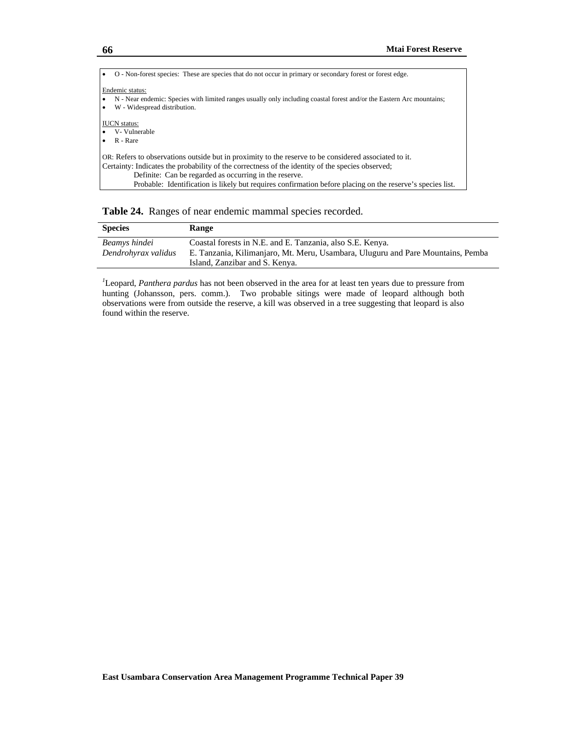| O - Non-forest species: These are species that do not occur in primary or secondary forest or forest edge.                                                                                                                                                                                                                                                                        |
|-----------------------------------------------------------------------------------------------------------------------------------------------------------------------------------------------------------------------------------------------------------------------------------------------------------------------------------------------------------------------------------|
| Endemic status:<br>N - Near endemic: Species with limited ranges usually only including coastal forest and/or the Eastern Arc mountains;<br>W - Widespread distribution.                                                                                                                                                                                                          |
| <b>IUCN</b> status:<br>V- Vulnerable<br>R - Rare                                                                                                                                                                                                                                                                                                                                  |
| OR: Refers to observations outside but in proximity to the reserve to be considered associated to it.<br>Certainty: Indicates the probability of the correctness of the identity of the species observed;<br>Definite: Can be regarded as occurring in the reserve.<br>Probable: Identification is likely but requires confirmation before placing on the reserve's species list. |

**Table 24.** Ranges of near endemic mammal species recorded.

| <b>Species</b>                       | Range                                                                                                                                        |
|--------------------------------------|----------------------------------------------------------------------------------------------------------------------------------------------|
| Beamys hindei<br>Dendrohyrax validus | Coastal forests in N.E. and E. Tanzania, also S.E. Kenya.<br>E. Tanzania, Kilimanjaro, Mt. Meru, Usambara, Uluguru and Pare Mountains, Pemba |
|                                      | Island, Zanzibar and S. Kenya.                                                                                                               |

*1* Leopard, *Panthera pardus* has not been observed in the area for at least ten years due to pressure from hunting (Johansson, pers. comm.). Two probable sitings were made of leopard although both observations were from outside the reserve, a kill was observed in a tree suggesting that leopard is also found within the reserve.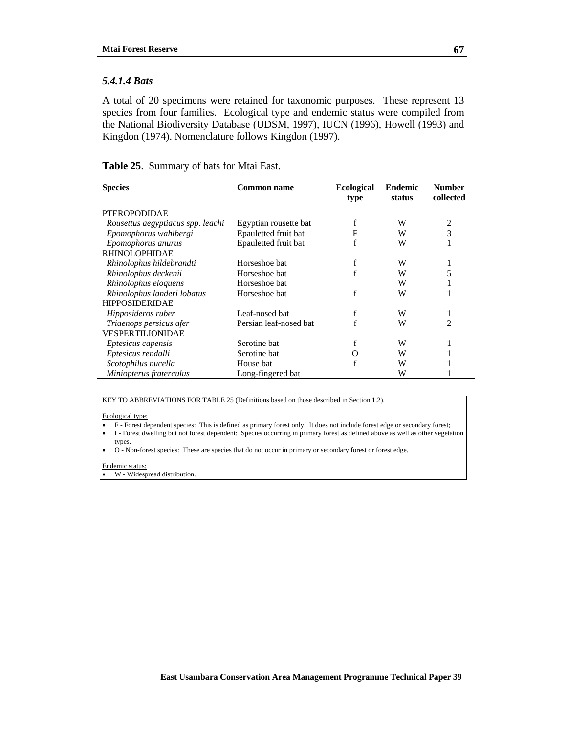#### *5.4.1.4 Bats*

A total of 20 specimens were retained for taxonomic purposes. These represent 13 species from four families. Ecological type and endemic status were compiled from the National Biodiversity Database (UDSM, 1997), IUCN (1996), Howell (1993) and Kingdon (1974). Nomenclature follows Kingdon (1997).

|  |  |  | <b>Table 25.</b> Summary of bats for Mtai East. |
|--|--|--|-------------------------------------------------|
|--|--|--|-------------------------------------------------|

| <b>Species</b>                    | <b>Common name</b>     | <b>Ecological</b><br>type | <b>Endemic</b><br>status | <b>Number</b><br>collected |
|-----------------------------------|------------------------|---------------------------|--------------------------|----------------------------|
| <b>PTEROPODIDAE</b>               |                        |                           |                          |                            |
| Rousettus aegyptiacus spp. leachi | Egyptian rousette bat  |                           | W                        | 2                          |
| Epomophorus wahlbergi             | Epauletted fruit bat   | F                         | W                        | 3                          |
| Epomophorus anurus                | Epauletted fruit bat   |                           | W                        |                            |
| RHINOLOPHIDAE                     |                        |                           |                          |                            |
| Rhinolophus hildebrandti          | Horseshoe bat          |                           | W                        | 1                          |
| Rhinolophus deckenii              | Horseshoe bat          |                           | W                        | 5                          |
| Rhinolophus eloquens              | Horseshoe bat          |                           | W                        | 1.                         |
| Rhinolophus landeri lobatus       | Horseshoe bat          |                           | W                        |                            |
| <b>HIPPOSIDERIDAE</b>             |                        |                           |                          |                            |
| Hipposideros ruber                | Leaf-nosed bat         |                           | W                        | 1                          |
| Triaenops persicus afer           | Persian leaf-nosed bat |                           | W                        | 2                          |
| VESPERTILIONIDAE                  |                        |                           |                          |                            |
| <i>Eptesicus capensis</i>         | Serotine bat           |                           | W                        |                            |
| Eptesicus rendalli                | Serotine bat           |                           | W                        |                            |
| Scotophilus nucella               | House bat              |                           | W                        |                            |
| Miniopterus fraterculus           | Long-fingered bat      |                           | W                        |                            |

KEY TO ABBREVIATIONS FOR TABLE 25 (Definitions based on those described in Section 1.2).

#### Ecological type:

- F Forest dependent species: This is defined as primary forest only. It does not include forest edge or secondary forest;
- f Forest dwelling but not forest dependent: Species occurring in primary forest as defined above as well as other vegetation types.
- O Non-forest species: These are species that do not occur in primary or secondary forest or forest edge.

#### Endemic status:

• W - Widespread distribution.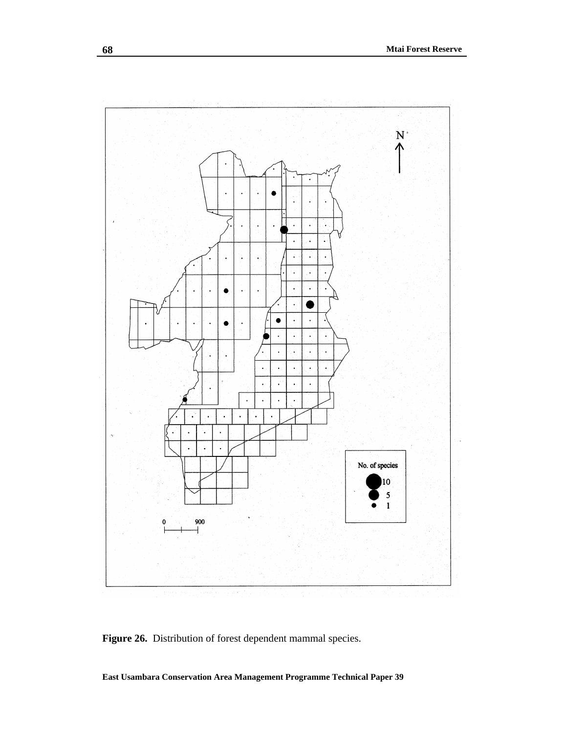

Figure 26. Distribution of forest dependent mammal species.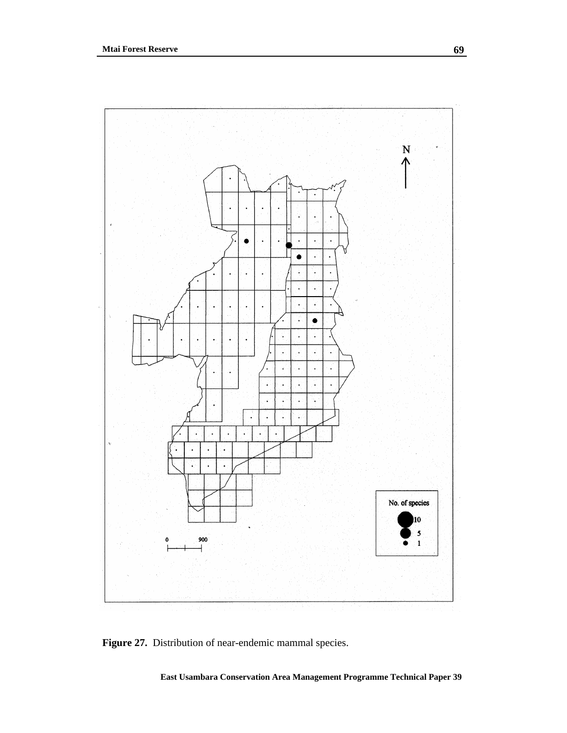

Figure 27. Distribution of near-endemic mammal species.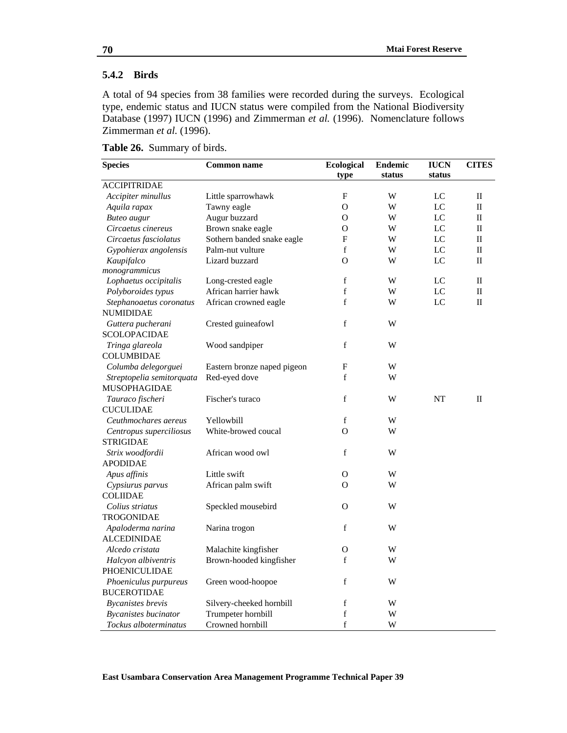## **5.4.2 Birds**

A total of 94 species from 38 families were recorded during the surveys. Ecological type, endemic status and IUCN status were compiled from the National Biodiversity Database (1997) IUCN (1996) and Zimmerman *et al.* (1996). Nomenclature follows Zimmerman *et al.* (1996).

| <b>ACCIPITRIDAE</b><br>$\mathbf{F}$<br>Accipiter minullus<br>Little sparrowhawk<br>W<br>LC<br>$\mathbf{I}$<br>Tawny eagle<br>$\overline{O}$<br>W<br>Aquila rapax<br>LC<br>$\mathbf{I}$<br><b>Buteo</b> augur<br>Augur buzzard<br>LC<br>$\mathbf{I}$<br>О<br>W<br>Circaetus cinereus<br>Brown snake eagle<br>LC<br>$\mathbf{I}$<br>O<br>W<br>LC<br>Sothern banded snake eagle<br>F<br>W<br>$\mathbf{I}$<br>Circaetus fasciolatus<br>Gypohierax angolensis<br>Palm-nut vulture<br>f<br>W<br>LC<br>$\mathbf H$<br>Lizard buzzard<br>Kaupifalco<br>O<br>W<br>LC<br>$\mathbf{I}$<br>monogrammicus<br>f<br>Lophaetus occipitalis<br>W<br>LC<br>П<br>Long-crested eagle<br>African harrier hawk<br>$\mathbf f$<br>LC<br>$\mathop{\mathrm{II}}\nolimits$<br>Polyboroides typus<br>W<br>f<br>LC<br>$\mathbf{I}$<br>Stephanoaetus coronatus<br>African crowned eagle<br>W<br><b>NUMIDIDAE</b><br>f<br>Guttera pucherani<br>Crested guineafowl<br>W<br><b>SCOLOPACIDAE</b><br>$\mathbf f$<br>Wood sandpiper<br>W<br>Tringa glareola<br><b>COLUMBIDAE</b><br>$\mathbf{F}$<br>Columba delegorguei<br>W<br>Eastern bronze naped pigeon<br>f<br>Red-eyed dove<br>W<br>Streptopelia semitorquata<br>MUSOPHAGIDAE<br>f<br>Fischer's turaco<br>NT<br>$\mathbf{I}$<br>Tauraco fischeri<br>W<br><b>CUCULIDAE</b><br>f<br>W<br>Ceuthmochares aereus<br>Yellowbill<br>White-browed coucal<br>O<br>W<br>Centropus superciliosus<br><b>STRIGIDAE</b><br>f<br>African wood owl<br>W<br>Strix woodfordii<br><b>APODIDAE</b><br>Little swift<br>Apus affinis<br>O<br>W<br>African palm swift<br>O<br>W<br>Cypsiurus parvus<br><b>COLIIDAE</b><br>Speckled mousebird<br>Colius striatus<br>O<br>W<br><b>TROGONIDAE</b><br>f<br>Narina trogon<br>W<br>Apaloderma narina<br><b>ALCEDINIDAE</b><br>Alcedo cristata<br>Malachite kingfisher<br>О<br>W<br>f<br>W<br>Halcyon albiventris<br>Brown-hooded kingfisher<br>PHOENICULIDAE<br>$\mathbf f$<br>W<br>Phoeniculus purpureus<br>Green wood-hoopoe<br><b>BUCEROTIDAE</b><br><b>Bycanistes</b> brevis<br>f<br>W<br>Silvery-cheeked hornbill | <b>Species</b>              | <b>Common name</b> | <b>Ecological</b><br>type | <b>Endemic</b><br>status | <b>IUCN</b><br>status | <b>CITES</b> |
|--------------------------------------------------------------------------------------------------------------------------------------------------------------------------------------------------------------------------------------------------------------------------------------------------------------------------------------------------------------------------------------------------------------------------------------------------------------------------------------------------------------------------------------------------------------------------------------------------------------------------------------------------------------------------------------------------------------------------------------------------------------------------------------------------------------------------------------------------------------------------------------------------------------------------------------------------------------------------------------------------------------------------------------------------------------------------------------------------------------------------------------------------------------------------------------------------------------------------------------------------------------------------------------------------------------------------------------------------------------------------------------------------------------------------------------------------------------------------------------------------------------------------------------------------------------------------------------------------------------------------------------------------------------------------------------------------------------------------------------------------------------------------------------------------------------------------------------------------------------------------------------------------------------------------------------------------------------------------------------------------------------------------------------------------------------|-----------------------------|--------------------|---------------------------|--------------------------|-----------------------|--------------|
|                                                                                                                                                                                                                                                                                                                                                                                                                                                                                                                                                                                                                                                                                                                                                                                                                                                                                                                                                                                                                                                                                                                                                                                                                                                                                                                                                                                                                                                                                                                                                                                                                                                                                                                                                                                                                                                                                                                                                                                                                                                              |                             |                    |                           |                          |                       |              |
|                                                                                                                                                                                                                                                                                                                                                                                                                                                                                                                                                                                                                                                                                                                                                                                                                                                                                                                                                                                                                                                                                                                                                                                                                                                                                                                                                                                                                                                                                                                                                                                                                                                                                                                                                                                                                                                                                                                                                                                                                                                              |                             |                    |                           |                          |                       |              |
|                                                                                                                                                                                                                                                                                                                                                                                                                                                                                                                                                                                                                                                                                                                                                                                                                                                                                                                                                                                                                                                                                                                                                                                                                                                                                                                                                                                                                                                                                                                                                                                                                                                                                                                                                                                                                                                                                                                                                                                                                                                              |                             |                    |                           |                          |                       |              |
|                                                                                                                                                                                                                                                                                                                                                                                                                                                                                                                                                                                                                                                                                                                                                                                                                                                                                                                                                                                                                                                                                                                                                                                                                                                                                                                                                                                                                                                                                                                                                                                                                                                                                                                                                                                                                                                                                                                                                                                                                                                              |                             |                    |                           |                          |                       |              |
|                                                                                                                                                                                                                                                                                                                                                                                                                                                                                                                                                                                                                                                                                                                                                                                                                                                                                                                                                                                                                                                                                                                                                                                                                                                                                                                                                                                                                                                                                                                                                                                                                                                                                                                                                                                                                                                                                                                                                                                                                                                              |                             |                    |                           |                          |                       |              |
|                                                                                                                                                                                                                                                                                                                                                                                                                                                                                                                                                                                                                                                                                                                                                                                                                                                                                                                                                                                                                                                                                                                                                                                                                                                                                                                                                                                                                                                                                                                                                                                                                                                                                                                                                                                                                                                                                                                                                                                                                                                              |                             |                    |                           |                          |                       |              |
|                                                                                                                                                                                                                                                                                                                                                                                                                                                                                                                                                                                                                                                                                                                                                                                                                                                                                                                                                                                                                                                                                                                                                                                                                                                                                                                                                                                                                                                                                                                                                                                                                                                                                                                                                                                                                                                                                                                                                                                                                                                              |                             |                    |                           |                          |                       |              |
|                                                                                                                                                                                                                                                                                                                                                                                                                                                                                                                                                                                                                                                                                                                                                                                                                                                                                                                                                                                                                                                                                                                                                                                                                                                                                                                                                                                                                                                                                                                                                                                                                                                                                                                                                                                                                                                                                                                                                                                                                                                              |                             |                    |                           |                          |                       |              |
|                                                                                                                                                                                                                                                                                                                                                                                                                                                                                                                                                                                                                                                                                                                                                                                                                                                                                                                                                                                                                                                                                                                                                                                                                                                                                                                                                                                                                                                                                                                                                                                                                                                                                                                                                                                                                                                                                                                                                                                                                                                              |                             |                    |                           |                          |                       |              |
|                                                                                                                                                                                                                                                                                                                                                                                                                                                                                                                                                                                                                                                                                                                                                                                                                                                                                                                                                                                                                                                                                                                                                                                                                                                                                                                                                                                                                                                                                                                                                                                                                                                                                                                                                                                                                                                                                                                                                                                                                                                              |                             |                    |                           |                          |                       |              |
|                                                                                                                                                                                                                                                                                                                                                                                                                                                                                                                                                                                                                                                                                                                                                                                                                                                                                                                                                                                                                                                                                                                                                                                                                                                                                                                                                                                                                                                                                                                                                                                                                                                                                                                                                                                                                                                                                                                                                                                                                                                              |                             |                    |                           |                          |                       |              |
|                                                                                                                                                                                                                                                                                                                                                                                                                                                                                                                                                                                                                                                                                                                                                                                                                                                                                                                                                                                                                                                                                                                                                                                                                                                                                                                                                                                                                                                                                                                                                                                                                                                                                                                                                                                                                                                                                                                                                                                                                                                              |                             |                    |                           |                          |                       |              |
|                                                                                                                                                                                                                                                                                                                                                                                                                                                                                                                                                                                                                                                                                                                                                                                                                                                                                                                                                                                                                                                                                                                                                                                                                                                                                                                                                                                                                                                                                                                                                                                                                                                                                                                                                                                                                                                                                                                                                                                                                                                              |                             |                    |                           |                          |                       |              |
|                                                                                                                                                                                                                                                                                                                                                                                                                                                                                                                                                                                                                                                                                                                                                                                                                                                                                                                                                                                                                                                                                                                                                                                                                                                                                                                                                                                                                                                                                                                                                                                                                                                                                                                                                                                                                                                                                                                                                                                                                                                              |                             |                    |                           |                          |                       |              |
|                                                                                                                                                                                                                                                                                                                                                                                                                                                                                                                                                                                                                                                                                                                                                                                                                                                                                                                                                                                                                                                                                                                                                                                                                                                                                                                                                                                                                                                                                                                                                                                                                                                                                                                                                                                                                                                                                                                                                                                                                                                              |                             |                    |                           |                          |                       |              |
|                                                                                                                                                                                                                                                                                                                                                                                                                                                                                                                                                                                                                                                                                                                                                                                                                                                                                                                                                                                                                                                                                                                                                                                                                                                                                                                                                                                                                                                                                                                                                                                                                                                                                                                                                                                                                                                                                                                                                                                                                                                              |                             |                    |                           |                          |                       |              |
|                                                                                                                                                                                                                                                                                                                                                                                                                                                                                                                                                                                                                                                                                                                                                                                                                                                                                                                                                                                                                                                                                                                                                                                                                                                                                                                                                                                                                                                                                                                                                                                                                                                                                                                                                                                                                                                                                                                                                                                                                                                              |                             |                    |                           |                          |                       |              |
|                                                                                                                                                                                                                                                                                                                                                                                                                                                                                                                                                                                                                                                                                                                                                                                                                                                                                                                                                                                                                                                                                                                                                                                                                                                                                                                                                                                                                                                                                                                                                                                                                                                                                                                                                                                                                                                                                                                                                                                                                                                              |                             |                    |                           |                          |                       |              |
|                                                                                                                                                                                                                                                                                                                                                                                                                                                                                                                                                                                                                                                                                                                                                                                                                                                                                                                                                                                                                                                                                                                                                                                                                                                                                                                                                                                                                                                                                                                                                                                                                                                                                                                                                                                                                                                                                                                                                                                                                                                              |                             |                    |                           |                          |                       |              |
|                                                                                                                                                                                                                                                                                                                                                                                                                                                                                                                                                                                                                                                                                                                                                                                                                                                                                                                                                                                                                                                                                                                                                                                                                                                                                                                                                                                                                                                                                                                                                                                                                                                                                                                                                                                                                                                                                                                                                                                                                                                              |                             |                    |                           |                          |                       |              |
|                                                                                                                                                                                                                                                                                                                                                                                                                                                                                                                                                                                                                                                                                                                                                                                                                                                                                                                                                                                                                                                                                                                                                                                                                                                                                                                                                                                                                                                                                                                                                                                                                                                                                                                                                                                                                                                                                                                                                                                                                                                              |                             |                    |                           |                          |                       |              |
|                                                                                                                                                                                                                                                                                                                                                                                                                                                                                                                                                                                                                                                                                                                                                                                                                                                                                                                                                                                                                                                                                                                                                                                                                                                                                                                                                                                                                                                                                                                                                                                                                                                                                                                                                                                                                                                                                                                                                                                                                                                              |                             |                    |                           |                          |                       |              |
|                                                                                                                                                                                                                                                                                                                                                                                                                                                                                                                                                                                                                                                                                                                                                                                                                                                                                                                                                                                                                                                                                                                                                                                                                                                                                                                                                                                                                                                                                                                                                                                                                                                                                                                                                                                                                                                                                                                                                                                                                                                              |                             |                    |                           |                          |                       |              |
|                                                                                                                                                                                                                                                                                                                                                                                                                                                                                                                                                                                                                                                                                                                                                                                                                                                                                                                                                                                                                                                                                                                                                                                                                                                                                                                                                                                                                                                                                                                                                                                                                                                                                                                                                                                                                                                                                                                                                                                                                                                              |                             |                    |                           |                          |                       |              |
|                                                                                                                                                                                                                                                                                                                                                                                                                                                                                                                                                                                                                                                                                                                                                                                                                                                                                                                                                                                                                                                                                                                                                                                                                                                                                                                                                                                                                                                                                                                                                                                                                                                                                                                                                                                                                                                                                                                                                                                                                                                              |                             |                    |                           |                          |                       |              |
|                                                                                                                                                                                                                                                                                                                                                                                                                                                                                                                                                                                                                                                                                                                                                                                                                                                                                                                                                                                                                                                                                                                                                                                                                                                                                                                                                                                                                                                                                                                                                                                                                                                                                                                                                                                                                                                                                                                                                                                                                                                              |                             |                    |                           |                          |                       |              |
|                                                                                                                                                                                                                                                                                                                                                                                                                                                                                                                                                                                                                                                                                                                                                                                                                                                                                                                                                                                                                                                                                                                                                                                                                                                                                                                                                                                                                                                                                                                                                                                                                                                                                                                                                                                                                                                                                                                                                                                                                                                              |                             |                    |                           |                          |                       |              |
|                                                                                                                                                                                                                                                                                                                                                                                                                                                                                                                                                                                                                                                                                                                                                                                                                                                                                                                                                                                                                                                                                                                                                                                                                                                                                                                                                                                                                                                                                                                                                                                                                                                                                                                                                                                                                                                                                                                                                                                                                                                              |                             |                    |                           |                          |                       |              |
|                                                                                                                                                                                                                                                                                                                                                                                                                                                                                                                                                                                                                                                                                                                                                                                                                                                                                                                                                                                                                                                                                                                                                                                                                                                                                                                                                                                                                                                                                                                                                                                                                                                                                                                                                                                                                                                                                                                                                                                                                                                              |                             |                    |                           |                          |                       |              |
|                                                                                                                                                                                                                                                                                                                                                                                                                                                                                                                                                                                                                                                                                                                                                                                                                                                                                                                                                                                                                                                                                                                                                                                                                                                                                                                                                                                                                                                                                                                                                                                                                                                                                                                                                                                                                                                                                                                                                                                                                                                              | <b>Bycanistes bucinator</b> | Trumpeter hornbill | $\mathbf f$               | W                        |                       |              |
| f<br>W<br>Tockus alboterminatus<br>Crowned hornbill                                                                                                                                                                                                                                                                                                                                                                                                                                                                                                                                                                                                                                                                                                                                                                                                                                                                                                                                                                                                                                                                                                                                                                                                                                                                                                                                                                                                                                                                                                                                                                                                                                                                                                                                                                                                                                                                                                                                                                                                          |                             |                    |                           |                          |                       |              |

**Table 26.** Summary of birds.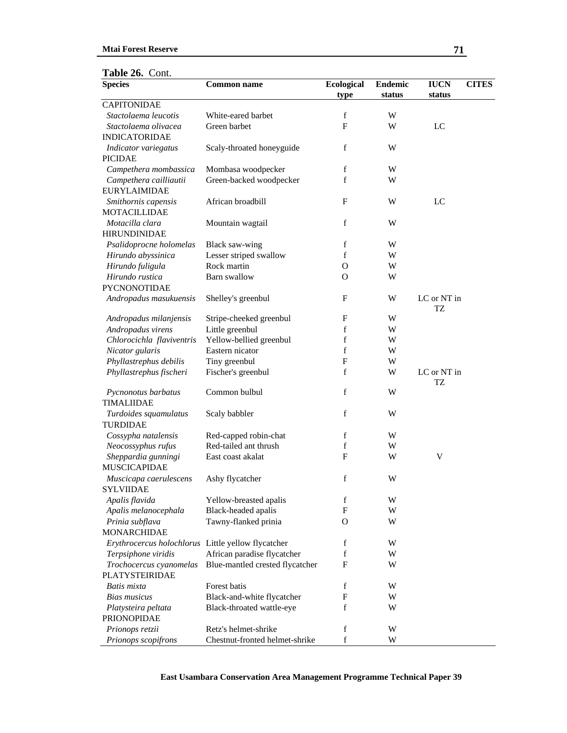| <b>Species</b>                                     | <b>Common name</b>              | <b>Ecological</b> | <b>Endemic</b> | <b>IUCN</b>              | <b>CITES</b> |
|----------------------------------------------------|---------------------------------|-------------------|----------------|--------------------------|--------------|
| <b>CAPITONIDAE</b>                                 |                                 | type              | status         | status                   |              |
| Stactolaema leucotis                               | White-eared barbet              | $\mathbf f$       | W              |                          |              |
| Stactolaema olivacea                               | Green barbet                    | F                 | W              | LC                       |              |
| <b>INDICATORIDAE</b>                               |                                 |                   |                |                          |              |
| Indicator variegatus                               | Scaly-throated honeyguide       | f                 | W              |                          |              |
| <b>PICIDAE</b>                                     |                                 |                   |                |                          |              |
| Campethera mombassica                              | Mombasa woodpecker              | f                 | W              |                          |              |
| Campethera cailliautii                             | Green-backed woodpecker         | f                 | W              |                          |              |
| <b>EURYLAIMIDAE</b>                                |                                 |                   |                |                          |              |
| Smithornis capensis                                | African broadbill               | F                 | W              | LC                       |              |
| <b>MOTACILLIDAE</b>                                |                                 |                   |                |                          |              |
| Motacilla clara                                    | Mountain wagtail                | f                 | W              |                          |              |
| <b>HIRUNDINIDAE</b>                                |                                 |                   |                |                          |              |
| Psalidoprocne holomelas                            | Black saw-wing                  | f                 | W              |                          |              |
| Hirundo abyssinica                                 | Lesser striped swallow          | $\mathbf f$       | W              |                          |              |
| Hirundo fuligula                                   | Rock martin                     | O                 | W              |                          |              |
| Hirundo rustica                                    | Barn swallow                    | O                 | W              |                          |              |
| PYCNONOTIDAE                                       |                                 |                   |                |                          |              |
| Andropadus masukuensis                             | Shelley's greenbul              | $\mathbf{F}$      | W              | LC or NT in              |              |
|                                                    |                                 |                   |                | TZ                       |              |
| Andropadus milanjensis                             | Stripe-cheeked greenbul         | F                 | W              |                          |              |
| Andropadus virens                                  | Little greenbul                 | f                 | W              |                          |              |
| Chlorocichla flaviventris                          | Yellow-bellied greenbul         | f                 | W              |                          |              |
| Nicator gularis                                    | Eastern nicator                 | f                 | W              |                          |              |
| Phyllastrephus debilis                             | Tiny greenbul                   | $\mathbf{F}$      | W              |                          |              |
| Phyllastrephus fischeri                            | Fischer's greenbul              | f                 | W              | LC or NT in<br><b>TZ</b> |              |
| Pycnonotus barbatus                                | Common bulbul                   | $\mathbf f$       | W              |                          |              |
| <b>TIMALIIDAE</b>                                  |                                 |                   |                |                          |              |
| Turdoides squamulatus                              | Scaly babbler                   | f                 | W              |                          |              |
| TURDIDAE                                           |                                 |                   |                |                          |              |
| Cossypha natalensis                                | Red-capped robin-chat           | f                 | W              |                          |              |
| Neocossyphus rufus                                 | Red-tailed ant thrush           | f                 | W              |                          |              |
| Sheppardia gunningi                                | East coast akalat               | $\mathbf F$       | W              | V                        |              |
| <b>MUSCICAPIDAE</b>                                |                                 |                   |                |                          |              |
| Muscicapa caerulescens                             | Ashy flycatcher                 | f                 | W              |                          |              |
| <b>SYLVIIDAE</b>                                   |                                 |                   |                |                          |              |
| Apalis flavida                                     | Yellow-breasted apalis          | f                 | W              |                          |              |
| Apalis melanocephala                               | Black-headed apalis             | F                 | W              |                          |              |
| Prinia subflava                                    | Tawny-flanked prinia            | O                 | W              |                          |              |
| <b>MONARCHIDAE</b>                                 |                                 |                   |                |                          |              |
| Erythrocercus holochlorus Little yellow flycatcher |                                 | $\mathbf f$       | W              |                          |              |
| Terpsiphone viridis                                | African paradise flycatcher     | $\mathbf f$       | W              |                          |              |
| Trochocercus cyanomelas                            | Blue-mantled crested flycatcher | $\mathbf{F}$      | W              |                          |              |
| <b>PLATYSTEIRIDAE</b>                              |                                 |                   |                |                          |              |
| Batis mixta                                        | Forest batis                    | f                 | W              |                          |              |
| <b>Bias musicus</b>                                | Black-and-white flycatcher      | F                 | W              |                          |              |
| Platysteira peltata                                | Black-throated wattle-eye       | f                 | W              |                          |              |
| <b>PRIONOPIDAE</b>                                 |                                 |                   |                |                          |              |
| Prionops retzii                                    | Retz's helmet-shrike            | f                 | W              |                          |              |
| Prionops scopifrons                                | Chestnut-fronted helmet-shrike  | f                 | W              |                          |              |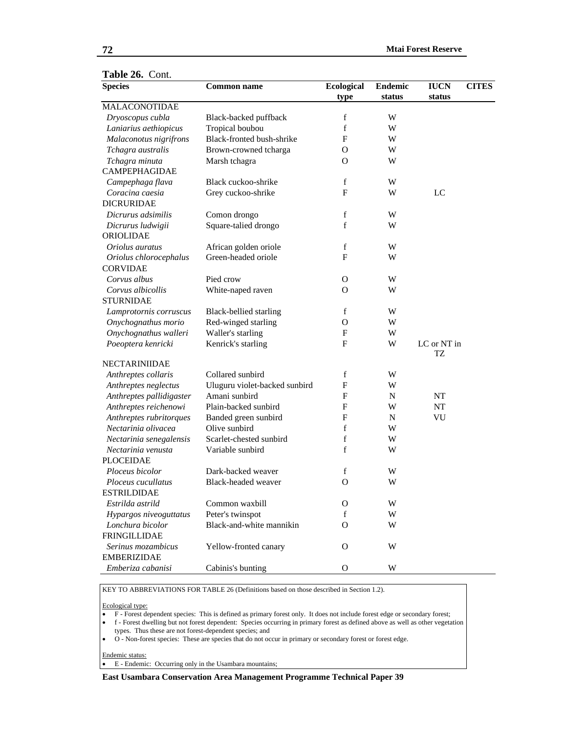| Table 26. Cont.          |                               |                   |                |             |              |
|--------------------------|-------------------------------|-------------------|----------------|-------------|--------------|
| <b>Species</b>           | <b>Common name</b>            | <b>Ecological</b> | <b>Endemic</b> | <b>IUCN</b> | <b>CITES</b> |
|                          |                               | type              | status         | status      |              |
| <b>MALACONOTIDAE</b>     |                               |                   |                |             |              |
| Dryoscopus cubla         | Black-backed puffback         | $\mathbf f$       | W              |             |              |
| Laniarius aethiopicus    | Tropical boubou               | $\mathbf f$       | W              |             |              |
| Malaconotus nigrifrons   | Black-fronted bush-shrike     | F                 | W              |             |              |
| Tchagra australis        | Brown-crowned tcharga         | $\mathbf{O}$      | W              |             |              |
| Tchagra minuta           | Marsh tchagra                 | O                 | W              |             |              |
| CAMPEPHAGIDAE            |                               |                   |                |             |              |
| Campephaga flava         | Black cuckoo-shrike           | f                 | W              |             |              |
| Coracina caesia          | Grey cuckoo-shrike            | F                 | W              | LC          |              |
| <b>DICRURIDAE</b>        |                               |                   |                |             |              |
| Dicrurus adsimilis       | Comon drongo                  | $\mathbf f$       | W              |             |              |
| Dicrurus ludwigii        | Square-talied drongo          | $\mathbf f$       | W              |             |              |
| ORIOLIDAE                |                               |                   |                |             |              |
| Oriolus auratus          | African golden oriole         | $\mathbf f$       | W              |             |              |
| Oriolus chlorocephalus   | Green-headed oriole           | $\mathbf F$       | W              |             |              |
| <b>CORVIDAE</b>          |                               |                   |                |             |              |
| Corvus albus             | Pied crow                     | $\mathbf{O}$      | W              |             |              |
| Corvus albicollis        | White-naped raven             | O                 | W              |             |              |
| <b>STURNIDAE</b>         |                               |                   |                |             |              |
| Lamprotornis corruscus   | Black-bellied starling        | f                 | W              |             |              |
| Onychognathus morio      | Red-winged starling           | $\mathcal{O}$     | W              |             |              |
| Onychognathus walleri    | Waller's starling             | F                 | W              |             |              |
| Poeoptera kenricki       | Kenrick's starling            | F                 | W              | LC or NT in |              |
|                          |                               |                   |                | TZ          |              |
| <b>NECTARINIIDAE</b>     |                               |                   |                |             |              |
| Anthreptes collaris      | Collared sunbird              | f                 | W              |             |              |
| Anthreptes neglectus     | Uluguru violet-backed sunbird | F                 | W              |             |              |
| Anthreptes pallidigaster | Amani sunbird                 | $\mathbf{F}$      | N              | NT          |              |
| Anthreptes reichenowi    | Plain-backed sunbird          | $\mathbf{F}$      | W              | NT          |              |
| Anthreptes rubritorques  | Banded green sunbird          | F                 | N              | VU          |              |
| Nectarinia olivacea      | Olive sunbird                 | f                 | W              |             |              |
| Nectarinia senegalensis  | Scarlet-chested sunbird       | f                 | W              |             |              |
| Nectarinia venusta       | Variable sunbird              | f                 | W              |             |              |
| <b>PLOCEIDAE</b>         |                               |                   |                |             |              |
| Ploceus bicolor          | Dark-backed weaver            | f                 | W              |             |              |
| Ploceus cucullatus       | Black-headed weaver           | O                 | W              |             |              |
| <b>ESTRILDIDAE</b>       |                               |                   |                |             |              |
| Estrilda astrild         | Common waxbill                | О                 | W              |             |              |
| Hypargos niveoguttatus   | Peter's twinspot              | f                 | W              |             |              |
| Lonchura bicolor         | Black-and-white mannikin      | $\Omega$          | W              |             |              |
| <b>FRINGILLIDAE</b>      |                               |                   |                |             |              |
| Serinus mozambicus       | Yellow-fronted canary         | $\mathbf{O}$      | W              |             |              |
| <b>EMBERIZIDAE</b>       |                               |                   |                |             |              |
| Emberiza cabanisi        | Cabinis's bunting             | $\mathbf{O}$      | W              |             |              |
|                          |                               |                   |                |             |              |

KEY TO ABBREVIATIONS FOR TABLE 26 (Definitions based on those described in Section 1.2).

#### Ecological type:

- F Forest dependent species: This is defined as primary forest only. It does not include forest edge or secondary forest;
- f Forest dwelling but not forest dependent: Species occurring in primary forest as defined above as well as other vegetation types. Thus these are not forest-dependent species; and
- O Non-forest species: These are species that do not occur in primary or secondary forest or forest edge.

#### Endemic status:

• E - Endemic: Occurring only in the Usambara mountains;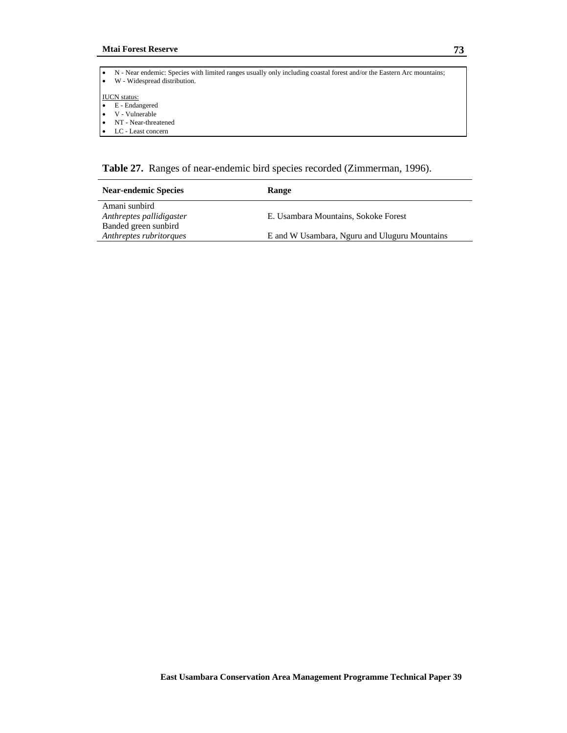| N - Near endemic: Species with limited ranges usually only including coastal forest and/or the Eastern Arc mountains;<br>W - Widespread distribution. |
|-------------------------------------------------------------------------------------------------------------------------------------------------------|
| <b>IUCN</b> status:<br>E - Endangered                                                                                                                 |
| V - Vulnerable                                                                                                                                        |
| NT - Near-threatened                                                                                                                                  |
| LC - Least concern                                                                                                                                    |

**Table 27.** Ranges of near-endemic bird species recorded (Zimmerman, 1996).

| <b>Near-endemic Species</b>                     | Range                                         |
|-------------------------------------------------|-----------------------------------------------|
| Amani sunbird<br>Anthreptes pallidigaster       | E. Usambara Mountains, Sokoke Forest          |
| Banded green sunbird<br>Anthreptes rubritorques | E and W Usambara, Nguru and Uluguru Mountains |
|                                                 |                                               |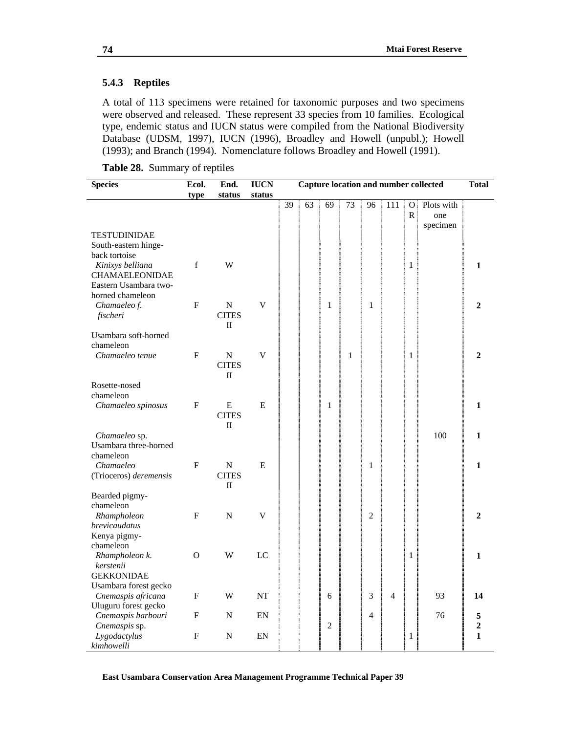### **5.4.3 Reptiles**

A total of 113 specimens were retained for taxonomic purposes and two specimens were observed and released. These represent 33 species from 10 families. Ecological type, endemic status and IUCN status were compiled from the National Biodiversity Database (UDSM, 1997), IUCN (1996), Broadley and Howell (unpubl.); Howell (1993); and Branch (1994). Nomenclature follows Broadley and Howell (1991).

**Table 28.** Summary of reptiles

| <b>Species</b>                            | Ecol.                     | End.              | <b>IUCN</b>             | <b>Capture location and number collected</b> |    |                |              | <b>Total</b>   |                |                   |            |                |
|-------------------------------------------|---------------------------|-------------------|-------------------------|----------------------------------------------|----|----------------|--------------|----------------|----------------|-------------------|------------|----------------|
|                                           | type                      | status            | status                  |                                              |    |                |              |                |                |                   |            |                |
|                                           |                           |                   |                         | 39                                           | 63 | 69             | 73           | 96             | 111            | $\Omega$          | Plots with |                |
|                                           |                           |                   |                         |                                              |    |                |              |                |                | $\mathbb{R}$      | one        |                |
|                                           |                           |                   |                         |                                              |    |                |              |                |                |                   | specimen   |                |
| <b>TESTUDINIDAE</b>                       |                           |                   |                         |                                              |    |                |              |                |                |                   |            |                |
| South-eastern hinge-                      |                           |                   |                         |                                              |    |                |              |                |                |                   |            |                |
| back tortoise                             | f                         | W                 |                         |                                              |    |                |              |                |                |                   |            | 1              |
| Kinixys belliana<br><b>CHAMAELEONIDAE</b> |                           |                   |                         |                                              |    |                |              |                |                | 1                 |            |                |
| Eastern Usambara two-                     |                           |                   |                         |                                              |    |                |              |                |                | <b>CONTRACTOR</b> |            |                |
| horned chameleon                          |                           |                   |                         |                                              |    |                |              |                |                |                   |            |                |
| Chamaeleo f.                              | $\mathbf{F}$              | N                 | $\overline{\mathsf{V}}$ |                                              |    | $\mathbf{1}$   |              | $\mathbf{1}$   |                |                   |            | $\mathbf{2}$   |
| fischeri                                  |                           | <b>CITES</b>      |                         |                                              |    |                |              |                |                |                   |            |                |
|                                           |                           | П                 |                         |                                              |    |                |              |                |                |                   |            |                |
| Usambara soft-horned                      |                           |                   |                         |                                              |    |                |              |                |                |                   |            |                |
| chameleon                                 |                           |                   |                         |                                              |    |                |              |                |                |                   |            |                |
| Chamaeleo tenue                           | F                         | ${\bf N}$         | V                       |                                              |    |                | $\mathbf{1}$ |                |                | $\mathbf{1}$      |            | $\overline{2}$ |
|                                           |                           | <b>CITES</b>      |                         |                                              |    |                |              |                |                |                   |            |                |
|                                           |                           | П                 |                         |                                              |    |                |              |                |                |                   |            |                |
| Rosette-nosed                             |                           |                   |                         |                                              |    |                |              |                |                |                   |            |                |
| chameleon                                 |                           |                   |                         |                                              |    |                |              |                |                |                   |            |                |
| Chamaeleo spinosus                        | F                         | E                 | E                       |                                              |    | 1              |              |                |                |                   |            | $\mathbf{1}$   |
|                                           |                           | <b>CITES</b>      |                         |                                              |    |                |              |                |                |                   |            |                |
|                                           |                           | $\rm _{II}$       |                         |                                              |    |                |              |                |                |                   |            |                |
| Chamaeleo sp.                             |                           |                   |                         |                                              |    |                |              |                |                |                   | 100        | $\mathbf{1}$   |
| Usambara three-horned                     |                           |                   |                         |                                              |    |                |              |                |                |                   |            |                |
| chameleon                                 |                           |                   |                         |                                              |    |                |              |                |                |                   |            |                |
| Chamaeleo                                 | ${\rm F}$                 | N<br><b>CITES</b> | E                       |                                              |    |                |              | $\mathbf{1}$   |                |                   |            | $\mathbf{1}$   |
| (Trioceros) deremensis                    |                           | П                 |                         |                                              |    |                |              |                |                |                   |            |                |
| Bearded pigmy-                            |                           |                   |                         |                                              |    |                |              |                |                |                   |            |                |
| chameleon                                 |                           |                   |                         |                                              |    |                |              |                |                |                   |            |                |
| Rhampholeon                               | F                         | N                 | V                       |                                              |    |                |              | $\overline{2}$ |                |                   |            | $\mathbf{2}$   |
| brevicaudatus                             |                           |                   |                         |                                              |    |                |              |                |                |                   |            |                |
| Kenya pigmy-                              |                           |                   |                         |                                              |    |                |              |                |                |                   |            |                |
| chameleon                                 |                           |                   |                         |                                              |    |                |              |                |                |                   |            |                |
| Rhampholeon k.                            | O                         | W                 | LC                      |                                              |    |                |              |                |                | 1                 |            | $\mathbf{1}$   |
| kerstenii                                 |                           |                   |                         |                                              |    |                |              |                |                |                   |            |                |
| <b>GEKKONIDAE</b>                         |                           |                   |                         |                                              |    |                |              |                |                |                   |            |                |
| Usambara forest gecko                     |                           |                   |                         |                                              |    |                |              |                |                |                   |            |                |
| Cnemaspis africana                        | $\boldsymbol{\mathrm{F}}$ | W                 | NT                      |                                              |    | 6              |              | 3              | $\overline{4}$ |                   | 93         | 14             |
| Uluguru forest gecko                      |                           |                   |                         |                                              |    |                |              |                |                |                   |            |                |
| Cnemaspis barbouri                        | F                         | N                 | EN                      |                                              |    |                |              | $\overline{4}$ |                |                   | 76         | 5              |
| Cnemaspis sp.                             |                           |                   |                         |                                              |    | $\overline{2}$ |              |                |                |                   |            | $\overline{2}$ |
| Lygodactylus                              | F                         | N                 | EN                      |                                              |    |                |              |                |                | 1                 |            | $\mathbf{1}$   |
| kimhowelli                                |                           |                   |                         |                                              |    |                |              |                |                |                   |            |                |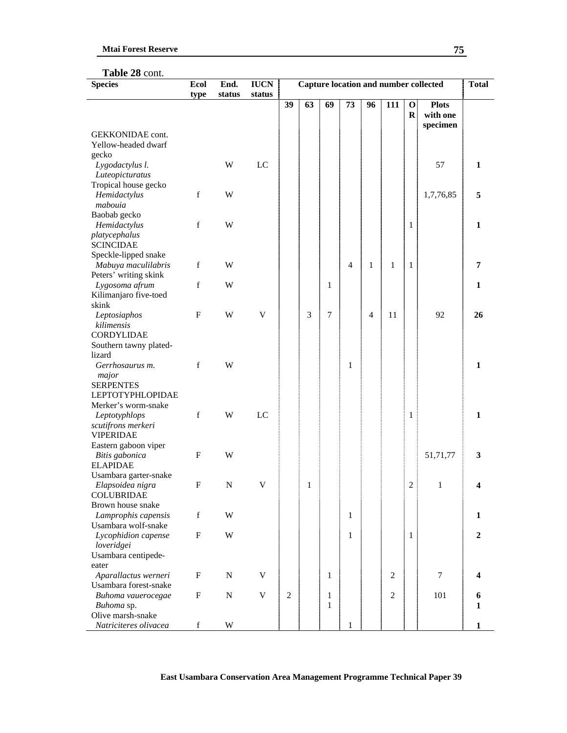# **Table 28** cont.

| status<br>status<br>type<br>39<br>111<br>63<br>69<br>73<br>96<br>$\mathbf 0$<br><b>Plots</b><br>with one<br>$\bf{R}$<br>specimen<br><b>GEKKONIDAE</b> cont.<br>Yellow-headed dwarf<br>gecko<br>W<br>LC<br>57<br>Lygodactylus l.<br>$\mathbf{1}$<br>Luteopicturatus<br>Tropical house gecko<br>$\mathbf f$<br>W<br>5<br>Hemidactylus<br>1,7,76,85<br>mabouia<br>Baobab gecko<br>$\mathbf f$<br>W<br>Hemidactylus<br>1<br>$\mathbf{1}$<br>platycephalus<br><b>SCINCIDAE</b><br>Speckle-lipped snake<br>Mabuya maculilabris<br>$\mathbf f$<br>W<br>$\overline{4}$<br>7<br>1<br>1<br>1<br>Peters' writing skink<br>$\mathbf f$<br>W<br>Lygosoma afrum<br>1<br>1<br>Kilimanjaro five-toed<br>skink<br>3<br>7<br>$\mathbf{F}$<br>W<br>V<br>$\overline{4}$<br>11<br>92<br>26<br>Leptosiaphos<br>kilimensis<br><b>CORDYLIDAE</b><br>Southern tawny plated-<br>lizard<br>$\mathbf f$<br>W<br>Gerrhosaurus m.<br>1<br>$\mathbf{1}$<br>major |
|-----------------------------------------------------------------------------------------------------------------------------------------------------------------------------------------------------------------------------------------------------------------------------------------------------------------------------------------------------------------------------------------------------------------------------------------------------------------------------------------------------------------------------------------------------------------------------------------------------------------------------------------------------------------------------------------------------------------------------------------------------------------------------------------------------------------------------------------------------------------------------------------------------------------------------------|
|                                                                                                                                                                                                                                                                                                                                                                                                                                                                                                                                                                                                                                                                                                                                                                                                                                                                                                                                   |
|                                                                                                                                                                                                                                                                                                                                                                                                                                                                                                                                                                                                                                                                                                                                                                                                                                                                                                                                   |
|                                                                                                                                                                                                                                                                                                                                                                                                                                                                                                                                                                                                                                                                                                                                                                                                                                                                                                                                   |
|                                                                                                                                                                                                                                                                                                                                                                                                                                                                                                                                                                                                                                                                                                                                                                                                                                                                                                                                   |
|                                                                                                                                                                                                                                                                                                                                                                                                                                                                                                                                                                                                                                                                                                                                                                                                                                                                                                                                   |
|                                                                                                                                                                                                                                                                                                                                                                                                                                                                                                                                                                                                                                                                                                                                                                                                                                                                                                                                   |
|                                                                                                                                                                                                                                                                                                                                                                                                                                                                                                                                                                                                                                                                                                                                                                                                                                                                                                                                   |
|                                                                                                                                                                                                                                                                                                                                                                                                                                                                                                                                                                                                                                                                                                                                                                                                                                                                                                                                   |
|                                                                                                                                                                                                                                                                                                                                                                                                                                                                                                                                                                                                                                                                                                                                                                                                                                                                                                                                   |
|                                                                                                                                                                                                                                                                                                                                                                                                                                                                                                                                                                                                                                                                                                                                                                                                                                                                                                                                   |
|                                                                                                                                                                                                                                                                                                                                                                                                                                                                                                                                                                                                                                                                                                                                                                                                                                                                                                                                   |
|                                                                                                                                                                                                                                                                                                                                                                                                                                                                                                                                                                                                                                                                                                                                                                                                                                                                                                                                   |
|                                                                                                                                                                                                                                                                                                                                                                                                                                                                                                                                                                                                                                                                                                                                                                                                                                                                                                                                   |
|                                                                                                                                                                                                                                                                                                                                                                                                                                                                                                                                                                                                                                                                                                                                                                                                                                                                                                                                   |
|                                                                                                                                                                                                                                                                                                                                                                                                                                                                                                                                                                                                                                                                                                                                                                                                                                                                                                                                   |
|                                                                                                                                                                                                                                                                                                                                                                                                                                                                                                                                                                                                                                                                                                                                                                                                                                                                                                                                   |
|                                                                                                                                                                                                                                                                                                                                                                                                                                                                                                                                                                                                                                                                                                                                                                                                                                                                                                                                   |
|                                                                                                                                                                                                                                                                                                                                                                                                                                                                                                                                                                                                                                                                                                                                                                                                                                                                                                                                   |
|                                                                                                                                                                                                                                                                                                                                                                                                                                                                                                                                                                                                                                                                                                                                                                                                                                                                                                                                   |
|                                                                                                                                                                                                                                                                                                                                                                                                                                                                                                                                                                                                                                                                                                                                                                                                                                                                                                                                   |
|                                                                                                                                                                                                                                                                                                                                                                                                                                                                                                                                                                                                                                                                                                                                                                                                                                                                                                                                   |
|                                                                                                                                                                                                                                                                                                                                                                                                                                                                                                                                                                                                                                                                                                                                                                                                                                                                                                                                   |
|                                                                                                                                                                                                                                                                                                                                                                                                                                                                                                                                                                                                                                                                                                                                                                                                                                                                                                                                   |
|                                                                                                                                                                                                                                                                                                                                                                                                                                                                                                                                                                                                                                                                                                                                                                                                                                                                                                                                   |
|                                                                                                                                                                                                                                                                                                                                                                                                                                                                                                                                                                                                                                                                                                                                                                                                                                                                                                                                   |
| <b>SERPENTES</b>                                                                                                                                                                                                                                                                                                                                                                                                                                                                                                                                                                                                                                                                                                                                                                                                                                                                                                                  |
| <b>LEPTOTYPHLOPIDAE</b>                                                                                                                                                                                                                                                                                                                                                                                                                                                                                                                                                                                                                                                                                                                                                                                                                                                                                                           |
| Merker's worm-snake                                                                                                                                                                                                                                                                                                                                                                                                                                                                                                                                                                                                                                                                                                                                                                                                                                                                                                               |
| $\mathbf f$<br>W<br>LC<br>$\mathbf{1}$<br>Leptotyphlops<br>1                                                                                                                                                                                                                                                                                                                                                                                                                                                                                                                                                                                                                                                                                                                                                                                                                                                                      |
| scutifrons merkeri                                                                                                                                                                                                                                                                                                                                                                                                                                                                                                                                                                                                                                                                                                                                                                                                                                                                                                                |
| <b>VIPERIDAE</b>                                                                                                                                                                                                                                                                                                                                                                                                                                                                                                                                                                                                                                                                                                                                                                                                                                                                                                                  |
| Eastern gaboon viper                                                                                                                                                                                                                                                                                                                                                                                                                                                                                                                                                                                                                                                                                                                                                                                                                                                                                                              |
| $\mathbf F$<br>W<br>3<br>Bitis gabonica<br>51,71,77                                                                                                                                                                                                                                                                                                                                                                                                                                                                                                                                                                                                                                                                                                                                                                                                                                                                               |
| <b>ELAPIDAE</b>                                                                                                                                                                                                                                                                                                                                                                                                                                                                                                                                                                                                                                                                                                                                                                                                                                                                                                                   |
| Usambara garter-snake                                                                                                                                                                                                                                                                                                                                                                                                                                                                                                                                                                                                                                                                                                                                                                                                                                                                                                             |
| $\boldsymbol{\mathrm{F}}$<br>V<br>Elapsoidea nigra<br>N<br>1<br>2<br>1<br>4                                                                                                                                                                                                                                                                                                                                                                                                                                                                                                                                                                                                                                                                                                                                                                                                                                                       |
| <b>COLUBRIDAE</b>                                                                                                                                                                                                                                                                                                                                                                                                                                                                                                                                                                                                                                                                                                                                                                                                                                                                                                                 |
| Brown house snake                                                                                                                                                                                                                                                                                                                                                                                                                                                                                                                                                                                                                                                                                                                                                                                                                                                                                                                 |
| Lamprophis capensis<br>$\mathbf f$<br>W<br>1<br>1                                                                                                                                                                                                                                                                                                                                                                                                                                                                                                                                                                                                                                                                                                                                                                                                                                                                                 |
| Usambara wolf-snake                                                                                                                                                                                                                                                                                                                                                                                                                                                                                                                                                                                                                                                                                                                                                                                                                                                                                                               |
| $\boldsymbol{\mathrm{F}}$<br>W<br>1<br>$\overline{2}$<br>Lycophidion capense<br>1                                                                                                                                                                                                                                                                                                                                                                                                                                                                                                                                                                                                                                                                                                                                                                                                                                                 |
| loveridgei                                                                                                                                                                                                                                                                                                                                                                                                                                                                                                                                                                                                                                                                                                                                                                                                                                                                                                                        |
| Usambara centipede-                                                                                                                                                                                                                                                                                                                                                                                                                                                                                                                                                                                                                                                                                                                                                                                                                                                                                                               |
| eater                                                                                                                                                                                                                                                                                                                                                                                                                                                                                                                                                                                                                                                                                                                                                                                                                                                                                                                             |
| V<br>$\overline{7}$<br>Aparallactus werneri<br>$\mathbf F$<br>${\bf N}$<br>$\mathbf{1}$<br>$\overline{2}$<br>4                                                                                                                                                                                                                                                                                                                                                                                                                                                                                                                                                                                                                                                                                                                                                                                                                    |
| Usambara forest-snake                                                                                                                                                                                                                                                                                                                                                                                                                                                                                                                                                                                                                                                                                                                                                                                                                                                                                                             |
| $\overline{2}$<br>Buhoma vauerocegae<br>$\mathbf F$<br>${\bf N}$<br>V<br>$\overline{2}$<br>$\mathbf{1}$<br>101<br>6                                                                                                                                                                                                                                                                                                                                                                                                                                                                                                                                                                                                                                                                                                                                                                                                               |
| $\mathbf{1}$<br>$\mathbf{1}$<br>Buhoma sp.<br>Olive marsh-snake                                                                                                                                                                                                                                                                                                                                                                                                                                                                                                                                                                                                                                                                                                                                                                                                                                                                   |
| $\ensuremath{\text{W}}$<br>Natriciteres olivacea<br>$\mathbf f$<br>1<br>$\mathbf{1}$                                                                                                                                                                                                                                                                                                                                                                                                                                                                                                                                                                                                                                                                                                                                                                                                                                              |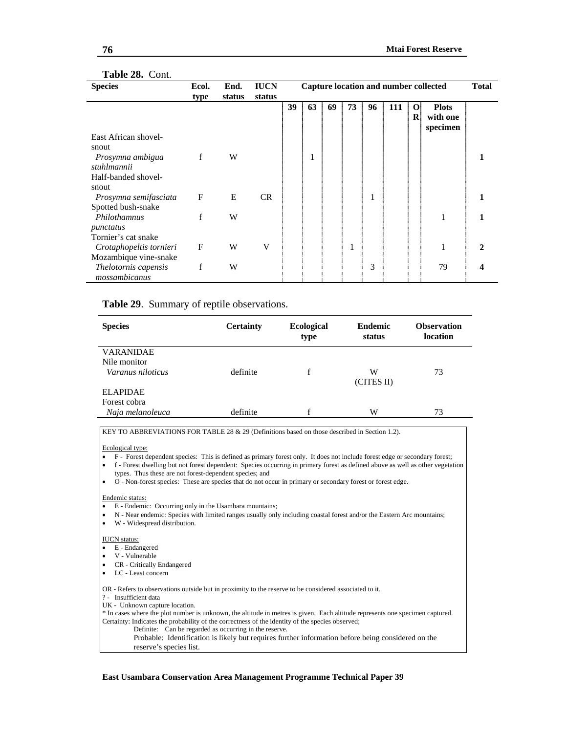#### **Table 28.** Cont.

| <b>Species</b>                                   | Ecol. | End.   | <b>IUCN</b> |    |    |    |    |    |     |                          | Capture location and number collected | <b>Total</b> |
|--------------------------------------------------|-------|--------|-------------|----|----|----|----|----|-----|--------------------------|---------------------------------------|--------------|
|                                                  | type  | status | status      |    |    |    |    |    |     |                          |                                       |              |
|                                                  |       |        |             | 39 | 63 | 69 | 73 | 96 | 111 | $\mathbf{o}$<br>$\bf{R}$ | <b>Plots</b><br>with one<br>specimen  |              |
| East African shovel-<br>snout                    |       |        |             |    |    |    |    |    |     |                          |                                       |              |
| Prosymna ambigua<br>stuhlmannii                  | f     | W      |             |    | T  |    |    |    |     |                          |                                       |              |
| Half-banded shovel-<br>snout                     |       |        |             |    |    |    |    |    |     |                          |                                       |              |
| Prosymna semifasciata<br>Spotted bush-snake      | F     | E      | <b>CR</b>   |    |    |    |    | 1  |     |                          |                                       |              |
| Philothamnus<br>punctatus                        | f     | W      |             |    |    |    |    |    |     |                          | 1                                     |              |
| Tornier's cat snake                              |       |        |             |    |    |    |    |    |     |                          |                                       |              |
| Crotaphopeltis tornieri<br>Mozambique vine-snake | F     | W      | V           |    |    |    | 1  |    |     |                          | 1                                     |              |
| Thelotornis capensis<br>mossambicanus            | f     | W      |             |    |    |    |    | 3  |     |                          | 79                                    |              |

#### **Table 29**.Summary of reptile observations.

| <b>Species</b>    | <b>Certainty</b> | <b>Ecological</b><br>type | <b>Endemic</b><br>status | <b>Observation</b><br>location |
|-------------------|------------------|---------------------------|--------------------------|--------------------------------|
| <b>VARANIDAE</b>  |                  |                           |                          |                                |
| Nile monitor      |                  |                           |                          |                                |
| Varanus niloticus | definite         |                           | W                        | 73                             |
|                   |                  |                           | (CITES II)               |                                |
| <b>ELAPIDAE</b>   |                  |                           |                          |                                |
| Forest cobra      |                  |                           |                          |                                |
| Naja melanoleuca  | definite         |                           | W                        | 73                             |

KEY TO ABBREVIATIONS FOR TABLE 28 & 29 (Definitions based on those described in Section 1.2).

#### Ecological type:

- F Forest dependent species: This is defined as primary forest only. It does not include forest edge or secondary forest;
- f Forest dwelling but not forest dependent: Species occurring in primary forest as defined above as well as other vegetation types. Thus these are not forest-dependent species; and
- O Non-forest species: These are species that do not occur in primary or secondary forest or forest edge.

Endemic status:

- E Endemic: Occurring only in the Usambara mountains;
- N Near endemic: Species with limited ranges usually only including coastal forest and/or the Eastern Arc mountains;
- W Widespread distribution.

#### IUCN status:

- E Endangered
- V Vulnerable
- CR Critically Endangered
- LC Least concern

OR - Refers to observations outside but in proximity to the reserve to be considered associated to it.

- ? Insufficient data
- UK Unknown capture location.

\* In cases where the plot number is unknown, the altitude in metres is given. Each altitude represents one specimen captured. Certainty: Indicates the probability of the correctness of the identity of the species observed;

Definite: Can be regarded as occurring in the reserve.

 Probable: Identification is likely but requires further information before being considered on the reserve's species list.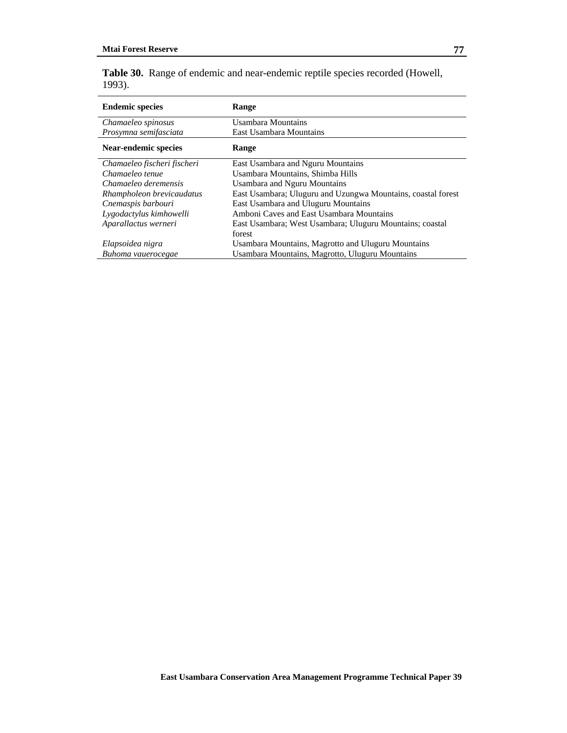|        | Table 30. Range of endemic and near-endemic reptile species recorded (Howell, |
|--------|-------------------------------------------------------------------------------|
| 1993). |                                                                               |

| <b>Endemic species</b>      | Range                                                        |
|-----------------------------|--------------------------------------------------------------|
| Chamaeleo spinosus          | Usambara Mountains                                           |
| Prosymna semifasciata       | East Usambara Mountains                                      |
| <b>Near-endemic species</b> | <b>Range</b>                                                 |
| Chamaeleo fischeri fischeri | East Usambara and Nguru Mountains                            |
| Chamaeleo tenue             | Usambara Mountains, Shimba Hills                             |
| Chamaeleo deremensis        | <b>Usambara and Nguru Mountains</b>                          |
| Rhampholeon brevicaudatus   | East Usambara; Uluguru and Uzungwa Mountains, coastal forest |
| Cnemaspis barbouri          | East Usambara and Uluguru Mountains                          |
| Lygodactylus kimhowelli     | Amboni Caves and East Usambara Mountains                     |
| Aparallactus werneri        | East Usambara; West Usambara; Uluguru Mountains; coastal     |
|                             | forest                                                       |
| Elapsoidea nigra            | Usambara Mountains, Magrotto and Uluguru Mountains           |
| Buhoma vauerocegae          | Usambara Mountains, Magrotto, Uluguru Mountains              |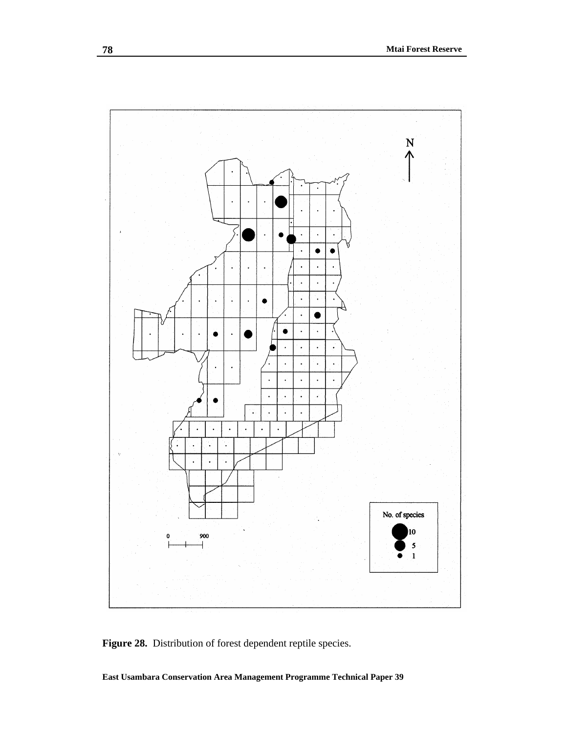

Figure 28. Distribution of forest dependent reptile species.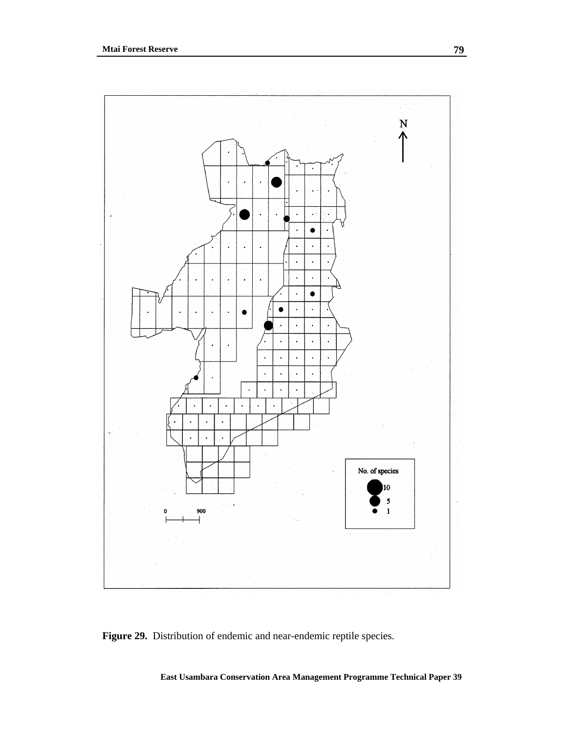

**Figure 29.** Distribution of endemic and near-endemic reptile species.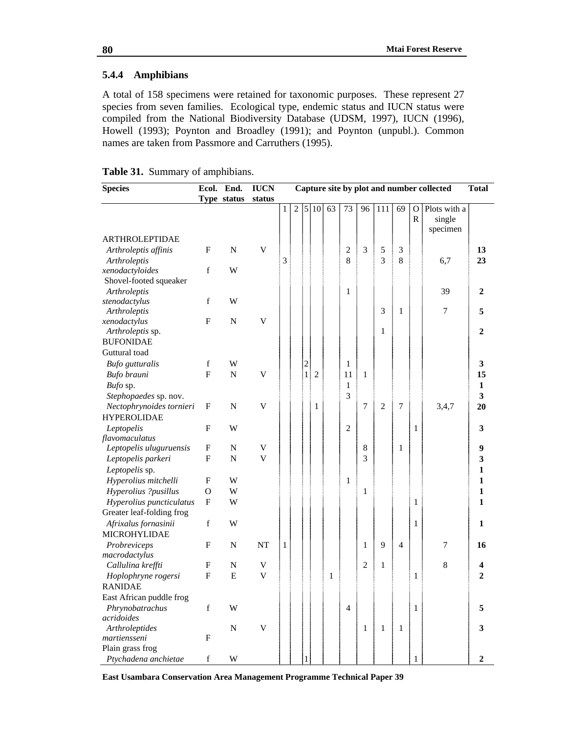# **5.4.4 Amphibians**

A total of 158 specimens were retained for taxonomic purposes. These represent 27 species from seven families. Ecological type, endemic status and IUCN status were compiled from the National Biodiversity Database (UDSM, 1997), IUCN (1996), Howell (1993); Poynton and Broadley (1991); and Poynton (unpubl.). Common names are taken from Passmore and Carruthers (1995).

| Table 31. Summary of amphibians. |  |  |  |
|----------------------------------|--|--|--|
|----------------------------------|--|--|--|

| <b>Species</b>            |              | Ecol. End.  | <b>IUCN</b>             |              |   |                |                |    |                |                |                  |                |                   | Capture site by plot and number collected | <b>Total</b>   |
|---------------------------|--------------|-------------|-------------------------|--------------|---|----------------|----------------|----|----------------|----------------|------------------|----------------|-------------------|-------------------------------------------|----------------|
|                           |              | Type status | status                  |              |   |                |                |    |                |                |                  |                |                   |                                           |                |
|                           |              |             |                         | $\mathbf{1}$ | 2 |                | 5 10           | 63 | 73             | 96             | $\overline{111}$ | 69             | O<br>$\mathbb{R}$ | Plots with a<br>single<br>specimen        |                |
| <b>ARTHROLEPTIDAE</b>     |              |             |                         |              |   |                |                |    |                |                |                  |                |                   |                                           |                |
| Arthroleptis affinis      | $\mathbf F$  | $\mathbf N$ | $\mathbf V$             |              |   |                |                |    | $\overline{c}$ | 3              | 5                | 3              |                   |                                           | 13             |
| Arthroleptis              |              |             |                         | 3            |   |                |                |    | 8              |                | 3                | 8              |                   | 6,7                                       | 23             |
| xenodactyloides           | f            | W           |                         |              |   |                |                |    |                |                |                  |                |                   |                                           |                |
| Shovel-footed squeaker    |              |             |                         |              |   |                |                |    |                |                |                  |                |                   |                                           |                |
| Arthroleptis              |              |             |                         |              |   |                |                |    | 1              |                |                  |                |                   | 39                                        | $\overline{2}$ |
| stenodactylus             | f            | W           |                         |              |   |                |                |    |                |                |                  |                |                   |                                           |                |
| Arthroleptis              |              |             |                         |              |   |                |                |    |                |                | 3                | 1              |                   | 7                                         | 5              |
| xenodactylus              | $\mathbf F$  | ${\bf N}$   | V                       |              |   |                |                |    |                |                |                  |                |                   |                                           |                |
| Arthroleptis sp.          |              |             |                         |              |   |                |                |    |                |                | 1                |                |                   |                                           | $\overline{2}$ |
| <b>BUFONIDAE</b>          |              |             |                         |              |   |                |                |    |                |                |                  |                |                   |                                           |                |
| Guttural toad             |              |             |                         |              |   |                |                |    |                |                |                  |                |                   |                                           |                |
| <b>Bufo</b> gutturalis    | f            | W           |                         |              |   | $\overline{c}$ |                |    | 1              |                |                  |                |                   |                                           | 3              |
| Bufo brauni               | $\mathbf{F}$ | $\mathbf N$ | V                       |              |   | $\mathbf{1}$   | $\overline{2}$ |    | 11             | 1              |                  |                |                   |                                           | 15             |
| Bufo sp.                  |              |             |                         |              |   |                |                |    | $\mathbf{1}$   |                |                  |                |                   |                                           | $\mathbf{1}$   |
| Stephopaedes sp. nov.     |              |             |                         |              |   |                |                |    | 3              |                |                  |                |                   |                                           | 3              |
| Nectophrynoides tornieri  | F            | ${\bf N}$   | V                       |              |   |                | 1              |    |                | 7              | $\overline{c}$   | 7              |                   | 3,4,7                                     | 20             |
| <b>HYPEROLIDAE</b>        |              |             |                         |              |   |                |                |    |                |                |                  |                |                   |                                           |                |
| Leptopelis                | F            | W           |                         |              |   |                |                |    | $\overline{2}$ |                |                  |                | 1                 |                                           | 3              |
| flavomaculatus            |              |             |                         |              |   |                |                |    |                |                |                  |                |                   |                                           |                |
| Leptopelis uluguruensis   | F            | N           | V                       |              |   |                |                |    |                | 8              |                  | 1              |                   |                                           | 9              |
| Leptopelis parkeri        | $\mathbf F$  | $\mathbf N$ | $\overline{\mathsf{V}}$ |              |   |                |                |    |                | $\overline{3}$ |                  |                |                   |                                           | 3              |
| Leptopelis sp.            |              |             |                         |              |   |                |                |    |                |                |                  |                |                   |                                           | 1              |
| Hyperolius mitchelli      | $\mathbf F$  | W           |                         |              |   |                |                |    | $\mathbf{1}$   |                |                  |                |                   |                                           | 1              |
| Hyperolius ?pusillus      | $\mathbf{O}$ | W           |                         |              |   |                |                |    |                | $\mathbf{1}$   |                  |                |                   |                                           | 1              |
| Hyperolius puncticulatus  | $\mathbf F$  | W           |                         |              |   |                |                |    |                |                |                  |                | 1                 |                                           | 1              |
| Greater leaf-folding frog |              |             |                         |              |   |                |                |    |                |                |                  |                |                   |                                           |                |
| Afrixalus fornasinii      | f            | W           |                         |              |   |                |                |    |                |                |                  |                | 1                 |                                           | 1              |
| MICROHYLIDAE              |              |             |                         |              |   |                |                |    |                |                |                  |                |                   |                                           |                |
| Probreviceps              | $\mathbf F$  | ${\bf N}$   | NT                      | 1            |   |                |                |    |                | $\mathbf{1}$   | 9                | $\overline{4}$ |                   | 7                                         | 16             |
| macrodactylus             |              |             |                         |              |   |                |                |    |                |                |                  |                |                   |                                           |                |
| Callulina kreffti         | F            | N           | V                       |              |   |                |                |    |                | $\overline{2}$ | $\mathbf{1}$     |                |                   | 8                                         | 4              |
| Hoplophryne rogersi       | $\mathbf{F}$ | E           | V                       |              |   |                |                | 1  |                |                |                  |                | 1                 |                                           | $\overline{2}$ |
| <b>RANIDAE</b>            |              |             |                         |              |   |                |                |    |                |                |                  |                |                   |                                           |                |
| East African puddle frog  |              |             |                         |              |   |                |                |    |                |                |                  |                |                   |                                           |                |
| Phrynobatrachus           | f            | W           |                         |              |   |                |                |    | $\overline{4}$ |                |                  |                | 1                 |                                           | 5              |
| acridoides                |              |             |                         |              |   |                |                |    |                |                |                  |                |                   |                                           |                |
| Arthroleptides            |              | $\mathbf N$ | $\mathbf V$             |              |   |                |                |    |                | $\mathbf{1}$   | $\mathbf{1}$     | $\mathbf{1}$   |                   |                                           | 3              |
| martiensseni              | $\mathbf{F}$ |             |                         |              |   |                |                |    |                |                |                  |                |                   |                                           |                |
| Plain grass frog          |              |             |                         |              |   |                |                |    |                |                |                  |                |                   |                                           |                |
| Ptychadena anchietae      | $\mathbf f$  | W           |                         |              |   | $\,1$          |                |    |                |                |                  |                | $\,1$             |                                           | $\overline{2}$ |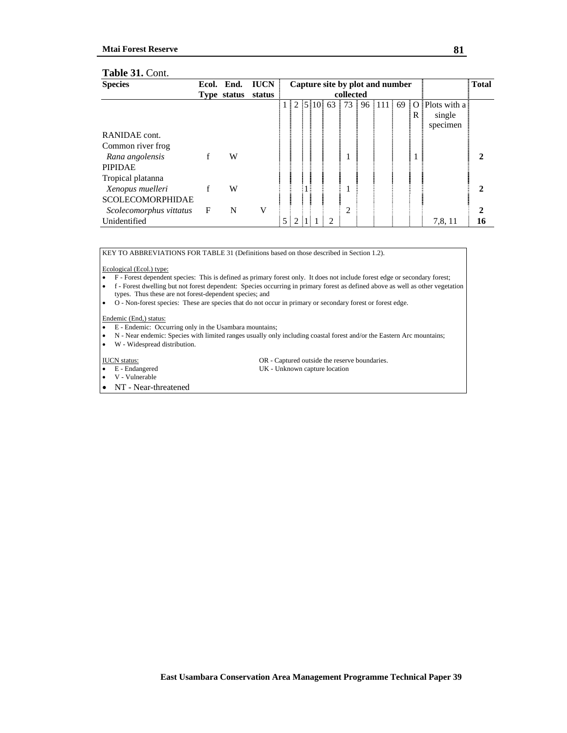#### **Mtai Forest Reserve**

#### **Table 31.** Cont.

| <b>Species</b>          |              | Ecol. End.  | <b>IUCN</b> |   | Capture site by plot and number |  |  |   |           | <b>Total</b> |       |                                                                                        |    |
|-------------------------|--------------|-------------|-------------|---|---------------------------------|--|--|---|-----------|--------------|-------|----------------------------------------------------------------------------------------|----|
|                         |              | Type status | status      |   |                                 |  |  |   | collected |              |       |                                                                                        |    |
|                         |              |             |             |   |                                 |  |  |   |           |              |       | $1 \mid 2 \mid 5 \mid 10 \mid 63 \mid 73 \mid 96 \mid 111 \mid 69 \mid 0$ Plots with a |    |
|                         |              |             |             |   |                                 |  |  |   |           |              | i R i | single                                                                                 |    |
|                         |              |             |             |   |                                 |  |  |   |           |              |       | specimen                                                                               |    |
| RANIDAE cont.           |              |             |             |   |                                 |  |  |   |           |              |       |                                                                                        |    |
| Common river frog       |              |             |             |   |                                 |  |  |   |           |              |       |                                                                                        |    |
| Rana angolensis         | f            | W           |             |   |                                 |  |  |   |           |              |       |                                                                                        |    |
| <b>PIPIDAE</b>          |              |             |             |   |                                 |  |  |   |           |              |       |                                                                                        |    |
| Tropical platanna       |              |             |             |   |                                 |  |  |   |           |              |       |                                                                                        |    |
| Xenopus muelleri        | f            | W           |             |   |                                 |  |  |   |           |              |       |                                                                                        | 2  |
| <b>SCOLECOMORPHIDAE</b> |              |             |             |   |                                 |  |  |   |           |              |       |                                                                                        |    |
| Scolecomorphus vittatus | $\mathbf{F}$ | N           | V           |   |                                 |  |  |   | 2         |              |       |                                                                                        | 2  |
| Unidentified            |              |             |             | 5 | 2                               |  |  | 2 |           |              |       | 7,8, 11                                                                                | 16 |

KEY TO ABBREVIATIONS FOR TABLE 31 (Definitions based on those described in Section 1.2).

Ecological (Ecol.) type:

• F - Forest dependent species: This is defined as primary forest only. It does not include forest edge or secondary forest;

• f - Forest dwelling but not forest dependent: Species occurring in primary forest as defined above as well as other vegetation types. Thus these are not forest-dependent species; and

• O - Non-forest species: These are species that do not occur in primary or secondary forest or forest edge.

Endemic (End,) status:

• E - Endemic: Occurring only in the Usambara mountains;

• N - Near endemic: Species with limited ranges usually only including coastal forest and/or the Eastern Arc mountains;

• W - Widespread distribution.

• V - Vulnerable

• NT - Near-threatened

IUCN status: OR - Captured outside the reserve boundaries.

• E - Endangered UK - Unknown capture location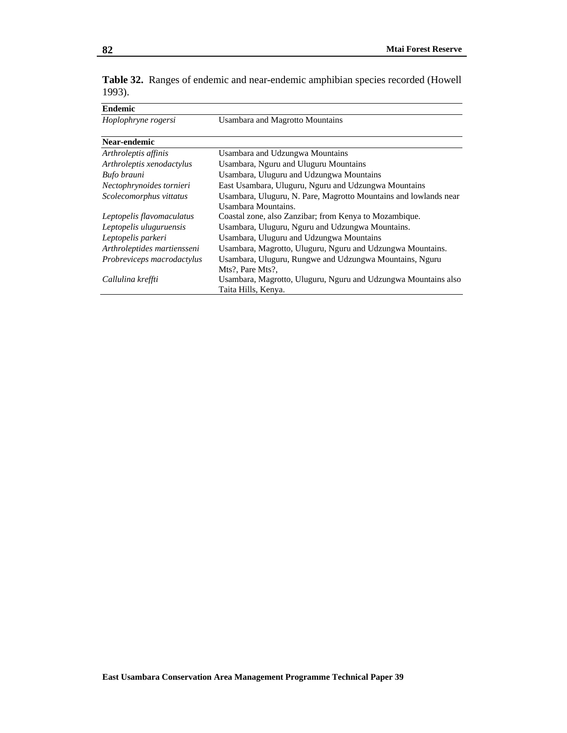| <b>Endemic</b>              |                                                                  |
|-----------------------------|------------------------------------------------------------------|
| Hoplophryne rogersi         | Usambara and Magrotto Mountains                                  |
|                             |                                                                  |
| Near-endemic                |                                                                  |
| Arthroleptis affinis        | Usambara and Udzungwa Mountains                                  |
| Arthroleptis xenodactylus   | Usambara, Nguru and Uluguru Mountains                            |
| Bufo brauni                 | Usambara, Uluguru and Udzungwa Mountains                         |
| Nectophrynoides tornieri    | East Usambara, Uluguru, Nguru and Udzungwa Mountains             |
| Scolecomorphus vittatus     | Usambara, Uluguru, N. Pare, Magrotto Mountains and lowlands near |
|                             | Usambara Mountains.                                              |
| Leptopelis flavomaculatus   | Coastal zone, also Zanzibar; from Kenya to Mozambique.           |
| Leptopelis uluguruensis     | Usambara, Uluguru, Nguru and Udzungwa Mountains.                 |
| Leptopelis parkeri          | Usambara, Uluguru and Udzungwa Mountains                         |
| Arthroleptides martiensseni | Usambara, Magrotto, Uluguru, Nguru and Udzungwa Mountains.       |
| Probreviceps macrodactylus  | Usambara, Uluguru, Rungwe and Udzungwa Mountains, Nguru          |
|                             | Mts?, Pare Mts?,                                                 |
| Callulina kreffti           | Usambara, Magrotto, Uluguru, Nguru and Udzungwa Mountains also   |
|                             | Taita Hills, Kenya.                                              |

**Table 32.** Ranges of endemic and near-endemic amphibian species recorded (Howell 1993).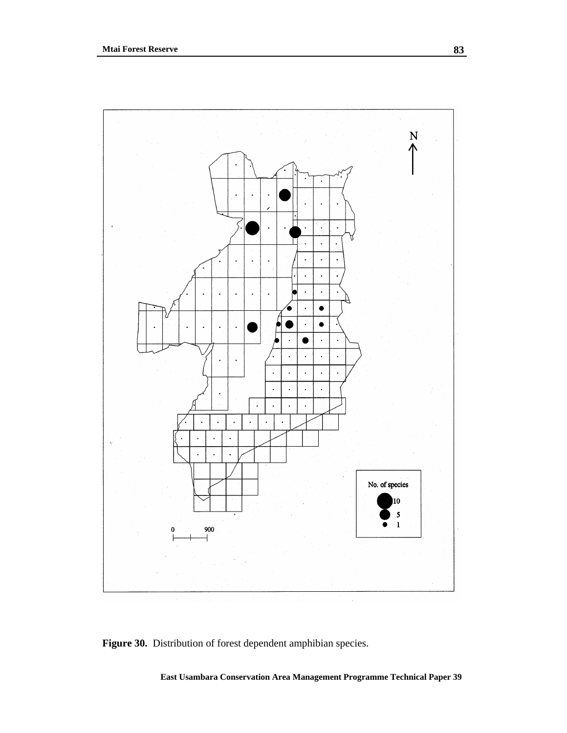

**Figure 30.** Distribution of forest dependent amphibian species.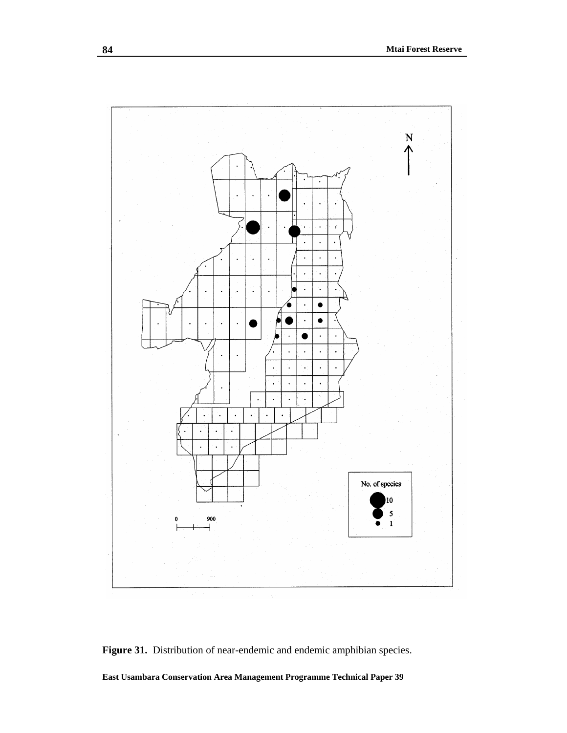

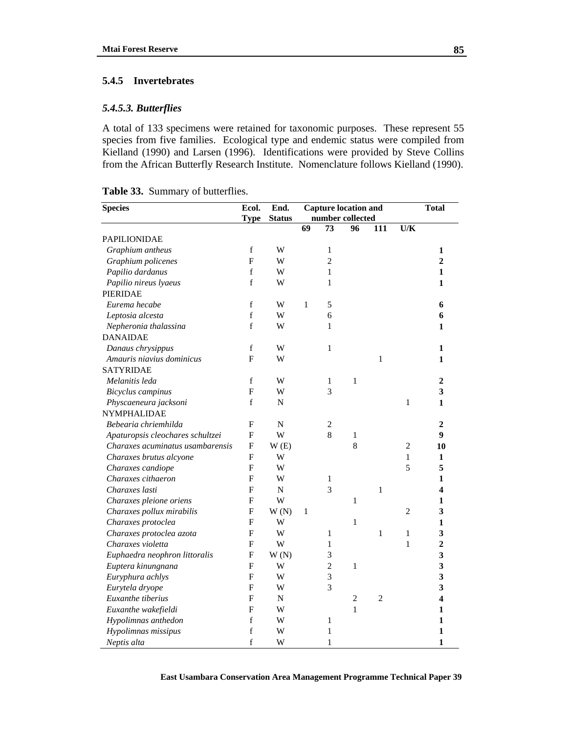#### **5.4.5 Invertebrates**

## *5.4.5.3. Butterflies*

A total of 133 specimens were retained for taxonomic purposes. These represent 55 species from five families. Ecological type and endemic status were compiled from Kielland (1990) and Larsen (1996). Identifications were provided by Steve Collins from the African Butterfly Research Institute. Nomenclature follows Kielland (1990).

|  |  | Table 33. Summary of butterflies. |
|--|--|-----------------------------------|
|--|--|-----------------------------------|

| <b>Species</b>                   | Ecol.          | End.          | <b>Capture location and</b> |                |                  |                |                | <b>Total</b>            |
|----------------------------------|----------------|---------------|-----------------------------|----------------|------------------|----------------|----------------|-------------------------|
|                                  | <b>Type</b>    | <b>Status</b> |                             |                | number collected |                |                |                         |
|                                  |                |               | 69                          | 73             | 96               | 111            | U/K            |                         |
| <b>PAPILIONIDAE</b>              |                |               |                             |                |                  |                |                |                         |
| Graphium antheus                 | $\mathbf f$    | W             |                             | 1              |                  |                |                | 1                       |
| Graphium policenes               | $\overline{F}$ | W             |                             | $\overline{2}$ |                  |                |                | $\overline{2}$          |
| Papilio dardanus                 | $\mathbf f$    | W             |                             | $\mathbf{1}$   |                  |                |                | $\mathbf{1}$            |
| Papilio nireus lyaeus            | f              | W             |                             | 1              |                  |                |                | 1                       |
| <b>PIERIDAE</b>                  |                |               |                             |                |                  |                |                |                         |
| Eurema hecabe                    | $\mathbf f$    | W             | 1                           | 5              |                  |                |                | 6                       |
| Leptosia alcesta                 | f              | W             |                             | 6              |                  |                |                | 6                       |
| Nepheronia thalassina            | $\mathbf f$    | W             |                             | 1              |                  |                |                | 1                       |
| <b>DANAIDAE</b>                  |                |               |                             |                |                  |                |                |                         |
| Danaus chrysippus                | $\mathbf f$    | W             |                             | 1              |                  |                |                | 1                       |
| Amauris niavius dominicus        | F              | W             |                             |                |                  | $\mathbf{1}$   |                | 1                       |
| <b>SATYRIDAE</b>                 |                |               |                             |                |                  |                |                |                         |
| Melanitis leda                   | $\mathbf f$    | W             |                             | 1              | $\mathbf{1}$     |                |                | $\overline{2}$          |
| Bicyclus campinus                | $\overline{F}$ | W             |                             | 3              |                  |                |                | $\overline{\mathbf{3}}$ |
| Physcaeneura jacksoni            | $\mathbf f$    | N             |                             |                |                  |                | $\mathbf{1}$   | $\mathbf{1}$            |
| NYMPHALIDAE                      |                |               |                             |                |                  |                |                |                         |
| Bebearia chriemhilda             | F              | $\mathbf N$   |                             | 2              |                  |                |                | 2                       |
| Apaturopsis cleochares schultzei | F              | W             |                             | $\,$ 8 $\,$    | 1                |                |                | 9                       |
| Charaxes acuminatus usambarensis | F              | W(E)          |                             |                | 8                |                | $\overline{c}$ | 10                      |
| Charaxes brutus alcyone          | F              | W             |                             |                |                  |                | 1              | 1                       |
| Charaxes candiope                | F              | W             |                             |                |                  |                | 5              | 5                       |
| Charaxes cithaeron               | F              | W             |                             | 1              |                  |                |                | 1                       |
| Charaxes lasti                   | F              | $\mathbf N$   |                             | 3              |                  | $\mathbf{1}$   |                | 4                       |
| Charaxes pleione oriens          | $\mathbf F$    | W             |                             |                | $\mathbf{1}$     |                |                | 1                       |
| Charaxes pollux mirabilis        | $\mathbf F$    | W(N)          | 1                           |                |                  |                | $\overline{2}$ | 3                       |
| Charaxes protoclea               | F              | W             |                             |                | $\mathbf{1}$     |                |                | $\mathbf{1}$            |
| Charaxes protoclea azota         | F              | W             |                             | 1              |                  | 1              | 1              | 3                       |
| Charaxes violetta                | F              | W             |                             | 1              |                  |                | 1              | $\overline{2}$          |
| Euphaedra neophron littoralis    | F              | W(N)          |                             | 3              |                  |                |                | $\overline{\mathbf{3}}$ |
| Euptera kinungnana               | F              | W             |                             | $\overline{2}$ | $\mathbf{1}$     |                |                | $\overline{\mathbf{3}}$ |
| Euryphura achlys                 | F              | W             |                             | $\overline{3}$ |                  |                |                | 3                       |
| Eurytela dryope                  | $\overline{F}$ | W             |                             | 3              |                  |                |                | $\overline{\mathbf{3}}$ |
| Euxanthe tiberius                | $\mathbf F$    | N             |                             |                | $\overline{c}$   | $\overline{c}$ |                | 4                       |
| Euxanthe wakefieldi              | F              | W             |                             |                | $\mathbf{1}$     |                |                | 1                       |
| Hypolimnas anthedon              | $\mathbf f$    | W             |                             | 1              |                  |                |                | 1                       |
| Hypolimnas missipus              | $\rm f$        | W             |                             | 1              |                  |                |                | 1                       |
| Neptis alta                      | f              | W             |                             | 1              |                  |                |                | $\mathbf{1}$            |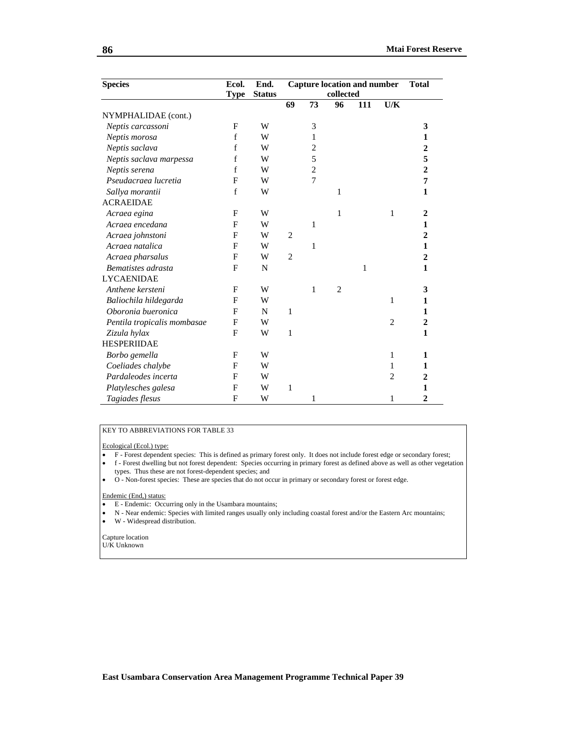| <b>Species</b>              | Ecol.        | End.          | <b>Capture location and number</b> | <b>Total</b>   |                |     |                |                  |
|-----------------------------|--------------|---------------|------------------------------------|----------------|----------------|-----|----------------|------------------|
|                             | <b>Type</b>  | <b>Status</b> |                                    | collected      |                |     |                |                  |
|                             |              |               | 69                                 | 73             | 96             | 111 | U/K            |                  |
| NYMPHALIDAE (cont.)         |              |               |                                    |                |                |     |                |                  |
| Neptis carcassoni           | F            | W             |                                    | 3              |                |     |                | 3                |
| Neptis morosa               | f            | W             |                                    | 1              |                |     |                | 1                |
| Neptis saclava              | $\mathbf f$  | W             |                                    | $\overline{2}$ |                |     |                | $\overline{2}$   |
| Neptis saclava marpessa     | f            | W             |                                    | 5              |                |     |                | 5                |
| Neptis serena               | f            | W             |                                    | $\overline{c}$ |                |     |                | $\overline{2}$   |
| Pseudacraea lucretia        | F            | W             |                                    | $\overline{7}$ |                |     |                | 7                |
| Sallya morantii             | f            | W             |                                    |                | 1              |     |                | 1                |
| <b>ACRAEIDAE</b>            |              |               |                                    |                |                |     |                |                  |
| Acraea egina                | F            | W             |                                    |                | 1              |     | 1              | $\mathbf{2}$     |
| Acraea encedana             | F            | W             |                                    | $\mathbf{1}$   |                |     |                | 1                |
| Acraea johnstoni            | F            | W             | $\overline{2}$                     |                |                |     |                | $\overline{2}$   |
| Acraea natalica             | $\mathbf{F}$ | W             |                                    | 1              |                |     |                | $\mathbf{1}$     |
| Acraea pharsalus            | F            | W             | $\overline{2}$                     |                |                |     |                | $\boldsymbol{2}$ |
| Bematistes adrasta          | F            | N             |                                    |                |                | 1   |                | $\mathbf{1}$     |
| <b>LYCAENIDAE</b>           |              |               |                                    |                |                |     |                |                  |
| Anthene kersteni            | F            | W             |                                    | 1              | $\overline{c}$ |     |                | 3                |
| Baliochila hildegarda       | F            | W             |                                    |                |                |     | 1              | 1                |
| Oboronia bueronica          | F            | N             | 1                                  |                |                |     |                | 1                |
| Pentila tropicalis mombasae | F            | W             |                                    |                |                |     | $\overline{2}$ | $\overline{2}$   |
| Zizula hylax                | $\mathbf{F}$ | W             | $\mathbf{1}$                       |                |                |     |                | 1                |
| <b>HESPERIIDAE</b>          |              |               |                                    |                |                |     |                |                  |
| Borbo gemella               | F            | W             |                                    |                |                |     | 1              | 1                |
| Coeliades chalybe           | F            | W             |                                    |                |                |     | 1              | 1                |
| Pardaleodes incerta         | F            | W             |                                    |                |                |     | $\overline{2}$ | 2                |
| Platylesches galesa         | $\mathbf{F}$ | W             | 1                                  |                |                |     |                | 1                |
| Tagiades flesus             | F            | W             |                                    | $\mathbf{1}$   |                |     | 1              | $\overline{2}$   |

#### KEY TO ABBREVIATIONS FOR TABLE 33

Ecological (Ecol.) type:

- F Forest dependent species: This is defined as primary forest only. It does not include forest edge or secondary forest;
- f Forest dwelling but not forest dependent: Species occurring in primary forest as defined above as well as other vegetation types. Thus these are not forest-dependent species; and
- O Non-forest species: These are species that do not occur in primary or secondary forest or forest edge.

#### Endemic (End,) status:

- E Endemic: Occurring only in the Usambara mountains;
- N Near endemic: Species with limited ranges usually only including coastal forest and/or the Eastern Arc mountains;<br>• W Widespread distribution.
- W Widespread distribution.
- Capture location U/K Unknown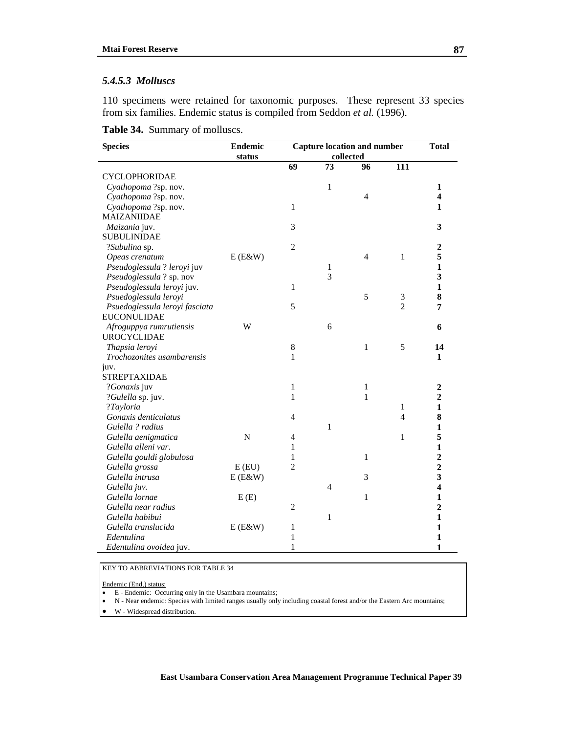#### *5.4.5.3 Molluscs*

110 specimens were retained for taxonomic purposes. These represent 33 species from six families. Endemic status is compiled from Seddon *et al.* (1996).

**Table 34.** Summary of molluscs.

| <b>Species</b>                 | <b>Endemic</b> | <b>Capture location and number</b> |                |                | <b>Total</b>   |                         |
|--------------------------------|----------------|------------------------------------|----------------|----------------|----------------|-------------------------|
|                                | status         | collected                          |                |                |                |                         |
|                                |                | 69                                 | 73             | 96             | 111            |                         |
| <b>CYCLOPHORIDAE</b>           |                |                                    |                |                |                |                         |
| Cyathopoma ?sp. nov.           |                |                                    | $\mathbf{1}$   |                |                | 1                       |
| Cyathopoma ?sp. nov.           |                |                                    |                | 4              |                | 4                       |
| Cyathopoma ?sp. nov.           |                | $\mathbf{1}$                       |                |                |                | $\mathbf{1}$            |
| MAIZANIIDAE                    |                |                                    |                |                |                |                         |
| Maizania juv.                  |                | 3                                  |                |                |                | 3                       |
| <b>SUBULINIDAE</b>             |                |                                    |                |                |                |                         |
| ?Subulina sp.                  |                | $\overline{2}$                     |                |                |                | $\boldsymbol{2}$        |
| Opeas crenatum                 | $E(E\&W)$      |                                    |                | $\overline{4}$ | $\mathbf{1}$   | 5                       |
| Pseudoglessula ? leroyi juv    |                |                                    | 1              |                |                | $\mathbf{1}$            |
| Pseudoglessula ? sp. nov       |                |                                    | $\overline{3}$ |                |                | 3                       |
| Pseudoglessula leroyi juv.     |                | 1                                  |                |                |                | $\mathbf{1}$            |
| Psuedoglessula leroyi          |                |                                    |                | 5              | $\mathfrak{Z}$ | 8                       |
| Psuedoglessula leroyi fasciata |                | 5                                  |                |                | $\overline{2}$ | 7                       |
| <b>EUCONULIDAE</b>             |                |                                    |                |                |                |                         |
| Afroguppya rumrutiensis        | W              |                                    | 6              |                |                | 6                       |
| <b>UROCYCLIDAE</b>             |                |                                    |                |                |                |                         |
| Thapsia leroyi                 |                | 8                                  |                | $\mathbf{1}$   | 5              | 14                      |
| Trochozonites usambarensis     |                | $\mathbf{1}$                       |                |                |                | 1                       |
| juv.                           |                |                                    |                |                |                |                         |
| <b>STREPTAXIDAE</b>            |                |                                    |                |                |                |                         |
| ?Gonaxis juv                   |                | $\mathbf{1}$                       |                | $\mathbf{1}$   |                | $\boldsymbol{2}$        |
| ?Gulella sp. juv.              |                | 1                                  |                | $\mathbf{1}$   |                | $\overline{2}$          |
| ?Tayloria                      |                |                                    |                |                | 1              | $\mathbf{1}$            |
| Gonaxis denticulatus           |                | $\overline{4}$                     |                |                | $\overline{4}$ | 8                       |
| Gulella ? radius               |                |                                    | $\mathbf{1}$   |                |                | 1                       |
| Gulella aenigmatica            | ${\bf N}$      | 4                                  |                |                | 1              | 5                       |
| Gulella alleni var.            |                | 1                                  |                |                |                | 1                       |
| Gulella gouldi globulosa       |                | 1                                  |                | $\mathbf{1}$   |                | $\overline{2}$          |
| Gulella grossa                 | $E$ (EU)       | $\overline{2}$                     |                |                |                | $\overline{2}$          |
| Gulella intrusa                | $E(E\&W)$      |                                    |                | 3              |                | 3                       |
| Gulella juv.                   |                |                                    | 4              |                |                | $\overline{\mathbf{4}}$ |
| Gulella lornae                 | E(E)           |                                    |                | 1              |                | 1                       |
| Gulella near radius            |                | $\overline{2}$                     |                |                |                | $\overline{2}$          |
| Gulella habibui                |                |                                    | $\mathbf{1}$   |                |                | 1                       |
| Gulella translucida            | $E(E\&W)$      | 1                                  |                |                |                | 1                       |
| Edentulina                     |                | $\mathbf{1}$                       |                |                |                | 1                       |
| Edentulina ovoidea juv.        |                | 1                                  |                |                |                | 1                       |

KEY TO ABBREVIATIONS FOR TABLE 34

Endemic (End,) status:

- E Endemic: Occurring only in the Usambara mountains;<br>• N Near endemic: Species with limited ranges usually only
- N Near endemic: Species with limited ranges usually only including coastal forest and/or the Eastern Arc mountains;

• W - Widespread distribution.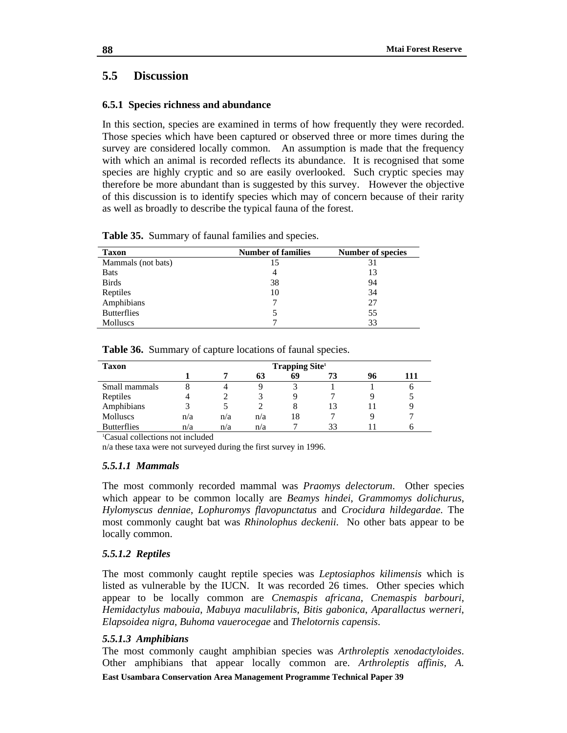# **5.5 Discussion**

# **6.5.1 Species richness and abundance**

In this section, species are examined in terms of how frequently they were recorded. Those species which have been captured or observed three or more times during the survey are considered locally common. An assumption is made that the frequency with which an animal is recorded reflects its abundance. It is recognised that some species are highly cryptic and so are easily overlooked. Such cryptic species may therefore be more abundant than is suggested by this survey. However the objective of this discussion is to identify species which may of concern because of their rarity as well as broadly to describe the typical fauna of the forest.

| <b>Taxon</b>       | <b>Number of families</b> | Number of species |
|--------------------|---------------------------|-------------------|
| Mammals (not bats) | 15                        | 31                |
| <b>Bats</b>        | 4                         | 13                |
| <b>Birds</b>       | 38                        | 94                |
| Reptiles           | 10                        | 34                |
| Amphibians         |                           | 27                |
| <b>Butterflies</b> |                           | 55                |
| <b>Molluscs</b>    |                           | 33                |

| Table 35. Summary of faunal families and species. |  |  |  |  |  |
|---------------------------------------------------|--|--|--|--|--|
|---------------------------------------------------|--|--|--|--|--|

| Taxon              | <b>Trapping Site</b> <sup>1</sup> |     |     |    |    |    |     |  |
|--------------------|-----------------------------------|-----|-----|----|----|----|-----|--|
|                    |                                   |     | 63  | 69 |    | 96 | 111 |  |
| Small mammals      | 8                                 |     |     |    |    |    |     |  |
| Reptiles           |                                   |     |     |    |    |    |     |  |
| Amphibians         | 3                                 |     |     | 8  |    |    |     |  |
| <b>Molluscs</b>    | n/a                               | n/a | n/a | 18 |    |    |     |  |
| <b>Butterflies</b> | n/a                               | n/a | n/a |    | 33 |    |     |  |

**Table 36.** Summary of capture locations of faunal species.

1 Casual collections not included

n/a these taxa were not surveyed during the first survey in 1996.

## *5.5.1.1 Mammals*

The most commonly recorded mammal was *Praomys delectorum*. Other species which appear to be common locally are *Beamys hindei*, *Grammomys dolichurus*, *Hylomyscus denniae*, *Lophuromys flavopunctatus* and *Crocidura hildegardae*. The most commonly caught bat was *Rhinolophus deckenii*. No other bats appear to be locally common.

## *5.5.1.2 Reptiles*

The most commonly caught reptile species was *Leptosiaphos kilimensis* which is listed as vulnerable by the IUCN. It was recorded 26 times. Other species which appear to be locally common are *Cnemaspis africana*, *Cnemaspis barbouri*, *Hemidactylus mabouia*, *Mabuya maculilabris*, *Bitis gabonica*, *Aparallactus werneri*, *Elapsoidea nigra*, *Buhoma vauerocegae* and *Thelotornis capensis*.

## *5.5.1.3 Amphibians*

The most commonly caught amphibian species was *Arthroleptis xenodactyloides*. Other amphibians that appear locally common are. *Arthroleptis affinis, A.* 

**88**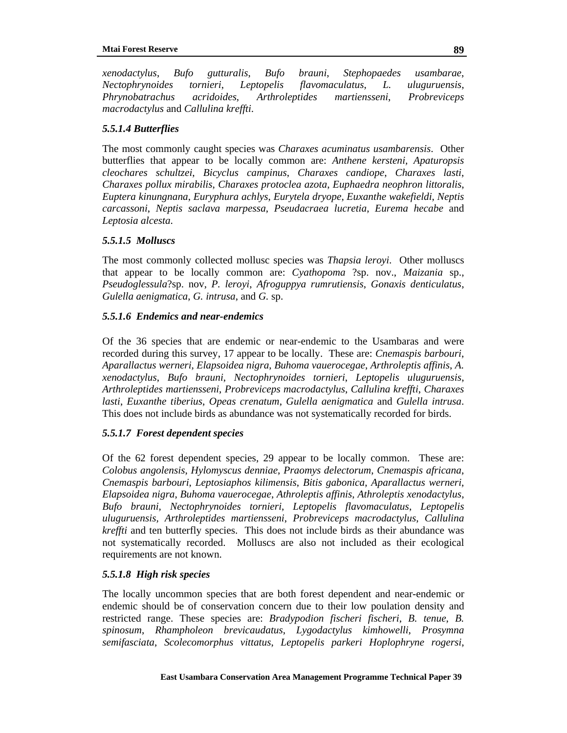*xenodactylus*, *Bufo gutturalis*, *Bufo brauni*, *Stephopaedes usambarae*, *Nectophrynoides tornieri*, *Leptopelis flavomaculatus*, *L. uluguruensis*, *Phrynobatrachus acridoides*, *Arthroleptides martiensseni*, *Probreviceps macrodactylus* and *Callulina kreffti*.

# *5.5.1.4 Butterflies*

The most commonly caught species was *Charaxes acuminatus usambarensis*. Other butterflies that appear to be locally common are: *Anthene kersteni, Apaturopsis cleochares schultzei*, *Bicyclus campinus*, *Charaxes candiope*, *Charaxes lasti*, *Charaxes pollux mirabilis*, *Charaxes protoclea azota*, *Euphaedra neophron littoralis*, *Euptera kinungnana*, *Euryphura achlys*, *Eurytela dryope*, *Euxanthe wakefieldi*, *Neptis carcassoni*, *Neptis saclava marpessa*, *Pseudacraea lucretia*, *Eurema hecabe* and *Leptosia alcesta*.

# *5.5.1.5 Molluscs*

The most commonly collected mollusc species was *Thapsia leroyi*. Other molluscs that appear to be locally common are: *Cyathopoma* ?sp. nov., *Maizania* sp., *Pseudoglessula*?sp. nov, *P. leroyi*, *Afroguppya rumrutiensis*, *Gonaxis denticulatus*, *Gulella aenigmatica*, *G. intrusa*, and *G.* sp.

# *5.5.1.6 Endemics and near-endemics*

Of the 36 species that are endemic or near-endemic to the Usambaras and were recorded during this survey, 17 appear to be locally. These are: *Cnemaspis barbouri*, *Aparallactus werneri*, *Elapsoidea nigra*, *Buhoma vauerocegae*, *Arthroleptis affinis*, *A. xenodactylus*, *Bufo brauni*, *Nectophrynoides tornieri*, *Leptopelis uluguruensis*, *Arthroleptides martiensseni*, *Probreviceps macrodactylus*, *Callulina kreffti*, *Charaxes lasti*, *Euxanthe tiberius*, *Opeas crenatum*, *Gulella aenigmatica* and *Gulella intrusa*. This does not include birds as abundance was not systematically recorded for birds.

# *5.5.1.7 Forest dependent species*

Of the 62 forest dependent species, 29 appear to be locally common. These are: *Colobus angolensis*, *Hylomyscus denniae*, *Praomys delectorum*, *Cnemaspis africana*, *Cnemaspis barbouri*, *Leptosiaphos kilimensis*, *Bitis gabonica*, *Aparallactus werneri*, *Elapsoidea nigra*, *Buhoma vauerocegae*, *Athroleptis affinis*, *Athroleptis xenodactylus*, *Bufo brauni*, *Nectophrynoides tornieri*, *Leptopelis flavomaculatus*, *Leptopelis uluguruensis, Arthroleptides martiensseni*, *Probreviceps macrodactylus*, *Callulina kreffti* and ten butterfly species. This does not include birds as their abundance was not systematically recorded. Molluscs are also not included as their ecological requirements are not known.

# *5.5.1.8 High risk species*

The locally uncommon species that are both forest dependent and near-endemic or endemic should be of conservation concern due to their low poulation density and restricted range. These species are: *Bradypodion fischeri fischeri*, *B. tenue*, *B. spinosum*, *Rhampholeon brevicaudatus*, *Lygodactylus kimhowelli*, *Prosymna semifasciata*, *Scolecomorphus vittatus*, *Leptopelis parkeri Hoplophryne rogersi*,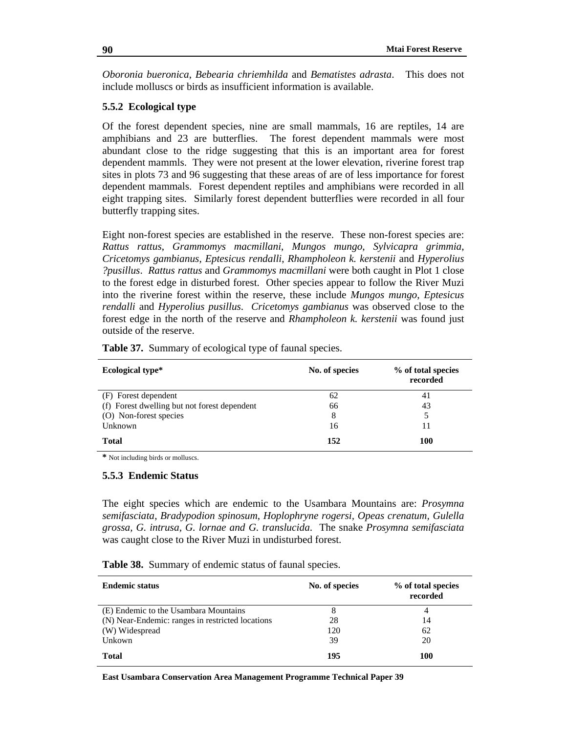*Oboronia bueronica*, *Bebearia chriemhilda* and *Bematistes adrasta*. This does not include molluscs or birds as insufficient information is available.

# **5.5.2 Ecological type**

Of the forest dependent species, nine are small mammals, 16 are reptiles, 14 are amphibians and 23 are butterflies. The forest dependent mammals were most abundant close to the ridge suggesting that this is an important area for forest dependent mammls. They were not present at the lower elevation, riverine forest trap sites in plots 73 and 96 suggesting that these areas of are of less importance for forest dependent mammals. Forest dependent reptiles and amphibians were recorded in all eight trapping sites. Similarly forest dependent butterflies were recorded in all four butterfly trapping sites.

Eight non-forest species are established in the reserve. These non-forest species are: *Rattus rattus*, *Grammomys macmillani*, *Mungos mungo*, *Sylvicapra grimmia*, *Cricetomys gambianus*, *Eptesicus rendalli*, *Rhampholeon k. kerstenii* and *Hyperolius ?pusillus*. *Rattus rattus* and *Grammomys macmillani* were both caught in Plot 1 close to the forest edge in disturbed forest. Other species appear to follow the River Muzi into the riverine forest within the reserve, these include *Mungos mungo*, *Eptesicus rendalli* and *Hyperolius pusillus*. *Cricetomys gambianus* was observed close to the forest edge in the north of the reserve and *Rhampholeon k. kerstenii* was found just outside of the reserve.

| <b>Ecological type*</b>                      | No. of species | % of total species<br>recorded |
|----------------------------------------------|----------------|--------------------------------|
| (F) Forest dependent                         | 62             | 41                             |
| (f) Forest dwelling but not forest dependent | 66             | 43                             |
| (O) Non-forest species                       | 8              | 5                              |
| Unknown                                      | 16             |                                |
| <b>Total</b>                                 | 152            | 100                            |

Table 37. Summary of ecological type of faunal species.

**\*** Not including birds or molluscs.

#### **5.5.3 Endemic Status**

The eight species which are endemic to the Usambara Mountains are: *Prosymna semifasciata*, *Bradypodion spinosum*, *Hoplophryne rogersi, Opeas crenatum, Gulella grossa, G. intrusa, G. lornae and G. translucida*. The snake *Prosymna semifasciata* was caught close to the River Muzi in undisturbed forest.

**Table 38.** Summary of endemic status of faunal species.

| <b>Endemic status</b>                            | No. of species | % of total species<br>recorded |
|--------------------------------------------------|----------------|--------------------------------|
| (E) Endemic to the Usambara Mountains            |                | 4                              |
| (N) Near-Endemic: ranges in restricted locations | 28             | 14                             |
| (W) Widespread                                   | 120            | 62                             |
| Unkown                                           | 39             | 20                             |
| <b>Total</b>                                     | 195            | 100                            |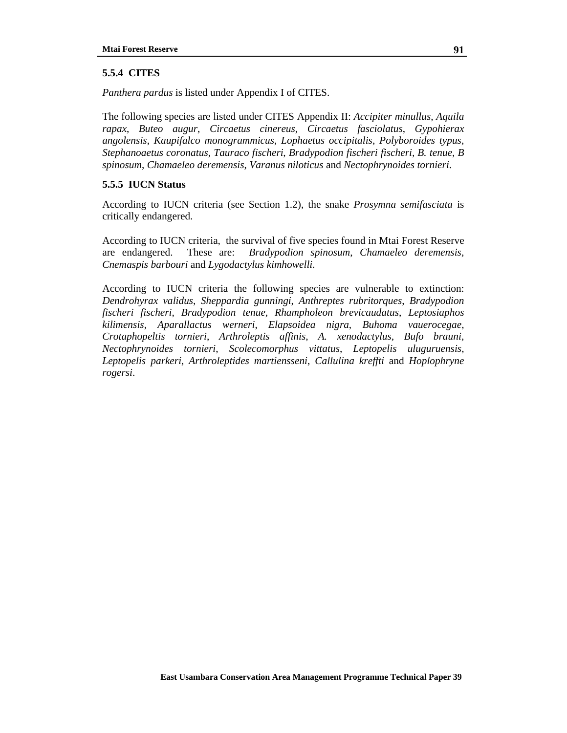# **5.5.4 CITES**

*Panthera pardus* is listed under Appendix I of CITES.

The following species are listed under CITES Appendix II: *Accipiter minullus*, *Aquila rapax*, *Buteo augur*, *Circaetus cinereus*, *Circaetus fasciolatus*, *Gypohierax angolensis*, *Kaupifalco monogrammicus*, *Lophaetus occipitalis*, *Polyboroides typus*, *Stephanoaetus coronatus, Tauraco fischeri*, *Bradypodion fischeri fischeri, B. tenue*, *B spinosum*, *Chamaeleo deremensis*, *Varanus niloticus* and *Nectophrynoides tornieri*.

# **5.5.5 IUCN Status**

According to IUCN criteria (see Section 1.2), the snake *Prosymna semifasciata* is critically endangered.

According to IUCN criteria, the survival of five species found in Mtai Forest Reserve are endangered. These are: *Bradypodion spinosum*, *Chamaeleo deremensis*, *Cnemaspis barbouri* and *Lygodactylus kimhowelli*.

According to IUCN criteria the following species are vulnerable to extinction: *Dendrohyrax validus*, *Sheppardia gunningi*, *Anthreptes rubritorques*, *Bradypodion fischeri fischeri*, *Bradypodion tenue*, *Rhampholeon brevicaudatus*, *Leptosiaphos kilimensis*, *Aparallactus werneri*, *Elapsoidea nigra*, *Buhoma vauerocegae*, *Crotaphopeltis tornieri*, *Arthroleptis affinis*, *A. xenodactylus*, *Bufo brauni*, *Nectophrynoides tornieri*, *Scolecomorphus vittatus*, *Leptopelis uluguruensis*, *Leptopelis parkeri*, *Arthroleptides martiensseni*, *Callulina kreffti* and *Hoplophryne rogersi*.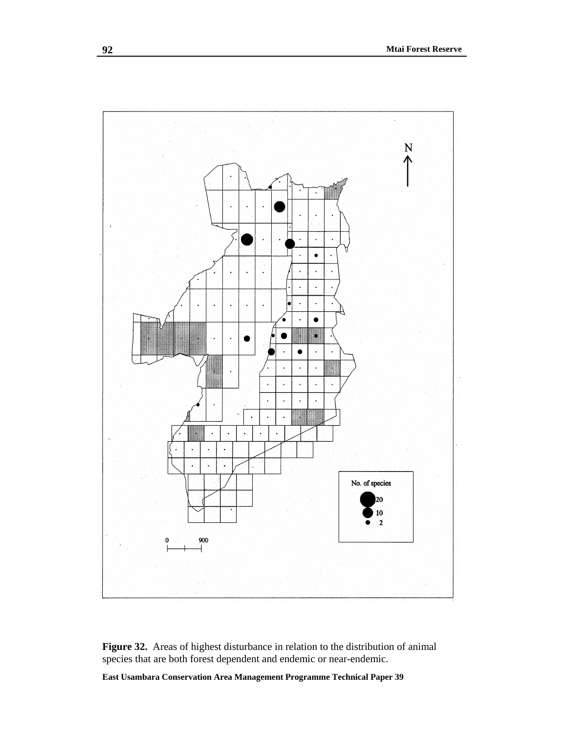

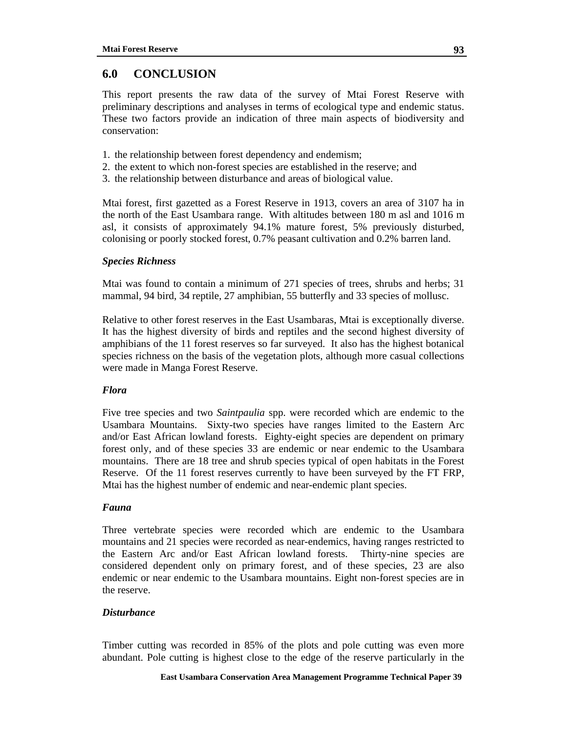# **6.0 CONCLUSION**

This report presents the raw data of the survey of Mtai Forest Reserve with preliminary descriptions and analyses in terms of ecological type and endemic status. These two factors provide an indication of three main aspects of biodiversity and conservation:

- 1. the relationship between forest dependency and endemism;
- 2. the extent to which non-forest species are established in the reserve; and
- 3. the relationship between disturbance and areas of biological value.

Mtai forest, first gazetted as a Forest Reserve in 1913, covers an area of 3107 ha in the north of the East Usambara range. With altitudes between 180 m asl and 1016 m asl, it consists of approximately 94.1% mature forest, 5% previously disturbed, colonising or poorly stocked forest, 0.7% peasant cultivation and 0.2% barren land.

# *Species Richness*

Mtai was found to contain a minimum of 271 species of trees, shrubs and herbs; 31 mammal, 94 bird, 34 reptile, 27 amphibian, 55 butterfly and 33 species of mollusc.

Relative to other forest reserves in the East Usambaras, Mtai is exceptionally diverse. It has the highest diversity of birds and reptiles and the second highest diversity of amphibians of the 11 forest reserves so far surveyed. It also has the highest botanical species richness on the basis of the vegetation plots, although more casual collections were made in Manga Forest Reserve.

# *Flora*

Five tree species and two *Saintpaulia* spp. were recorded which are endemic to the Usambara Mountains. Sixty-two species have ranges limited to the Eastern Arc and/or East African lowland forests. Eighty-eight species are dependent on primary forest only, and of these species 33 are endemic or near endemic to the Usambara mountains. There are 18 tree and shrub species typical of open habitats in the Forest Reserve. Of the 11 forest reserves currently to have been surveyed by the FT FRP, Mtai has the highest number of endemic and near-endemic plant species.

## *Fauna*

Three vertebrate species were recorded which are endemic to the Usambara mountains and 21 species were recorded as near-endemics, having ranges restricted to the Eastern Arc and/or East African lowland forests. Thirty-nine species are considered dependent only on primary forest, and of these species, 23 are also endemic or near endemic to the Usambara mountains. Eight non-forest species are in the reserve.

## *Disturbance*

Timber cutting was recorded in 85% of the plots and pole cutting was even more abundant. Pole cutting is highest close to the edge of the reserve particularly in the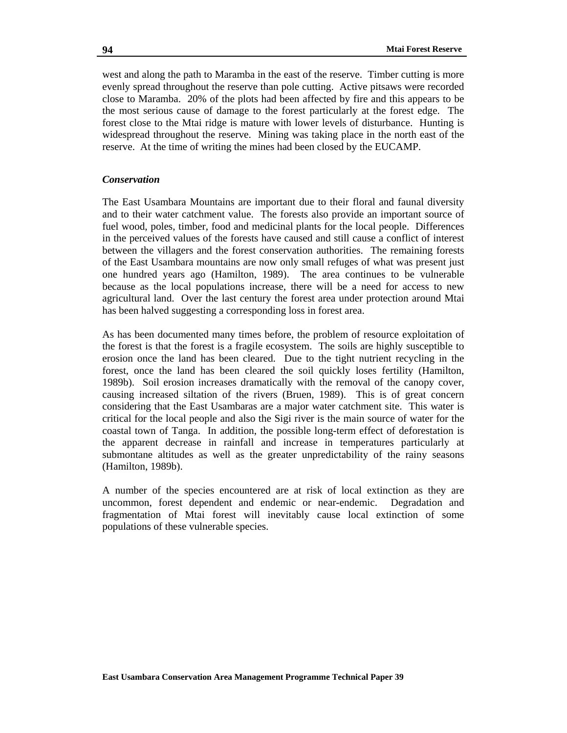west and along the path to Maramba in the east of the reserve. Timber cutting is more evenly spread throughout the reserve than pole cutting. Active pitsaws were recorded close to Maramba. 20% of the plots had been affected by fire and this appears to be the most serious cause of damage to the forest particularly at the forest edge. The forest close to the Mtai ridge is mature with lower levels of disturbance. Hunting is widespread throughout the reserve. Mining was taking place in the north east of the reserve. At the time of writing the mines had been closed by the EUCAMP.

# *Conservation*

The East Usambara Mountains are important due to their floral and faunal diversity and to their water catchment value. The forests also provide an important source of fuel wood, poles, timber, food and medicinal plants for the local people. Differences in the perceived values of the forests have caused and still cause a conflict of interest between the villagers and the forest conservation authorities. The remaining forests of the East Usambara mountains are now only small refuges of what was present just one hundred years ago (Hamilton, 1989). The area continues to be vulnerable because as the local populations increase, there will be a need for access to new agricultural land. Over the last century the forest area under protection around Mtai has been halved suggesting a corresponding loss in forest area.

As has been documented many times before, the problem of resource exploitation of the forest is that the forest is a fragile ecosystem. The soils are highly susceptible to erosion once the land has been cleared. Due to the tight nutrient recycling in the forest, once the land has been cleared the soil quickly loses fertility (Hamilton, 1989b). Soil erosion increases dramatically with the removal of the canopy cover, causing increased siltation of the rivers (Bruen, 1989). This is of great concern considering that the East Usambaras are a major water catchment site. This water is critical for the local people and also the Sigi river is the main source of water for the coastal town of Tanga. In addition, the possible long-term effect of deforestation is the apparent decrease in rainfall and increase in temperatures particularly at submontane altitudes as well as the greater unpredictability of the rainy seasons (Hamilton, 1989b).

A number of the species encountered are at risk of local extinction as they are uncommon, forest dependent and endemic or near-endemic. Degradation and fragmentation of Mtai forest will inevitably cause local extinction of some populations of these vulnerable species.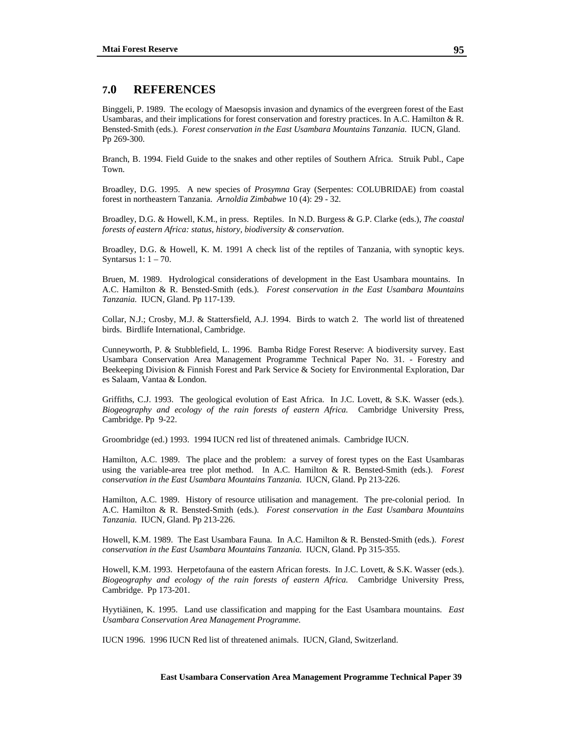## **7.0 REFERENCES**

Binggeli, P. 1989. The ecology of Maesopsis invasion and dynamics of the evergreen forest of the East Usambaras, and their implications for forest conservation and forestry practices. In A.C. Hamilton & R. Bensted-Smith (eds.). *Forest conservation in the East Usambara Mountains Tanzania.* IUCN, Gland. Pp 269-300.

Branch, B. 1994. Field Guide to the snakes and other reptiles of Southern Africa. Struik Publ., Cape Town.

Broadley, D.G. 1995. A new species of *Prosymna* Gray (Serpentes: COLUBRIDAE) from coastal forest in northeastern Tanzania. *Arnoldia Zimbabwe* 10 (4): 29 - 32.

Broadley, D.G. & Howell, K.M., in press. Reptiles. In N.D. Burgess & G.P. Clarke (eds.), *The coastal forests of eastern Africa: status, history, biodiversity & conservation*.

Broadley, D.G. & Howell, K. M. 1991 A check list of the reptiles of Tanzania, with synoptic keys. Syntarsus 1: 1 – 70.

Bruen, M. 1989. Hydrological considerations of development in the East Usambara mountains. In A.C. Hamilton & R. Bensted-Smith (eds.). *Forest conservation in the East Usambara Mountains Tanzania.* IUCN, Gland. Pp 117-139.

Collar, N.J.; Crosby, M.J. & Stattersfield, A.J. 1994. Birds to watch 2. The world list of threatened birds. Birdlife International, Cambridge.

Cunneyworth, P. & Stubblefield, L. 1996. Bamba Ridge Forest Reserve: A biodiversity survey. East Usambara Conservation Area Management Programme Technical Paper No. 31. - Forestry and Beekeeping Division & Finnish Forest and Park Service & Society for Environmental Exploration, Dar es Salaam, Vantaa & London.

Griffiths, C.J. 1993. The geological evolution of East Africa. In J.C. Lovett, & S.K. Wasser (eds.). *Biogeography and ecology of the rain forests of eastern Africa.* Cambridge University Press, Cambridge. Pp 9-22.

Groombridge (ed.) 1993. 1994 IUCN red list of threatened animals. Cambridge IUCN.

Hamilton, A.C. 1989. The place and the problem: a survey of forest types on the East Usambaras using the variable-area tree plot method. In A.C. Hamilton & R. Bensted-Smith (eds.). *Forest conservation in the East Usambara Mountains Tanzania.* IUCN, Gland. Pp 213-226.

Hamilton, A.C. 1989. History of resource utilisation and management. The pre-colonial period. In A.C. Hamilton & R. Bensted-Smith (eds.). *Forest conservation in the East Usambara Mountains Tanzania.* IUCN, Gland. Pp 213-226.

Howell, K.M. 1989. The East Usambara Fauna*.* In A.C. Hamilton & R. Bensted-Smith (eds.). *Forest conservation in the East Usambara Mountains Tanzania.* IUCN, Gland. Pp 315-355.

Howell, K.M. 1993. Herpetofauna of the eastern African forests. In J.C. Lovett, & S.K. Wasser (eds.). *Biogeography and ecology of the rain forests of eastern Africa.* Cambridge University Press, Cambridge. Pp 173-201.

Hyytiäinen, K. 1995. Land use classification and mapping for the East Usambara mountains. *East Usambara Conservation Area Management Programme.* 

IUCN 1996. 1996 IUCN Red list of threatened animals. IUCN, Gland, Switzerland.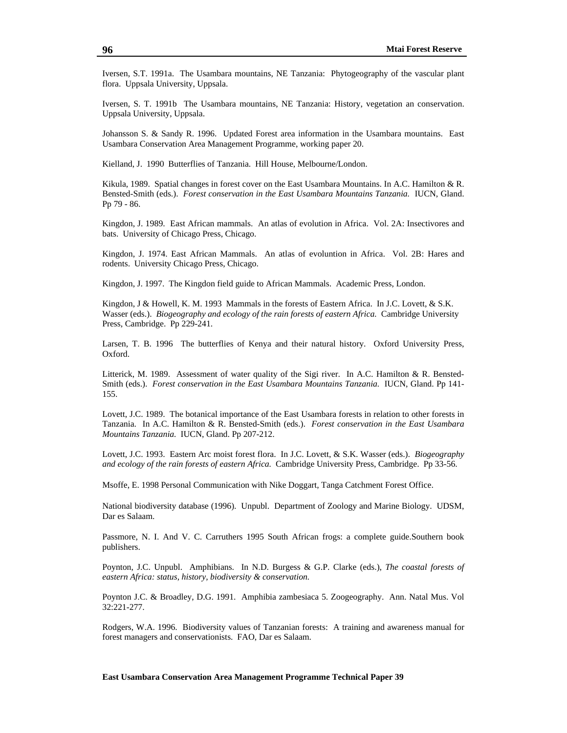Iversen, S.T. 1991a. The Usambara mountains, NE Tanzania: Phytogeography of the vascular plant flora. Uppsala University, Uppsala.

Iversen, S. T. 1991b The Usambara mountains, NE Tanzania: History, vegetation an conservation. Uppsala University, Uppsala.

Johansson S. & Sandy R. 1996. Updated Forest area information in the Usambara mountains. East Usambara Conservation Area Management Programme, working paper 20.

Kielland, J. 1990 Butterflies of Tanzania. Hill House, Melbourne/London.

Kikula, 1989. Spatial changes in forest cover on the East Usambara Mountains. In A.C. Hamilton & R. Bensted-Smith (eds.). *Forest conservation in the East Usambara Mountains Tanzania.* IUCN, Gland. Pp 79 - 86.

Kingdon, J. 1989. East African mammals. An atlas of evolution in Africa. Vol. 2A: Insectivores and bats. University of Chicago Press, Chicago.

Kingdon, J. 1974. East African Mammals. An atlas of evoluntion in Africa. Vol. 2B: Hares and rodents. University Chicago Press, Chicago.

Kingdon, J. 1997. The Kingdon field guide to African Mammals. Academic Press, London.

Kingdon, J & Howell, K. M. 1993 Mammals in the forests of Eastern Africa. In J.C. Lovett, & S.K. Wasser (eds.). *Biogeography and ecology of the rain forests of eastern Africa.* Cambridge University Press, Cambridge. Pp 229-241.

Larsen, T. B. 1996 The butterflies of Kenya and their natural history. Oxford University Press, Oxford.

Litterick, M. 1989. Assessment of water quality of the Sigi river. In A.C. Hamilton & R. Bensted-Smith (eds.). *Forest conservation in the East Usambara Mountains Tanzania.* IUCN, Gland. Pp 141- 155.

Lovett, J.C. 1989. The botanical importance of the East Usambara forests in relation to other forests in Tanzania. In A.C. Hamilton & R. Bensted-Smith (eds.). *Forest conservation in the East Usambara Mountains Tanzania.* IUCN, Gland. Pp 207-212.

Lovett, J.C. 1993. Eastern Arc moist forest flora. In J.C. Lovett, & S.K. Wasser (eds.). *Biogeography and ecology of the rain forests of eastern Africa.* Cambridge University Press, Cambridge. Pp 33-56.

Msoffe, E. 1998 Personal Communication with Nike Doggart, Tanga Catchment Forest Office.

National biodiversity database (1996). Unpubl. Department of Zoology and Marine Biology. UDSM, Dar es Salaam.

Passmore, N. I. And V. C. Carruthers 1995 South African frogs: a complete guide.Southern book publishers.

Poynton, J.C. Unpubl. Amphibians. In N.D. Burgess & G.P. Clarke (eds.), *The coastal forests of eastern Africa: status, history, biodiversity & conservation.*

Poynton J.C. & Broadley, D.G. 1991. Amphibia zambesiaca 5. Zoogeography. Ann. Natal Mus. Vol 32:221-277.

Rodgers, W.A. 1996. Biodiversity values of Tanzanian forests: A training and awareness manual for forest managers and conservationists. FAO, Dar es Salaam.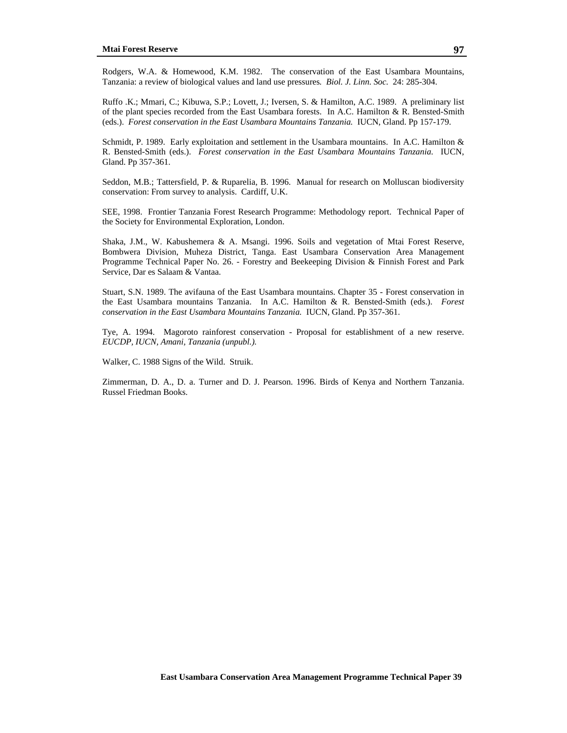Rodgers, W.A. & Homewood, K.M. 1982. The conservation of the East Usambara Mountains, Tanzania: a review of biological values and land use pressures*. Biol. J. Linn. Soc.* 24: 285-304.

Ruffo .K.; Mmari, C.; Kibuwa, S.P.; Lovett, J.; Iversen, S. & Hamilton, A.C. 1989. A preliminary list of the plant species recorded from the East Usambara forests. In A.C. Hamilton & R. Bensted-Smith (eds.). *Forest conservation in the East Usambara Mountains Tanzania.* IUCN, Gland. Pp 157-179.

Schmidt, P. 1989. Early exploitation and settlement in the Usambara mountains. In A.C. Hamilton & R. Bensted-Smith (eds.). *Forest conservation in the East Usambara Mountains Tanzania.* IUCN, Gland. Pp 357-361.

Seddon, M.B.; Tattersfield, P. & Ruparelia, B. 1996. Manual for research on Molluscan biodiversity conservation: From survey to analysis. Cardiff, U.K.

SEE, 1998. Frontier Tanzania Forest Research Programme: Methodology report. Technical Paper of the Society for Environmental Exploration, London.

Shaka, J.M., W. Kabushemera & A. Msangi. 1996. Soils and vegetation of Mtai Forest Reserve, Bombwera Division, Muheza District, Tanga. East Usambara Conservation Area Management Programme Technical Paper No. 26. - Forestry and Beekeeping Division & Finnish Forest and Park Service, Dar es Salaam & Vantaa.

Stuart, S.N. 1989. The avifauna of the East Usambara mountains. Chapter 35 - Forest conservation in the East Usambara mountains Tanzania. In A.C. Hamilton & R. Bensted-Smith (eds.). *Forest conservation in the East Usambara Mountains Tanzania.* IUCN, Gland. Pp 357-361.

Tye, A. 1994. Magoroto rainforest conservation - Proposal for establishment of a new reserve. *EUCDP, IUCN, Amani, Tanzania (unpubl.).* 

Walker, C. 1988 Signs of the Wild. Struik.

Zimmerman, D. A., D. a. Turner and D. J. Pearson. 1996. Birds of Kenya and Northern Tanzania. Russel Friedman Books.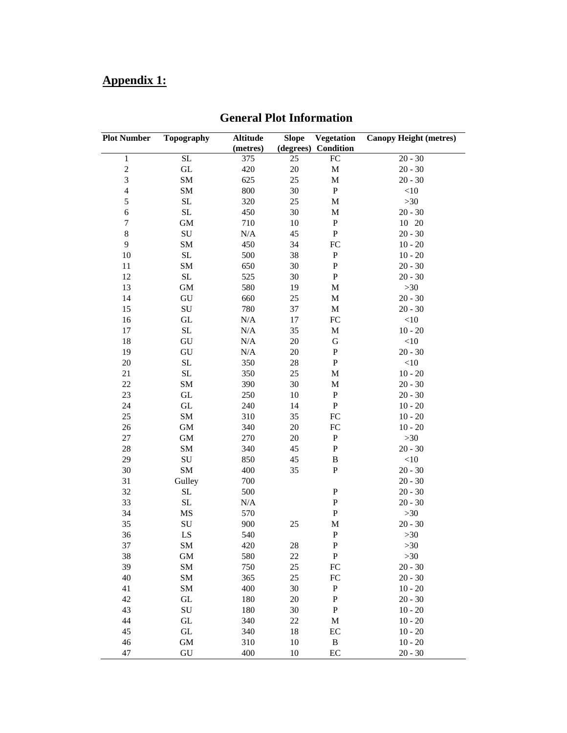# **Appendix 1:**

| <b>Plot Number</b>      | <b>Topography</b>   | <b>Altitude</b> | <b>Slope</b> | Vegetation   | <b>Canopy Height (metres)</b> |
|-------------------------|---------------------|-----------------|--------------|--------------|-------------------------------|
|                         |                     | (metres)        | (degrees)    | Condition    |                               |
| $\,1$                   | SL                  | 375             | 25           | ${\rm FC}$   | $20 - 30$                     |
| $\overline{\mathbf{c}}$ | $\operatorname{GL}$ | 420             | $20\,$       | $\mathbf M$  | $20 - 30$                     |
| $\overline{\mathbf{3}}$ | SM                  | 625             | 25           | $\mathbf M$  | $20 - 30$                     |
| $\overline{4}$          | SM                  | 800             | 30           | ${\bf P}$    | <10                           |
| 5                       | SL                  | 320             | 25           | $\mathbf M$  | $>30$                         |
| 6                       | SL                  | 450             | 30           | $\mathbf M$  | $20 - 30$                     |
| 7                       | <b>GM</b>           | 710             | 10           | $\, {\bf P}$ | 10 20                         |
| $\,8\,$                 | ${\bf SU}$          | N/A             | 45           | ${\bf P}$    | $20 - 30$                     |
| $\mathbf{9}$            | SM                  | 450             | 34           | FC           | $10 - 20$                     |
| 10                      | $\operatorname{SL}$ | 500             | 38           | ${\bf P}$    | $10 - 20$                     |
| 11                      | SM                  | 650             | 30           | $\, {\bf P}$ | $20 - 30$                     |
| 12                      | $\operatorname{SL}$ | 525             | 30           | ${\bf P}$    | $20 - 30$                     |
| 13                      | GM                  | 580             | 19           | $\mathbf M$  | $>30$                         |
| 14                      | ${\rm GU}$          | 660             | 25           | $\mathbf M$  | $20 - 30$                     |
| 15                      | ${\bf SU}$          | 780             | 37           | $\mathbf M$  | $20 - 30$                     |
| 16                      | $\operatorname{GL}$ | $\rm N/A$       | 17           | FC           | $<$ 10                        |
| 17                      | SL                  | $\rm N/A$       | 35           | $\mathbf M$  | $10 - 20$                     |
| 18                      | GU                  | N/A             | $20\,$       | ${\bf G}$    | $<$ 10                        |
| 19                      | GU                  | $\rm N/A$       | 20           | ${\bf P}$    | $20 - 30$                     |
| $20\,$                  | $\operatorname{SL}$ | 350             | 28           | ${\bf P}$    | <10                           |
| 21                      | SL                  | 350             | 25           | $\mathbf M$  | $10 - 20$                     |
| 22                      | SM                  | 390             | 30           | $\mathbf M$  | $20 - 30$                     |
| 23                      | $\operatorname{GL}$ | 250             | $10\,$       | $\, {\bf P}$ | $20 - 30$                     |
| 24                      | $\operatorname{GL}$ | 240             | 14           | ${\bf P}$    | $10 - 20$                     |
| 25                      | SM                  | 310             | 35           | FC           | $10 - 20$                     |
| 26                      | <b>GM</b>           | 340             | 20           | FC           | $10 - 20$                     |
| 27                      | GM                  | 270             | 20           | ${\bf P}$    | $>30$                         |
| 28                      | SM                  | 340             | 45           | ${\bf P}$    | $20 - 30$                     |
| 29                      | ${\bf SU}$          | 850             | 45           | $\, {\bf B}$ | $<\!\!10$                     |
| 30                      | SM                  | 400             | 35           | ${\bf P}$    | $20 - 30$                     |
| 31                      | Gulley              | 700             |              |              | $20 - 30$                     |
| 32                      | SL                  | 500             |              | ${\bf P}$    | $20 - 30$                     |
| 33                      | SL                  | N/A             |              | ${\bf P}$    | $20 - 30$                     |
| 34                      | MS                  | 570             |              | ${\bf P}$    | $>30$                         |
| 35                      | ${\bf SU}$          | 900             | 25           | M            | $20 - 30$                     |
| 36                      | ${\rm LS}$          | 540             |              | ${\bf P}$    | $>30$                         |
| 37                      | SM                  | 420             | 28           | ${\bf P}$    | $>30$                         |
| 38                      | <b>GM</b>           | 580             | $22\,$       | ${\bf P}$    | $>30$                         |
| 39                      | SM                  | 750             | 25           | ${\rm FC}$   | $20 - 30$                     |
| 40                      | SM                  | 365             | 25           | ${\rm FC}$   | $20 - 30$                     |
| 41                      | SM                  | 400             | 30           | ${\bf P}$    | $10 - 20$                     |
| 42                      | $\operatorname{GL}$ | 180             | 20           | ${\bf P}$    | $20 - 30$                     |
| 43                      | ${\bf SU}$          | 180             | 30           | ${\bf P}$    | $10 - 20$                     |
| 44                      | $\operatorname{GL}$ | 340             | $22\,$       | M            | $10 - 20$                     |
| 45                      | $\operatorname{GL}$ | 340             | 18           | EC           | $10 - 20$                     |
| 46                      | <b>GM</b>           | 310             | 10           | $\, {\bf B}$ | $10 - 20$                     |
| 47                      | ${\rm GU}$          | 400             | 10           | EC           | $20 - 30$                     |
|                         |                     |                 |              |              |                               |

# **General Plot Information**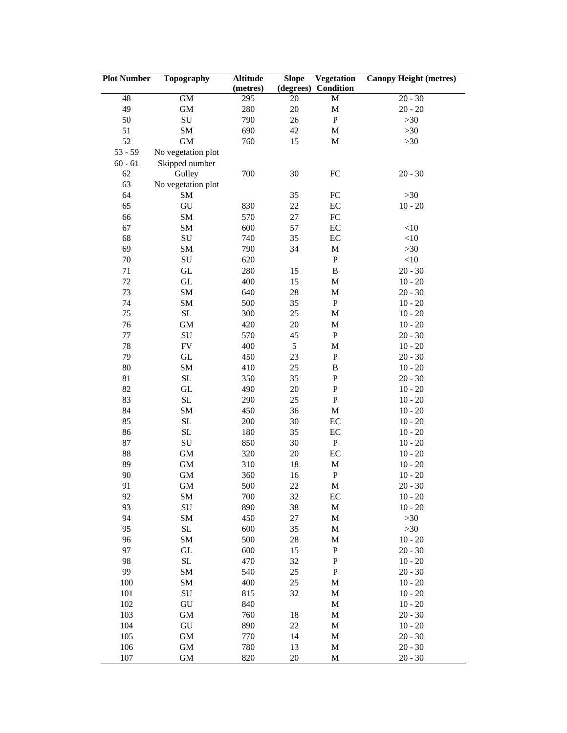| <b>Plot Number</b> | Topography          | <b>Altitude</b> | <b>Slope</b> | Vegetation   | <b>Canopy Height (metres)</b> |
|--------------------|---------------------|-----------------|--------------|--------------|-------------------------------|
|                    |                     | (metres)        | (degrees)    | Condition    |                               |
| 48                 | <b>GM</b>           | 295             | 20           | M            | $20 - 30$                     |
| 49                 | $\mbox{GM}$         | 280             | 20           | $\mathbf M$  | $20 - 20$                     |
| 50                 | ${\bf SU}$          | 790             | 26           | ${\bf P}$    | $>30$                         |
| 51                 | <b>SM</b>           | 690             | 42           | $\mathbf M$  | $>30$                         |
| 52                 | <b>GM</b>           | 760             | 15           | $\mathbf M$  | $>30$                         |
| $53 - 59$          | No vegetation plot  |                 |              |              |                               |
| $60 - 61$          | Skipped number      |                 |              |              |                               |
| 62                 | Gulley              | 700             | 30           | ${\rm FC}$   | $20 - 30$                     |
| 63                 | No vegetation plot  |                 |              |              |                               |
| 64                 | SM                  |                 | 35           | ${\rm FC}$   | $>30$                         |
| 65                 | ${\rm GU}$          | 830             | 22           | $\rm EC$     | $10 - 20$                     |
| 66                 | SM                  | 570             | $27\,$       | ${\rm FC}$   |                               |
| 67                 | SM                  | 600             | 57           | $\rm EC$     | $<\!\!10$                     |
| 68                 | ${\bf SU}$          | 740             | 35           | EC           | $<\!\!10$                     |
| 69                 | SM                  | 790             | 34           | $\mathbf M$  | $>30$                         |
| $70\,$             | ${\bf SU}$          | 620             |              | ${\bf P}$    | $<\!\!10$                     |
| 71                 | $\operatorname{GL}$ | 280             | 15           | $\, {\bf B}$ | $20 - 30$                     |
| $72\,$             | $\operatorname{GL}$ | 400             | 15           | $\mathbf M$  | $10 - 20$                     |
| 73                 | <b>SM</b>           | 640             | 28           | $\mathbf M$  | $20 - 30$                     |
| 74                 | SM                  | 500             | 35           | ${\bf P}$    | $10 - 20$                     |
| 75                 | $\operatorname{SL}$ | 300             | 25           | M            | $10 - 20$                     |
| 76                 | <b>GM</b>           | 420             | 20           | $\mathbf M$  | $10$ - $20\,$                 |
| 77                 | ${\bf SU}$          | 570             | 45           | ${\bf P}$    | $20 - 30$                     |
| $78\,$             | ${\rm FV}$          | 400             | 5            | $\mathbf M$  | $10 - 20$                     |
| 79                 | $\operatorname{GL}$ | 450             | 23           | ${\bf P}$    | $20 - 30$                     |
| $80\,$             | <b>SM</b>           | 410             | 25           | $\, {\bf B}$ | $10 - 20$                     |
| 81                 | $\rm SL$            | 350             | 35           | ${\bf P}$    | $20 - 30$                     |
| 82                 | $\operatorname{GL}$ | 490             | 20           | ${\bf P}$    | $10 - 20$                     |
| 83                 | SL                  | 290             | 25           | ${\bf P}$    | $10 - 20$                     |
| 84                 | SM                  | 450             | 36           | $\mathbf M$  | $10 - 20$                     |
| 85                 | SL                  | 200             | 30           | EC           | $10 - 20$                     |
| 86                 | SL                  |                 | 35           | EC           | $10 - 20$                     |
|                    |                     | 180             |              | ${\bf P}$    |                               |
| 87                 | ${\bf SU}$          | 850             | 30           |              | $10 - 20$                     |
| 88<br>89           | $\mbox{GM}$         | 320             | 20           | EC           | $10 - 20$                     |
|                    | $\mbox{GM}$         | 310             | 18           | $\mathbf M$  | $10 - 20$                     |
| 90                 | <b>GM</b>           | 360             | 16           | ${\bf P}$    | $10 - 20$                     |
| 91                 | <b>GM</b>           | 500             | 22           | M            | $20 - 30$                     |
| 92                 | SM                  | 700             | 32           | EC           | $10 - 20$                     |
| 93                 | ${\bf SU}$          | 890             | 38           | $\mathbf M$  | $10 - 20$                     |
| 94                 | SM                  | 450             | 27           | $\mathbf M$  | $>30$                         |
| 95                 | $\rm SL$            | 600             | 35           | $\mathbf M$  | $>30$                         |
| 96                 | <b>SM</b>           | 500             | 28           | $\mathbf M$  | $10 - 20$                     |
| 97                 | $\operatorname{GL}$ | 600             | 15           | ${\bf P}$    | $20 - 30$                     |
| 98                 | $\operatorname{SL}$ | 470             | 32           | ${\bf P}$    | $10 - 20$                     |
| 99                 | <b>SM</b>           | 540             | 25           | ${\bf P}$    | $20 - 30$                     |
| 100                | SM                  | 400             | 25           | $\mathbf M$  | $10 - 20$                     |
| 101                | ${\bf SU}$          | 815             | 32           | $\mathbf M$  | $10 - 20$                     |
| 102                | ${\rm GU}$          | 840             |              | $\mathbf M$  | $10 - 20$                     |
| 103                | $\mbox{GM}$         | 760             | 18           | $\mathbf M$  | $20 - 30$                     |
| 104                | ${\rm GU}$          | 890             | 22           | $\mathbf M$  | $10 - 20$                     |
| 105                | $\mbox{GM}$         | 770             | 14           | M            | $20 - 30$                     |
| 106                | $\mbox{GM}$         | 780             | 13           | $\mathbf M$  | $20 - 30$                     |
| 107                | <b>GM</b>           | 820             | 20           | $\mathbf M$  | $20 - 30$                     |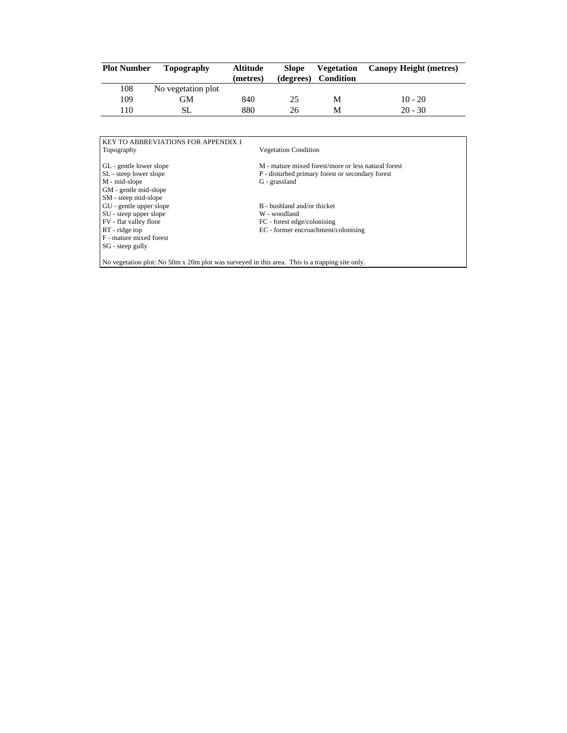| <b>Plot Number</b> | Topography         | <b>Altitude</b> | <b>Slope</b> | <b>Vegetation</b> | <b>Canopy Height (metres)</b> |
|--------------------|--------------------|-----------------|--------------|-------------------|-------------------------------|
|                    |                    | (metres)        | (degrees)    | Condition         |                               |
| 108                | No vegetation plot |                 |              |                   |                               |
| 109                | GМ                 | 840             | 25           | M                 | $10 - 20$                     |
| 110                | SL                 | 880             | 26           | M                 | $20 - 30$                     |

| Topography              | <b>Vegetation Condition</b>                         |
|-------------------------|-----------------------------------------------------|
| GL - gentle lower slope | M - mature mixed forest/more or less natural forest |
| SL - steep lower slope  | P - disturbed primary forest or secondary forest    |
| M - mid-slope           | G - grassland                                       |
| GM - gentle mid-slope   |                                                     |
| SM - steep mid-slope    |                                                     |
| GU - gentle upper slope | B - bushland and/or thicket                         |
| SU - steep upper slope  | W - woodland                                        |
| FV - flat valley floor  | FC - forest edge/colonising                         |
| RT - ridge top          | EC - former encroachment/colonising                 |
| F - mature mixed forest |                                                     |
| SG - steep gully        |                                                     |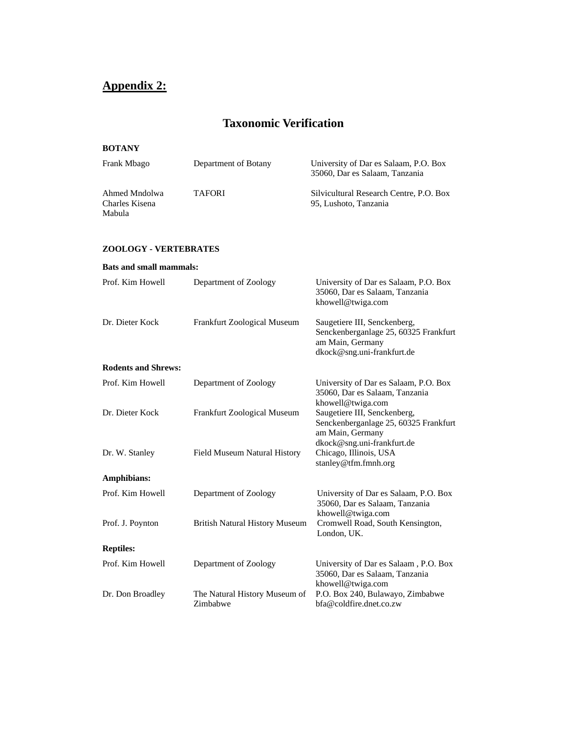# **Appendix 2:**

# **Taxonomic Verification**

# **BOTANY**

| Frank Mbago                               | Department of Botany | University of Dar es Salaam, P.O. Box<br>35060, Dar es Salaam, Tanzania |
|-------------------------------------------|----------------------|-------------------------------------------------------------------------|
| Ahmed Mndolwa<br>Charles Kisena<br>Mabula | <b>TAFORI</b>        | Silvicultural Research Centre, P.O. Box<br>95, Lushoto, Tanzania        |

# **ZOOLOGY - VERTEBRATES**

| <b>Bats and small mammals:</b> |                                           |                                                                                                                         |
|--------------------------------|-------------------------------------------|-------------------------------------------------------------------------------------------------------------------------|
| Prof. Kim Howell               | Department of Zoology                     | University of Dar es Salaam, P.O. Box<br>35060, Dar es Salaam, Tanzania<br>khowell@twiga.com                            |
| Dr. Dieter Kock                | <b>Frankfurt Zoological Museum</b>        | Saugetiere III, Senckenberg,<br>Senckenberganlage 25, 60325 Frankfurt<br>am Main, Germany<br>dkock@sng.uni-frankfurt.de |
| <b>Rodents and Shrews:</b>     |                                           |                                                                                                                         |
| Prof. Kim Howell               | Department of Zoology                     | University of Dar es Salaam, P.O. Box<br>35060, Dar es Salaam, Tanzania<br>khowell@twiga.com                            |
| Dr. Dieter Kock                | Frankfurt Zoological Museum               | Saugetiere III, Senckenberg,<br>Senckenberganlage 25, 60325 Frankfurt<br>am Main, Germany<br>dkock@sng.uni-frankfurt.de |
| Dr. W. Stanley                 | Field Museum Natural History              | Chicago, Illinois, USA<br>stanley@tfm.fmnh.org                                                                          |
| <b>Amphibians:</b>             |                                           |                                                                                                                         |
| Prof. Kim Howell               | Department of Zoology                     | University of Dar es Salaam, P.O. Box<br>35060, Dar es Salaam, Tanzania<br>khowell@twiga.com                            |
| Prof. J. Poynton               | <b>British Natural History Museum</b>     | Cromwell Road, South Kensington,<br>London, UK.                                                                         |
| <b>Reptiles:</b>               |                                           |                                                                                                                         |
| Prof. Kim Howell               | Department of Zoology                     | University of Dar es Salaam, P.O. Box<br>35060, Dar es Salaam, Tanzania<br>khowell@twiga.com                            |
| Dr. Don Broadley               | The Natural History Museum of<br>Zimbabwe | P.O. Box 240, Bulawayo, Zimbabwe<br>bfa@coldfire.dnet.co.zw                                                             |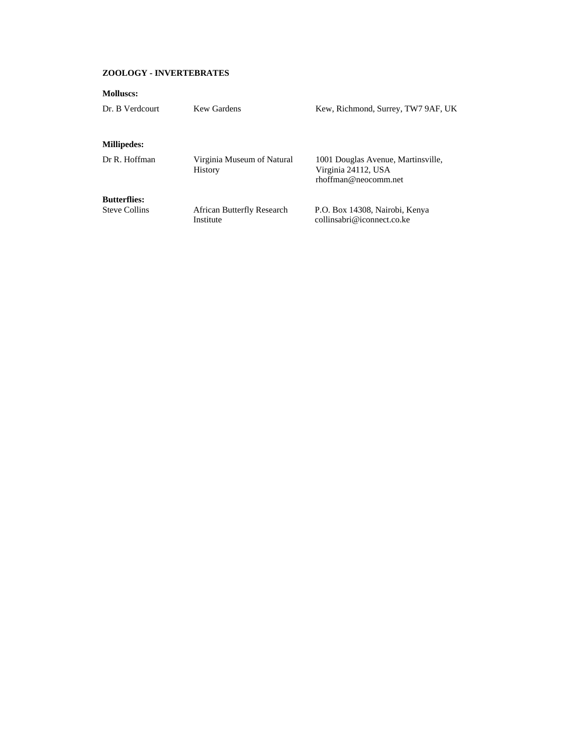## **ZOOLOGY - INVERTEBRATES**

| <b>Molluscs:</b>                            |                            |                                             |
|---------------------------------------------|----------------------------|---------------------------------------------|
| Dr. B Verdcourt                             | Kew Gardens                | Kew, Richmond, Surrey, TW7 9AF, UK          |
|                                             |                            |                                             |
| <b>Millipedes:</b>                          |                            |                                             |
| Dr R. Hoffman                               | Virginia Museum of Natural | 1001 Douglas Avenue, Martinsville,          |
|                                             | <b>History</b>             | Virginia 24112, USA<br>rhoffman@neocomm.net |
|                                             |                            |                                             |
| <b>Butterflies:</b><br><b>Steve Collins</b> | African Butterfly Research | P.O. Box 14308, Nairobi, Kenya              |
|                                             | Institute                  | collinsabri@iconnect.co.ke                  |
|                                             |                            |                                             |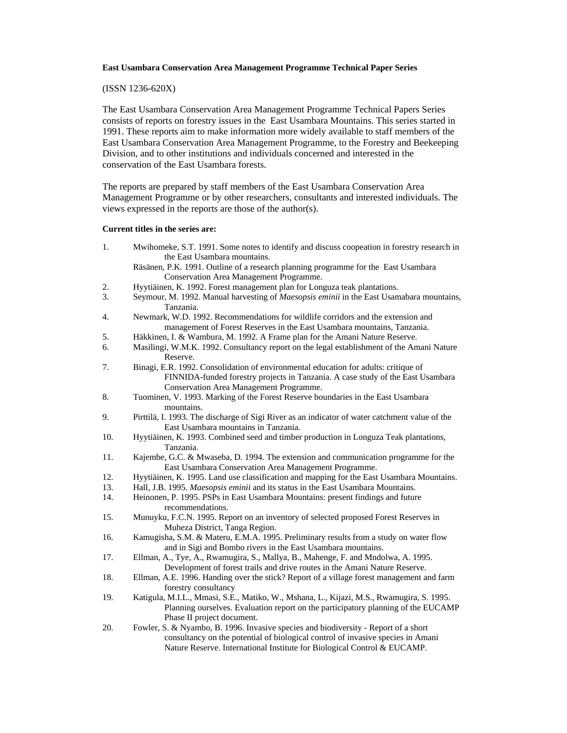#### (ISSN 1236-620X)

The East Usambara Conservation Area Management Programme Technical Papers Series consists of reports on forestry issues in the East Usambara Mountains. This series started in 1991. These reports aim to make information more widely available to staff members of the East Usambara Conservation Area Management Programme, to the Forestry and Beekeeping Division, and to other institutions and individuals concerned and interested in the conservation of the East Usambara forests.

The reports are prepared by staff members of the East Usambara Conservation Area Management Programme or by other researchers, consultants and interested individuals. The views expressed in the reports are those of the author(s).

#### **Current titles in the series are:**

1. Mwihomeke, S.T. 1991. Some notes to identify and discuss coopeation in forestry research in the East Usambara mountains.

Räsänen, P.K. 1991. Outline of a research planning programme for the East Usambara Conservation Area Management Programme.

- 2. Hyytiäinen, K. 1992. Forest management plan for Longuza teak plantations.<br>3. Seymour. M. 1992. Manual harvesting of *Maesopsis eminii* in the East Usam
- 3. Seymour, M. 1992. Manual harvesting of *Maesopsis eminii* in the East Usamabara mountains, Tanzania.
- 4. Newmark, W.D. 1992. Recommendations for wildlife corridors and the extension and management of Forest Reserves in the East Usambara mountains, Tanzania.
- 5. Häkkinen, I. & Wambura, M. 1992. A Frame plan for the Amani Nature Reserve.
- 6. Masilingi, W.M.K. 1992. Consultancy report on the legal establishment of the Amani Nature Reserve.
- 7. Binagi, E.R. 1992. Consolidation of environmental education for adults: critique of FINNIDA-funded forestry projects in Tanzania. A case study of the East Usambara Conservation Area Management Programme.
- 8. Tuominen, V. 1993. Marking of the Forest Reserve boundaries in the East Usambara mountains.
- 9. Pirttilä, I. 1993. The discharge of Sigi River as an indicator of water catchment value of the East Usambara mountains in Tanzania.
- 10. Hyytiäinen, K. 1993. Combined seed and timber production in Longuza Teak plantations, Tanzania.
- 11. Kajembe, G.C. & Mwaseba, D. 1994. The extension and communication programme for the East Usambara Conservation Area Management Programme.
- 12. Hyytiäinen, K. 1995. Land use classification and mapping for the East Usambara Mountains.
- 13. Hall, J.B. 1995. *Maesopsis eminii* and its status in the East Usambara Mountains.
- 14. Heinonen, P. 1995. PSPs in East Usambara Mountains: present findings and future recommendations.
- 15. Munuyku, F.C.N. 1995. Report on an inventory of selected proposed Forest Reserves in Muheza District, Tanga Region.
- 16. Kamugisha, S.M. & Materu, E.M.A. 1995. Preliminary results from a study on water flow and in Sigi and Bombo rivers in the East Usambara mountains.
- 17. Ellman, A., Tye, A., Rwamugira, S., Mallya, B., Mahenge, F. and Mndolwa, A. 1995. Development of forest trails and drive routes in the Amani Nature Reserve.
- 18. Ellman, A.E. 1996. Handing over the stick? Report of a village forest management and farm forestry consultancy
- 19. Katigula, M.I.L., Mmasi, S.E., Matiko, W., Mshana, L., Kijazi, M.S., Rwamugira, S. 1995. Planning ourselves. Evaluation report on the participatory planning of the EUCAMP Phase II project document.
- 20. Fowler, S. & Nyambo, B. 1996. Invasive species and biodiversity Report of a short consultancy on the potential of biological control of invasive species in Amani Nature Reserve. International Institute for Biological Control & EUCAMP.